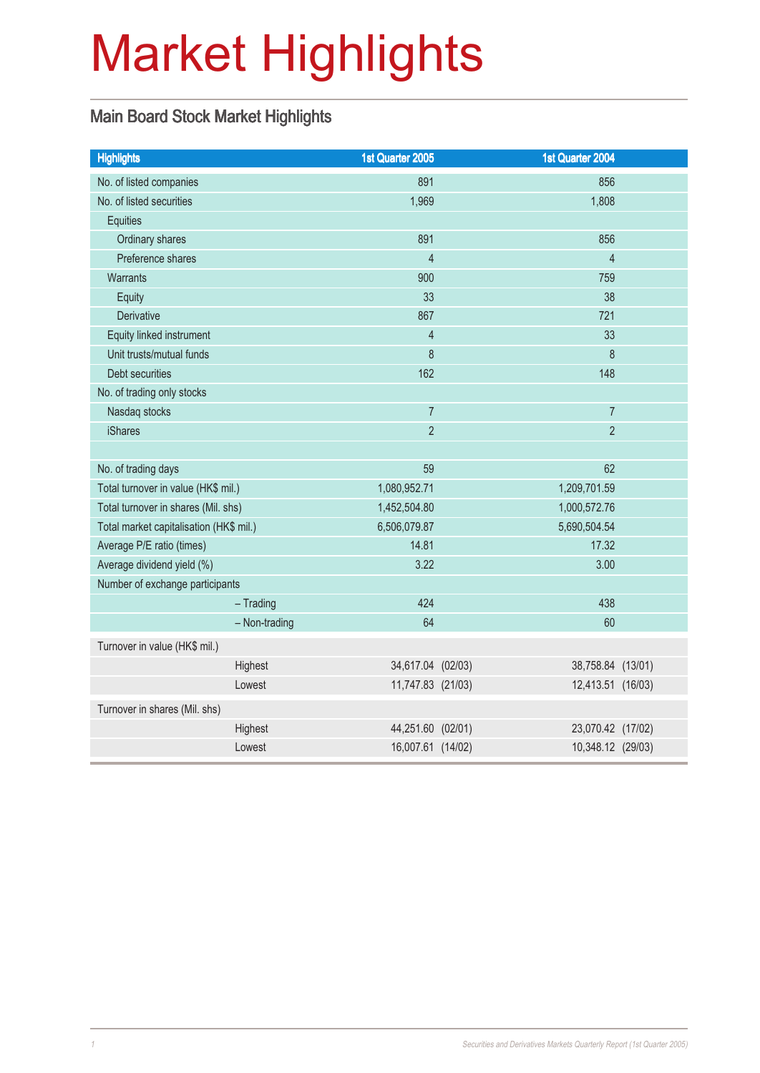# Market Highlights

### Main Board Stock Market Highlights

| <b>Highlights</b>                       | 1st Quarter 2005  | 1st Quarter 2004 |                   |
|-----------------------------------------|-------------------|------------------|-------------------|
| No. of listed companies                 | 891               |                  | 856               |
| No. of listed securities                | 1,969             |                  | 1,808             |
| <b>Equities</b>                         |                   |                  |                   |
| Ordinary shares                         | 891               |                  | 856               |
| Preference shares                       | $\overline{4}$    |                  | $\overline{4}$    |
| <b>Warrants</b>                         | 900               |                  | 759               |
| Equity                                  | 33                |                  | 38                |
| Derivative                              | 867               |                  | 721               |
| Equity linked instrument                | $\overline{4}$    |                  | 33                |
| Unit trusts/mutual funds                | 8                 |                  | 8                 |
| Debt securities                         | 162               |                  | 148               |
| No. of trading only stocks              |                   |                  |                   |
| Nasdaq stocks                           | $\overline{7}$    |                  | $\overline{7}$    |
| <b>iShares</b>                          | $\overline{2}$    |                  | $\overline{2}$    |
|                                         |                   |                  |                   |
| No. of trading days                     | 59                |                  | 62                |
| Total turnover in value (HK\$ mil.)     | 1,080,952.71      | 1,209,701.59     |                   |
| Total turnover in shares (Mil. shs)     | 1,452,504.80      | 1,000,572.76     |                   |
| Total market capitalisation (HK\$ mil.) | 6,506,079.87      | 5,690,504.54     |                   |
| Average P/E ratio (times)               | 14.81             |                  | 17.32             |
| Average dividend yield (%)              | 3.22              |                  | 3.00              |
| Number of exchange participants         |                   |                  |                   |
| $-$ Trading                             | 424               |                  | 438               |
| - Non-trading                           | 64                |                  | 60                |
| Turnover in value (HK\$ mil.)           |                   |                  |                   |
| Highest                                 | 34,617.04 (02/03) |                  | 38,758.84 (13/01) |
| Lowest                                  | 11,747.83 (21/03) |                  | 12,413.51 (16/03) |
| Turnover in shares (Mil. shs)           |                   |                  |                   |
| Highest                                 | 44,251.60 (02/01) |                  | 23,070.42 (17/02) |
| Lowest                                  | 16,007.61 (14/02) |                  | 10,348.12 (29/03) |
|                                         |                   |                  |                   |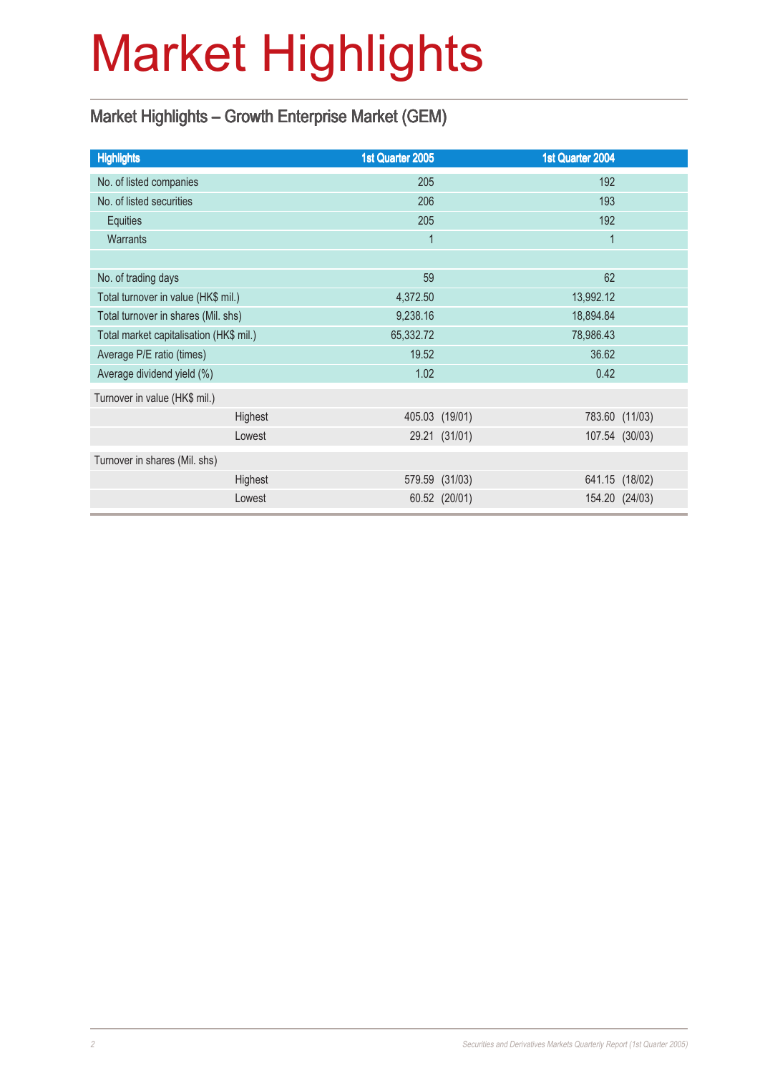# Market Highlights

### Market Highlights – Growth Enterprise Market (GEM)

| <b>Highlights</b>                       | 1st Quarter 2005 |                | 1st Quarter 2004 |                |
|-----------------------------------------|------------------|----------------|------------------|----------------|
| No. of listed companies                 | 205              |                | 192              |                |
| No. of listed securities                | 206              |                | 193              |                |
| Equities                                | 205              |                | 192              |                |
| Warrants                                | $\overline{1}$   |                | $\mathbf{1}$     |                |
|                                         |                  |                |                  |                |
| No. of trading days                     | 59               |                | 62               |                |
| Total turnover in value (HK\$ mil.)     | 4,372.50         |                | 13,992.12        |                |
| Total turnover in shares (Mil. shs)     | 9,238.16         |                | 18,894.84        |                |
| Total market capitalisation (HK\$ mil.) | 65,332.72        |                | 78,986.43        |                |
| Average P/E ratio (times)               | 19.52            |                | 36.62            |                |
| Average dividend yield (%)              | 1.02             |                | 0.42             |                |
| Turnover in value (HK\$ mil.)           |                  |                |                  |                |
| Highest                                 |                  | 405.03 (19/01) |                  | 783.60 (11/03) |
| Lowest                                  |                  | 29.21 (31/01)  |                  | 107.54 (30/03) |
| Turnover in shares (Mil. shs)           |                  |                |                  |                |
| Highest                                 |                  | 579.59 (31/03) |                  | 641.15 (18/02) |
| Lowest                                  |                  | 60.52 (20/01)  |                  | 154.20 (24/03) |
|                                         |                  |                |                  |                |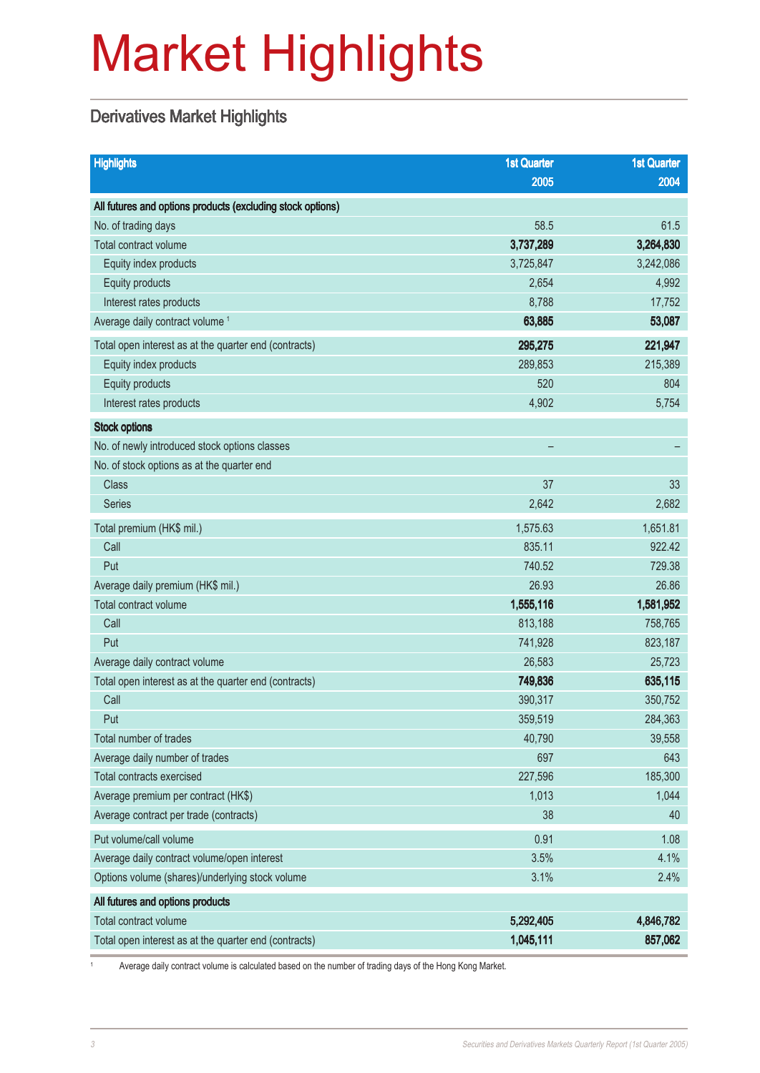# Market Highlights

### Derivatives Market Highlights

| <b>Highlights</b>                                          | <b>1st Quarter</b> | <b>1st Quarter</b> |
|------------------------------------------------------------|--------------------|--------------------|
|                                                            | 2005               | 2004               |
| All futures and options products (excluding stock options) |                    |                    |
| No. of trading days                                        | 58.5               | 61.5               |
| Total contract volume                                      | 3,737,289          | 3,264,830          |
| Equity index products                                      | 3,725,847          | 3,242,086          |
| Equity products                                            | 2,654              | 4,992              |
| Interest rates products                                    | 8,788              | 17,752             |
| Average daily contract volume <sup>1</sup>                 | 63,885             | 53,087             |
| Total open interest as at the quarter end (contracts)      | 295,275            | 221,947            |
| Equity index products                                      | 289,853            | 215,389            |
| Equity products                                            | 520                | 804                |
| Interest rates products                                    | 4,902              | 5,754              |
| <b>Stock options</b>                                       |                    |                    |
| No. of newly introduced stock options classes              |                    |                    |
| No. of stock options as at the quarter end                 |                    |                    |
| <b>Class</b>                                               | 37                 | 33                 |
| Series                                                     | 2,642              | 2,682              |
| Total premium (HK\$ mil.)                                  | 1,575.63           | 1,651.81           |
| Call                                                       | 835.11             | 922.42             |
| Put                                                        | 740.52             | 729.38             |
| Average daily premium (HK\$ mil.)                          | 26.93              | 26.86              |
| Total contract volume                                      | 1,555,116          | 1,581,952          |
| Call                                                       | 813,188            | 758,765            |
| Put                                                        | 741,928            | 823,187            |
| Average daily contract volume                              | 26,583             | 25,723             |
| Total open interest as at the quarter end (contracts)      | 749,836            | 635,115            |
| Call                                                       | 390,317            | 350,752            |
| Put                                                        | 359,519            | 284,363            |
| Total number of trades                                     | 40,790             | 39,558             |
| Average daily number of trades                             | 697                | 643                |
| <b>Total contracts exercised</b>                           | 227,596            | 185,300            |
| Average premium per contract (HK\$)                        | 1,013              | 1,044              |
| Average contract per trade (contracts)                     | 38                 | 40                 |
| Put volume/call volume                                     | 0.91               | 1.08               |
| Average daily contract volume/open interest                | 3.5%               | 4.1%               |
| Options volume (shares)/underlying stock volume            | 3.1%               | 2.4%               |
| All futures and options products                           |                    |                    |
| Total contract volume                                      | 5,292,405          | 4,846,782          |
| Total open interest as at the quarter end (contracts)      | 1,045,111          | 857,062            |

Average daily contract volume is calculated based on the number of trading days of the Hong Kong Market.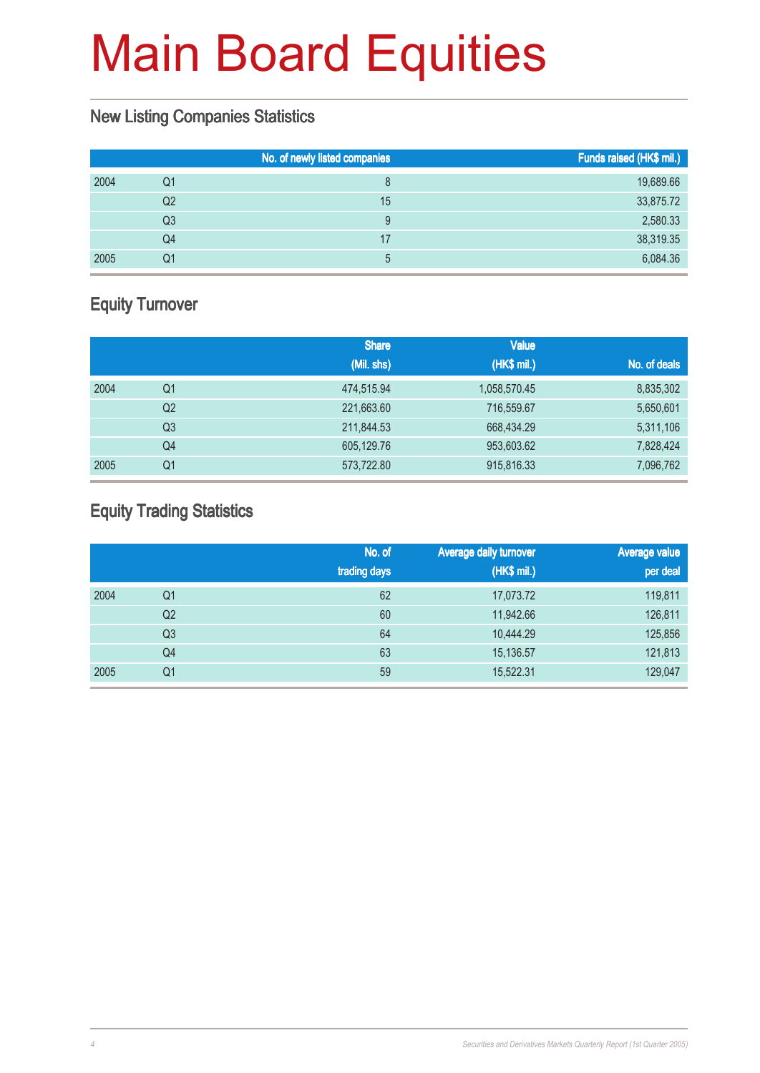#### New Listing Companies Statistics

|    | No. of newly listed companies | Funds raised (HK\$ mil.) |
|----|-------------------------------|--------------------------|
| Q1 |                               | 19,689.66                |
| Q2 | 15                            | 33,875.72                |
| Q3 |                               | 2,580.33                 |
| Q4 | 17                            | 38,319.35                |
| Q1 | b.                            | 6,084.36                 |
|    |                               |                          |

### Equity Turnover

|      |                | <b>Share</b> | <b>Value</b> |              |
|------|----------------|--------------|--------------|--------------|
|      |                | (Mil. shs)   | (HK\$ mil.)  | No. of deals |
| 2004 | Q1             | 474,515.94   | 1,058,570.45 | 8,835,302    |
|      | Q <sub>2</sub> | 221,663.60   | 716,559.67   | 5,650,601    |
|      | Q3             | 211,844.53   | 668,434.29   | 5,311,106    |
|      | Q4             | 605,129.76   | 953,603.62   | 7,828,424    |
| 2005 | Q1             | 573,722.80   | 915,816.33   | 7,096,762    |

### Equity Trading Statistics

|      |                | No. of<br>trading days | <b>Average daily turnover</b><br>(HK\$ mil.) | <b>Average value</b><br>per deal |
|------|----------------|------------------------|----------------------------------------------|----------------------------------|
| 2004 | Q <sub>1</sub> | 62                     | 17,073.72                                    | 119,811                          |
|      | Q2             | 60                     | 11,942.66                                    | 126,811                          |
|      | Q <sub>3</sub> | 64                     | 10,444.29                                    | 125,856                          |
|      | Q <sub>4</sub> | 63                     | 15,136.57                                    | 121,813                          |
| 2005 | Q <sub>1</sub> | 59                     | 15,522.31                                    | 129,047                          |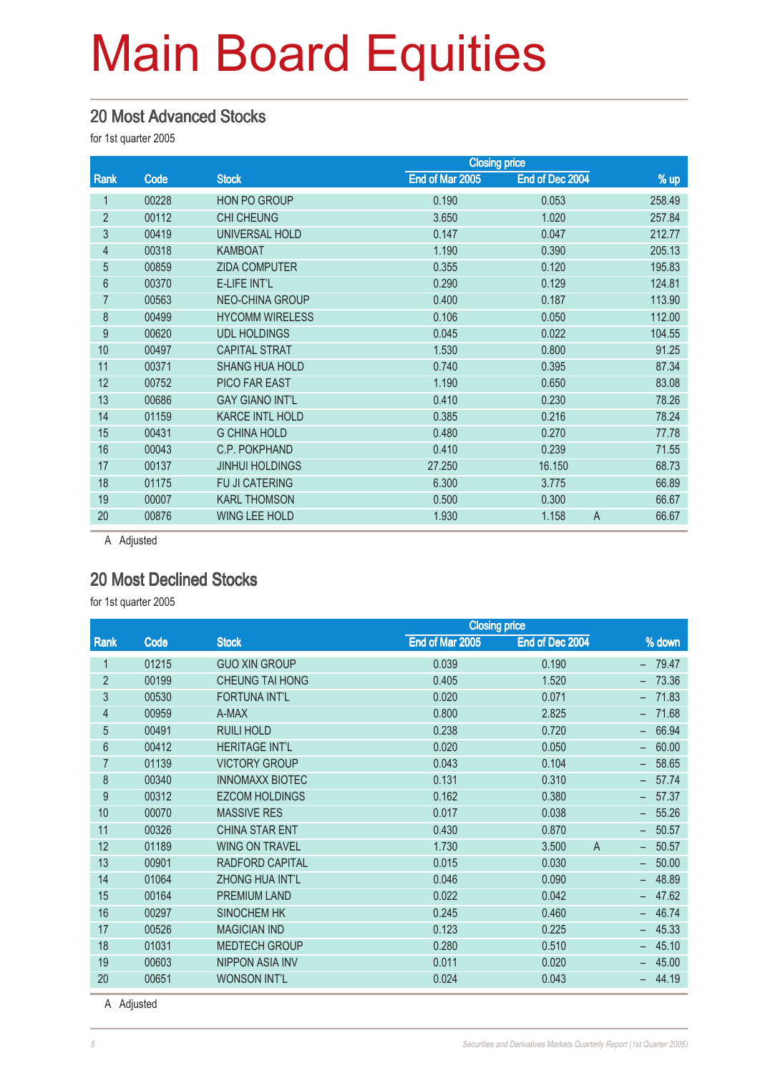#### 20 Most Advanced Stocks

for 1st quarter 2005

|                |       |                        | <b>Closing price</b> |                 |                         |
|----------------|-------|------------------------|----------------------|-----------------|-------------------------|
| Rank           | Code  | <b>Stock</b>           | End of Mar 2005      | End of Dec 2004 | $%$ up                  |
|                | 00228 | <b>HON PO GROUP</b>    | 0.190                | 0.053           | 258.49                  |
| $\overline{2}$ | 00112 | <b>CHI CHEUNG</b>      | 3.650                | 1.020           | 257.84                  |
| 3              | 00419 | UNIVERSAL HOLD         | 0.147                | 0.047           | 212.77                  |
| 4              | 00318 | <b>KAMBOAT</b>         | 1.190                | 0.390           | 205.13                  |
| 5              | 00859 | <b>ZIDA COMPUTER</b>   | 0.355                | 0.120           | 195.83                  |
| 6              | 00370 | <b>E-LIFE INT'L</b>    | 0.290                | 0.129           | 124.81                  |
| 7              | 00563 | <b>NEO-CHINA GROUP</b> | 0.400                | 0.187           | 113.90                  |
| 8              | 00499 | <b>HYCOMM WIRELESS</b> | 0.106                | 0.050           | 112.00                  |
| 9              | 00620 | <b>UDL HOLDINGS</b>    | 0.045                | 0.022           | 104.55                  |
| 10             | 00497 | <b>CAPITAL STRAT</b>   | 1.530                | 0.800           | 91.25                   |
| 11             | 00371 | <b>SHANG HUA HOLD</b>  | 0.740                | 0.395           | 87.34                   |
| 12             | 00752 | PICO FAR EAST          | 1.190                | 0.650           | 83.08                   |
| 13             | 00686 | <b>GAY GIANO INT'L</b> | 0.410                | 0.230           | 78.26                   |
| 14             | 01159 | <b>KARCE INTL HOLD</b> | 0.385                | 0.216           | 78.24                   |
| 15             | 00431 | <b>G CHINA HOLD</b>    | 0.480                | 0.270           | 77.78                   |
| 16             | 00043 | C.P. POKPHAND          | 0.410                | 0.239           | 71.55                   |
| 17             | 00137 | <b>JINHUI HOLDINGS</b> | 27.250               | 16.150          | 68.73                   |
| 18             | 01175 | FU JI CATERING         | 6.300                | 3.775           | 66.89                   |
| 19             | 00007 | <b>KARL THOMSON</b>    | 0.500                | 0.300           | 66.67                   |
| 20             | 00876 | <b>WING LEE HOLD</b>   | 1.930                | 1.158           | $\overline{A}$<br>66.67 |
|                |       |                        |                      |                 |                         |

A Adjusted

#### 20 Most Declined Stocks

for 1st quarter 2005

|                |       |                        | <b>Closing price</b> |                         |                                   |
|----------------|-------|------------------------|----------------------|-------------------------|-----------------------------------|
| Rank           | Code  | <b>Stock</b>           | End of Mar 2005      | End of Dec 2004         | % down                            |
| 1              | 01215 | <b>GUO XIN GROUP</b>   | 0.039                | 0.190                   | 79.47                             |
| $\overline{2}$ | 00199 | <b>CHEUNG TAI HONG</b> | 0.405                | 1.520                   | 73.36                             |
| 3              | 00530 | <b>FORTUNA INT'L</b>   | 0.020                | 0.071                   | 71.83                             |
| $\overline{4}$ | 00959 | A-MAX                  | 0.800                | 2.825                   | 71.68                             |
| 5              | 00491 | <b>RUILI HOLD</b>      | 0.238                | 0.720                   | 66.94                             |
| 6              | 00412 | <b>HERITAGE INT'L</b>  | 0.020                | 0.050                   | 60.00                             |
| 7              | 01139 | <b>VICTORY GROUP</b>   | 0.043                | 0.104                   | 58.65                             |
| 8              | 00340 | <b>INNOMAXX BIOTEC</b> | 0.131                | 0.310                   | 57.74                             |
| 9              | 00312 | <b>EZCOM HOLDINGS</b>  | 0.162                | 0.380                   | 57.37                             |
| 10             | 00070 | <b>MASSIVE RES</b>     | 0.017                | 0.038                   | 55.26                             |
| 11             | 00326 | <b>CHINA STAR ENT</b>  | 0.430                | 0.870                   | 50.57                             |
| 12             | 01189 | <b>WING ON TRAVEL</b>  | 1.730                | 3.500<br>$\overline{A}$ | 50.57<br>$\overline{\phantom{a}}$ |
| 13             | 00901 | <b>RADFORD CAPITAL</b> | 0.015                | 0.030                   | 50.00                             |
| 14             | 01064 | <b>ZHONG HUA INT'L</b> | 0.046                | 0.090                   | 48.89                             |
| 15             | 00164 | <b>PREMIUM LAND</b>    | 0.022                | 0.042                   | 47.62                             |
| 16             | 00297 | <b>SINOCHEM HK</b>     | 0.245                | 0.460                   | 46.74                             |
| 17             | 00526 | <b>MAGICIAN IND</b>    | 0.123                | 0.225                   | 45.33                             |
| 18             | 01031 | <b>MEDTECH GROUP</b>   | 0.280                | 0.510                   | 45.10                             |
| 19             | 00603 | <b>NIPPON ASIA INV</b> | 0.011                | 0.020                   | 45.00                             |
| 20             | 00651 | <b>WONSON INT'L</b>    | 0.024                | 0.043                   | 44.19                             |

A Adjusted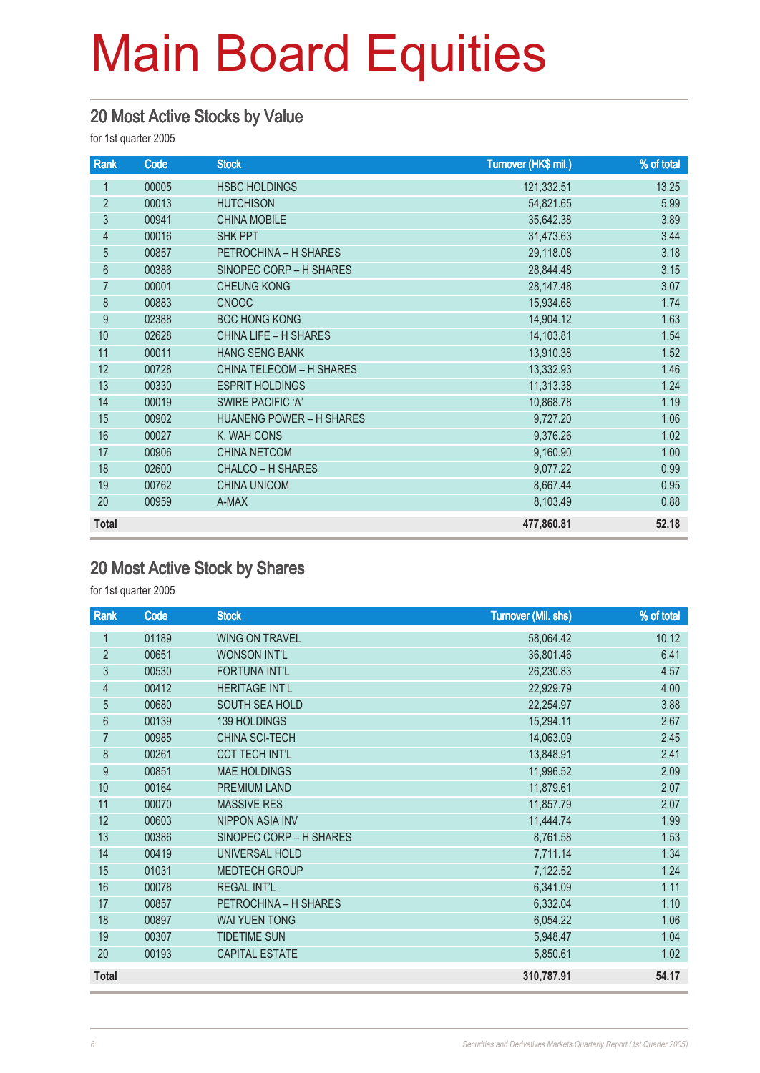#### 20 Most Active Stocks by Value

for 1st quarter 2005

| Rank           | Code  | <b>Stock</b>                    | Turnover (HK\$ mil.) | % of total |
|----------------|-------|---------------------------------|----------------------|------------|
| 1              | 00005 | <b>HSBC HOLDINGS</b>            | 121,332.51           | 13.25      |
| $\overline{2}$ | 00013 | <b>HUTCHISON</b>                | 54,821.65            | 5.99       |
| 3              | 00941 | <b>CHINA MOBILE</b>             | 35,642.38            | 3.89       |
| $\overline{4}$ | 00016 | <b>SHK PPT</b>                  | 31,473.63            | 3.44       |
| 5              | 00857 | PETROCHINA - H SHARES           | 29,118.08            | 3.18       |
| 6              | 00386 | SINOPEC CORP - H SHARES         | 28,844.48            | 3.15       |
| $\overline{7}$ | 00001 | <b>CHEUNG KONG</b>              | 28,147.48            | 3.07       |
| 8              | 00883 | <b>CNOOC</b>                    | 15,934.68            | 1.74       |
| 9              | 02388 | <b>BOC HONG KONG</b>            | 14,904.12            | 1.63       |
| 10             | 02628 | <b>CHINA LIFE - H SHARES</b>    | 14,103.81            | 1.54       |
| 11             | 00011 | <b>HANG SENG BANK</b>           | 13,910.38            | 1.52       |
| 12             | 00728 | <b>CHINA TELECOM - H SHARES</b> | 13,332.93            | 1.46       |
| 13             | 00330 | <b>ESPRIT HOLDINGS</b>          | 11,313.38            | 1.24       |
| 14             | 00019 | <b>SWIRE PACIFIC 'A'</b>        | 10,868.78            | 1.19       |
| 15             | 00902 | <b>HUANENG POWER - H SHARES</b> | 9,727.20             | 1.06       |
| 16             | 00027 | K. WAH CONS                     | 9,376.26             | 1.02       |
| 17             | 00906 | <b>CHINA NETCOM</b>             | 9,160.90             | 1.00       |
| 18             | 02600 | CHALCO - H SHARES               | 9,077.22             | 0.99       |
| 19             | 00762 | <b>CHINA UNICOM</b>             | 8,667.44             | 0.95       |
| 20             | 00959 | A-MAX                           | 8,103.49             | 0.88       |
| <b>Total</b>   |       |                                 | 477,860.81           | 52.18      |

### 20 Most Active Stock by Shares

| Rank            | Code  | <b>Stock</b>            | <b>Turnover (Mil. shs)</b> | % of total |
|-----------------|-------|-------------------------|----------------------------|------------|
| 1               | 01189 | <b>WING ON TRAVEL</b>   | 58,064.42                  | 10.12      |
| $\overline{2}$  | 00651 | <b>WONSON INT'L</b>     | 36,801.46                  | 6.41       |
| $\overline{3}$  | 00530 | <b>FORTUNA INT'L</b>    | 26,230.83                  | 4.57       |
| 4               | 00412 | <b>HERITAGE INT'L</b>   | 22,929.79                  | 4.00       |
| 5               | 00680 | SOUTH SEA HOLD          | 22,254.97                  | 3.88       |
| $6\phantom{.}6$ | 00139 | 139 HOLDINGS            | 15,294.11                  | 2.67       |
| 7               | 00985 | CHINA SCI-TECH          | 14,063.09                  | 2.45       |
| 8               | 00261 | <b>CCT TECH INT'L</b>   | 13,848.91                  | 2.41       |
| 9               | 00851 | <b>MAE HOLDINGS</b>     | 11,996.52                  | 2.09       |
| 10              | 00164 | PREMIUM LAND            | 11,879.61                  | 2.07       |
| 11              | 00070 | <b>MASSIVE RES</b>      | 11,857.79                  | 2.07       |
| 12              | 00603 | <b>NIPPON ASIA INV</b>  | 11,444.74                  | 1.99       |
| 13              | 00386 | SINOPEC CORP - H SHARES | 8,761.58                   | 1.53       |
| 14              | 00419 | UNIVERSAL HOLD          | 7,711.14                   | 1.34       |
| 15              | 01031 | <b>MEDTECH GROUP</b>    | 7,122.52                   | 1.24       |
| 16              | 00078 | <b>REGAL INT'L</b>      | 6,341.09                   | 1.11       |
| 17              | 00857 | PETROCHINA - H SHARES   | 6,332.04                   | 1.10       |
| 18              | 00897 | <b>WAI YUEN TONG</b>    | 6,054.22                   | 1.06       |
| 19              | 00307 | <b>TIDETIME SUN</b>     | 5,948.47                   | 1.04       |
| 20              | 00193 | <b>CAPITAL ESTATE</b>   | 5,850.61                   | 1.02       |
| Total           |       |                         | 310,787.91                 | 54.17      |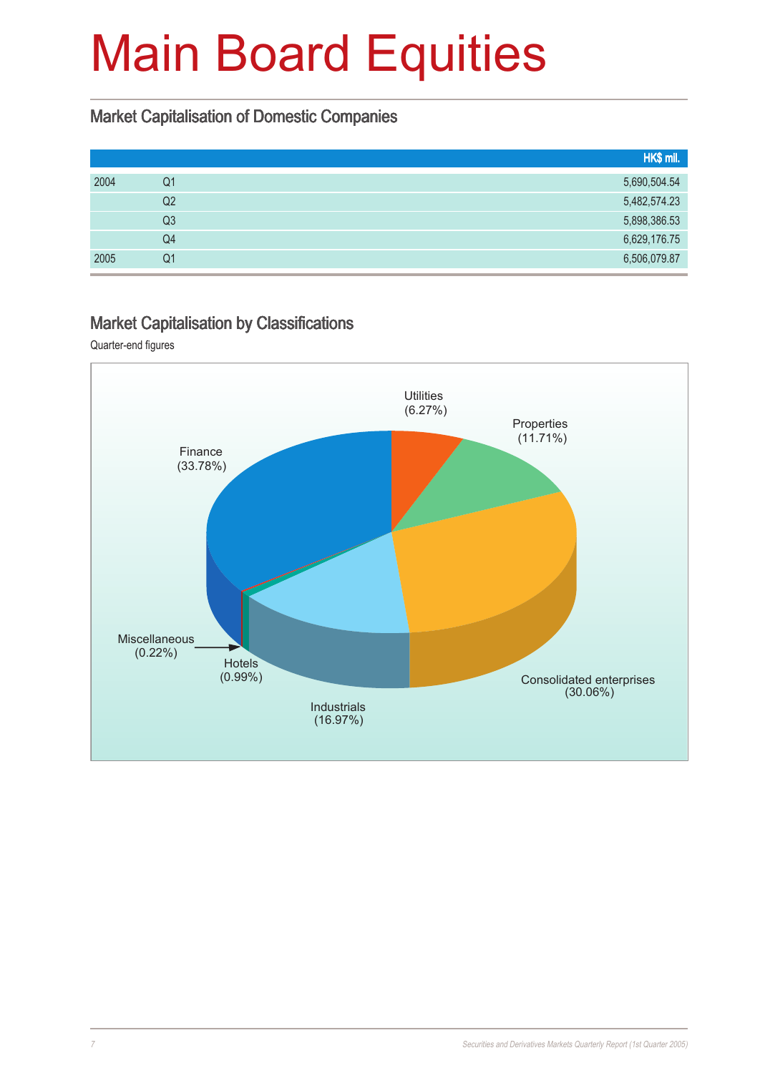#### Market Capitalisation of Domestic Companies

|      |                | HK\$ mil.    |
|------|----------------|--------------|
| 2004 | Q1             | 5,690,504.54 |
|      | Q2             | 5,482,574.23 |
|      | Q <sub>3</sub> | 5,898,386.53 |
|      | Q4             | 6,629,176.75 |
| 2005 | Q1             | 6,506,079.87 |

#### Market Capitalisation by Classifications

Quarter-end figures

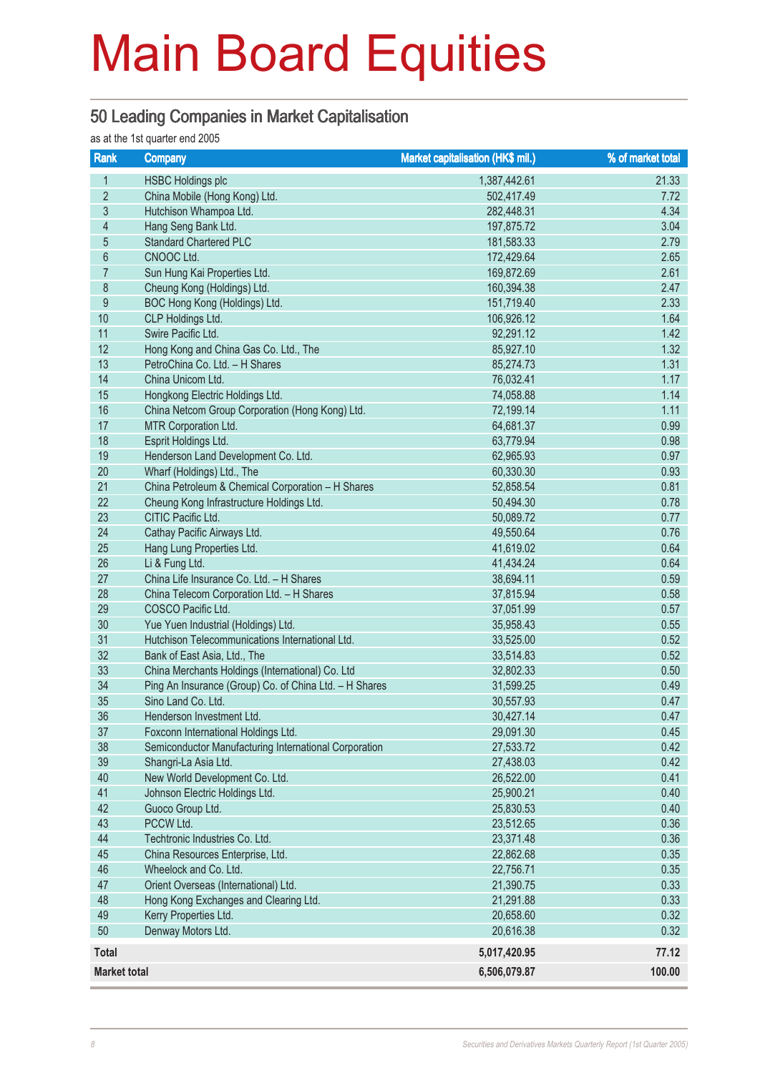#### 50 Leading Companies in Market Capitalisation

as at the 1st quarter end 2005

| Rank                | <b>Company</b>                                         | Market capitalisation (HK\$ mil.) | % of market total |
|---------------------|--------------------------------------------------------|-----------------------------------|-------------------|
| 1                   | <b>HSBC Holdings plc</b>                               | 1,387,442.61                      | 21.33             |
| $\overline{2}$      | China Mobile (Hong Kong) Ltd.                          | 502,417.49                        | 7.72              |
| $\mathfrak{S}$      | Hutchison Whampoa Ltd.                                 | 282,448.31                        | 4.34              |
| $\overline{4}$      | Hang Seng Bank Ltd.                                    | 197,875.72                        | 3.04              |
| $\overline{5}$      | <b>Standard Chartered PLC</b>                          | 181,583.33                        | 2.79              |
| $\,6\,$             | CNOOC Ltd.                                             | 172,429.64                        | 2.65              |
| $\overline{7}$      | Sun Hung Kai Properties Ltd.                           | 169,872.69                        | 2.61              |
| $\,8\,$             | Cheung Kong (Holdings) Ltd.                            | 160,394.38                        | 2.47              |
| 9                   | BOC Hong Kong (Holdings) Ltd.                          | 151,719.40                        | 2.33              |
| 10                  | CLP Holdings Ltd.                                      | 106,926.12                        | 1.64              |
| 11                  | Swire Pacific Ltd.                                     | 92,291.12                         | 1.42              |
| 12                  | Hong Kong and China Gas Co. Ltd., The                  | 85,927.10                         | 1.32              |
| 13                  | PetroChina Co. Ltd. - H Shares                         | 85,274.73                         | 1.31              |
| 14                  | China Unicom Ltd.                                      | 76,032.41                         | 1.17              |
| 15                  | Hongkong Electric Holdings Ltd.                        | 74,058.88                         | 1.14              |
| 16                  | China Netcom Group Corporation (Hong Kong) Ltd.        | 72,199.14                         | 1.11              |
| 17                  | MTR Corporation Ltd.                                   | 64,681.37                         | 0.99              |
| 18                  | Esprit Holdings Ltd.                                   | 63,779.94                         | 0.98              |
| 19                  | Henderson Land Development Co. Ltd.                    | 62,965.93                         | 0.97              |
| 20                  | Wharf (Holdings) Ltd., The                             | 60,330.30                         | 0.93              |
| 21                  | China Petroleum & Chemical Corporation - H Shares      | 52,858.54                         | 0.81              |
| 22                  | Cheung Kong Infrastructure Holdings Ltd.               | 50,494.30                         | 0.78              |
| 23                  | CITIC Pacific Ltd.                                     | 50,089.72                         | 0.77              |
| 24                  | Cathay Pacific Airways Ltd.                            | 49,550.64                         | 0.76              |
| 25                  | Hang Lung Properties Ltd.                              | 41,619.02                         | 0.64              |
| 26                  | Li & Fung Ltd.                                         | 41,434.24                         | 0.64              |
| 27                  | China Life Insurance Co. Ltd. - H Shares               | 38,694.11                         | 0.59              |
| 28                  | China Telecom Corporation Ltd. - H Shares              | 37,815.94                         | 0.58              |
| 29                  | COSCO Pacific Ltd.                                     | 37,051.99                         | 0.57              |
| 30                  | Yue Yuen Industrial (Holdings) Ltd.                    | 35,958.43                         | 0.55              |
| 31                  | Hutchison Telecommunications International Ltd.        | 33,525.00                         | 0.52              |
| 32                  | Bank of East Asia, Ltd., The                           | 33,514.83                         | 0.52              |
| 33                  | China Merchants Holdings (International) Co. Ltd       | 32,802.33                         | 0.50              |
| 34                  | Ping An Insurance (Group) Co. of China Ltd. - H Shares | 31,599.25                         | 0.49              |
| 35                  | Sino Land Co. Ltd.                                     | 30,557.93                         | 0.47              |
| 36                  | Henderson Investment Ltd.                              | 30,427.14                         | 0.47              |
| 37                  | Foxconn International Holdings Ltd.                    | 29,091.30                         | 0.45              |
| 38                  | Semiconductor Manufacturing International Corporation  | 27,533.72                         | 0.42              |
| 39                  | Shangri-La Asia Ltd.                                   | 27,438.03                         | 0.42              |
| 40                  | New World Development Co. Ltd.                         | 26,522.00                         | 0.41              |
| 41                  | Johnson Electric Holdings Ltd.                         | 25,900.21                         | 0.40              |
| 42                  | Guoco Group Ltd.                                       | 25,830.53                         | 0.40              |
| 43                  | PCCW Ltd.                                              | 23,512.65                         | 0.36              |
| 44                  | Techtronic Industries Co. Ltd.                         | 23,371.48                         | 0.36              |
| 45                  | China Resources Enterprise, Ltd.                       | 22,862.68                         | 0.35              |
| 46                  | Wheelock and Co. Ltd.                                  | 22,756.71                         | 0.35              |
| 47                  | Orient Overseas (International) Ltd.                   | 21,390.75                         | 0.33              |
| 48                  | Hong Kong Exchanges and Clearing Ltd.                  | 21,291.88                         | 0.33              |
| 49                  | Kerry Properties Ltd.                                  | 20,658.60                         | 0.32              |
| 50                  | Denway Motors Ltd.                                     | 20,616.38                         | 0.32              |
| <b>Total</b>        |                                                        | 5,017,420.95                      | 77.12             |
| <b>Market total</b> |                                                        | 6,506,079.87                      | 100.00            |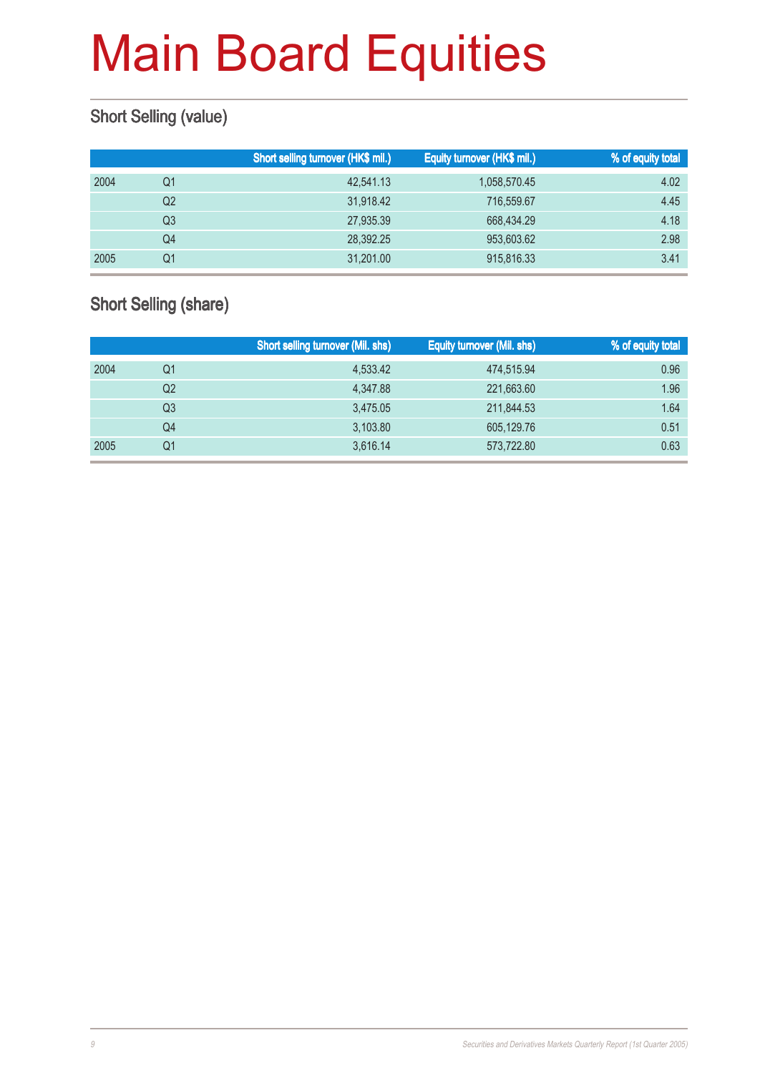### Short Selling (value)

|      |    | Short selling turnover (HK\$ mil.) | Equity turnover (HK\$ mil.) | % of equity total |
|------|----|------------------------------------|-----------------------------|-------------------|
| 2004 | Q1 | 42,541.13                          | 1,058,570.45                | 4.02              |
|      | Q2 | 31,918.42                          | 716,559.67                  | 4.45              |
|      | Q3 | 27,935.39                          | 668,434.29                  | 4.18              |
|      | Q4 | 28,392.25                          | 953,603.62                  | 2.98              |
| 2005 | Q1 | 31,201.00                          | 915,816.33                  | 3.41              |

### Short Selling (share)

|      |                | <b>Short selling turnover (Mil. shs)</b> | <b>Equity turnover (Mil. shs)</b> | <b>% of equity total</b> |
|------|----------------|------------------------------------------|-----------------------------------|--------------------------|
| 2004 | Q1             | 4,533.42                                 | 474,515.94                        | 0.96                     |
|      | Q <sub>2</sub> | 4.347.88                                 | 221,663.60                        | 1.96                     |
|      | Q3             | 3,475.05                                 | 211,844.53                        | 1.64                     |
|      | Q4             | 3,103.80                                 | 605,129.76                        | 0.51                     |
| 2005 | Q1             | 3.616.14                                 | 573,722.80                        | 0.63                     |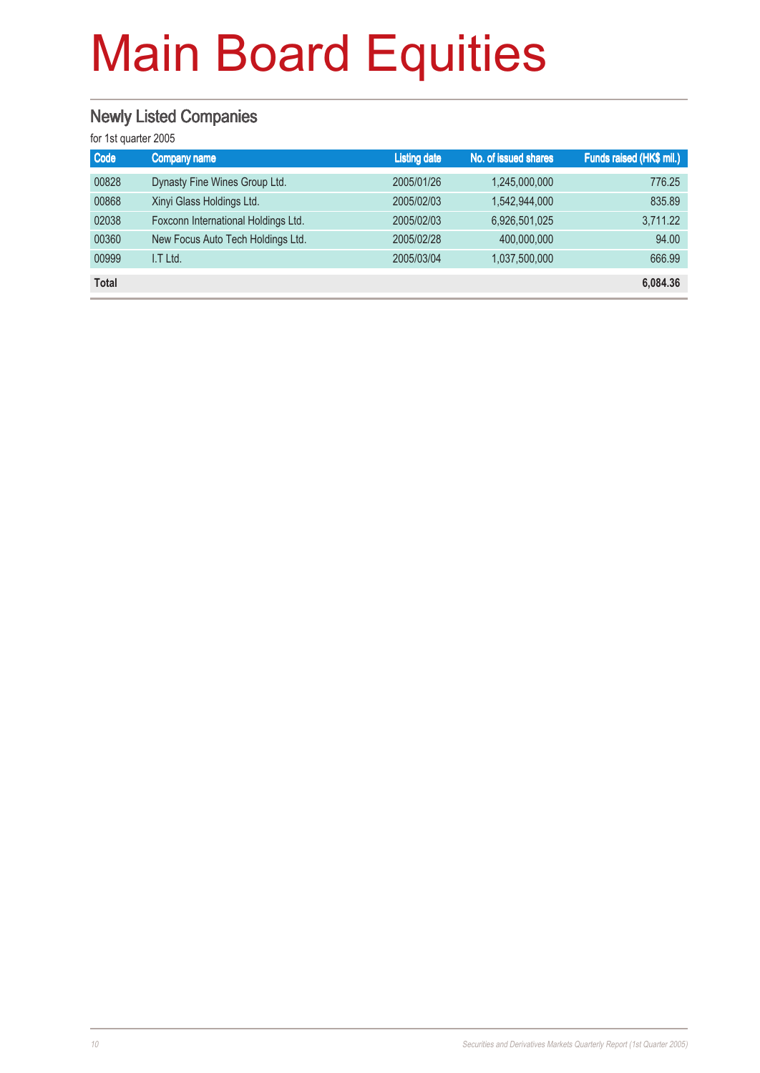### Newly Listed Companies

| Code         | Company name                        | <b>Listing date</b> | No. of issued shares | Funds raised (HK\$ mil.) |
|--------------|-------------------------------------|---------------------|----------------------|--------------------------|
| 00828        | Dynasty Fine Wines Group Ltd.       | 2005/01/26          | 1,245,000,000        | 776.25                   |
| 00868        | Xinyi Glass Holdings Ltd.           | 2005/02/03          | 1,542,944,000        | 835.89                   |
| 02038        | Foxconn International Holdings Ltd. | 2005/02/03          | 6,926,501,025        | 3,711.22                 |
| 00360        | New Focus Auto Tech Holdings Ltd.   | 2005/02/28          | 400,000,000          | 94.00                    |
| 00999        | I.T Ltd.                            | 2005/03/04          | 1,037,500,000        | 666.99                   |
| <b>Total</b> |                                     |                     |                      | 6,084.36                 |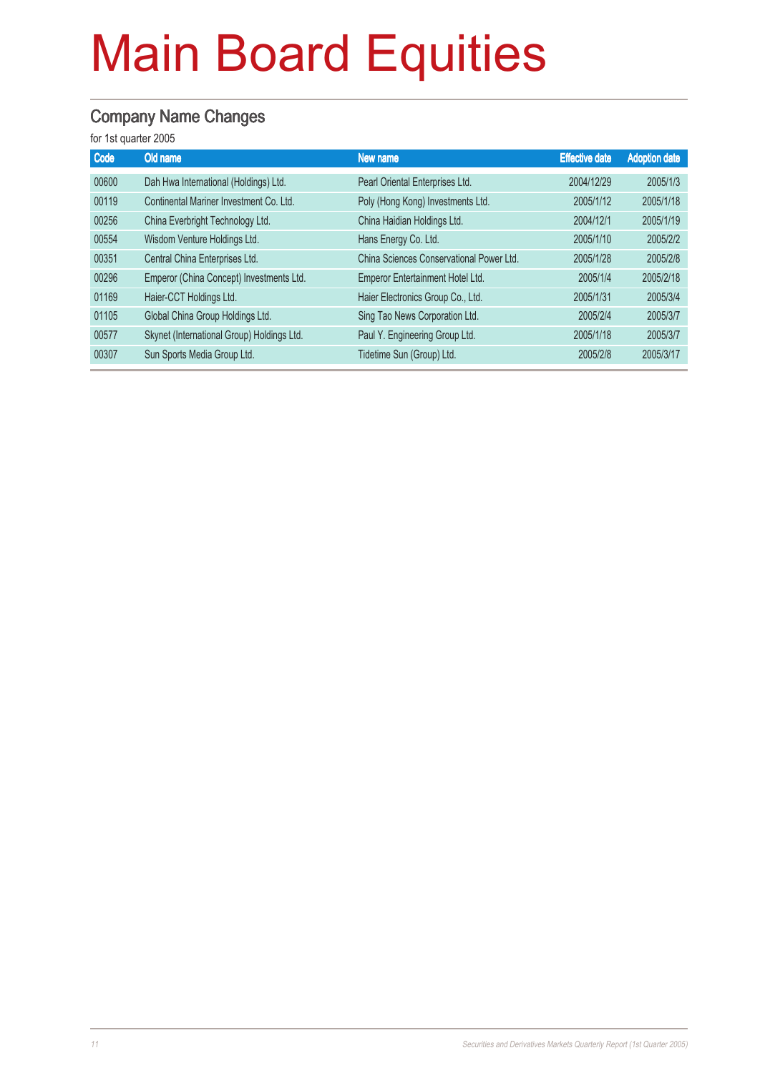### Company Name Changes

| Code  | Old name                                   | New name                                 | <b>Effective date</b> | <b>Adoption date</b> |
|-------|--------------------------------------------|------------------------------------------|-----------------------|----------------------|
| 00600 | Dah Hwa International (Holdings) Ltd.      | Pearl Oriental Enterprises Ltd.          | 2004/12/29            | 2005/1/3             |
| 00119 | Continental Mariner Investment Co. Ltd.    | Poly (Hong Kong) Investments Ltd.        | 2005/1/12             | 2005/1/18            |
| 00256 | China Everbright Technology Ltd.           | China Haidian Holdings Ltd.              | 2004/12/1             | 2005/1/19            |
| 00554 | Wisdom Venture Holdings Ltd.               | Hans Energy Co. Ltd.                     | 2005/1/10             | 2005/2/2             |
| 00351 | Central China Enterprises Ltd.             | China Sciences Conservational Power Ltd. | 2005/1/28             | 2005/2/8             |
| 00296 | Emperor (China Concept) Investments Ltd.   | Emperor Entertainment Hotel Ltd.         | 2005/1/4              | 2005/2/18            |
| 01169 | Haier-CCT Holdings Ltd.                    | Haier Electronics Group Co., Ltd.        | 2005/1/31             | 2005/3/4             |
| 01105 | Global China Group Holdings Ltd.           | Sing Tao News Corporation Ltd.           | 2005/2/4              | 2005/3/7             |
| 00577 | Skynet (International Group) Holdings Ltd. | Paul Y. Engineering Group Ltd.           | 2005/1/18             | 2005/3/7             |
| 00307 | Sun Sports Media Group Ltd.                | Tidetime Sun (Group) Ltd.                | 2005/2/8              | 2005/3/17            |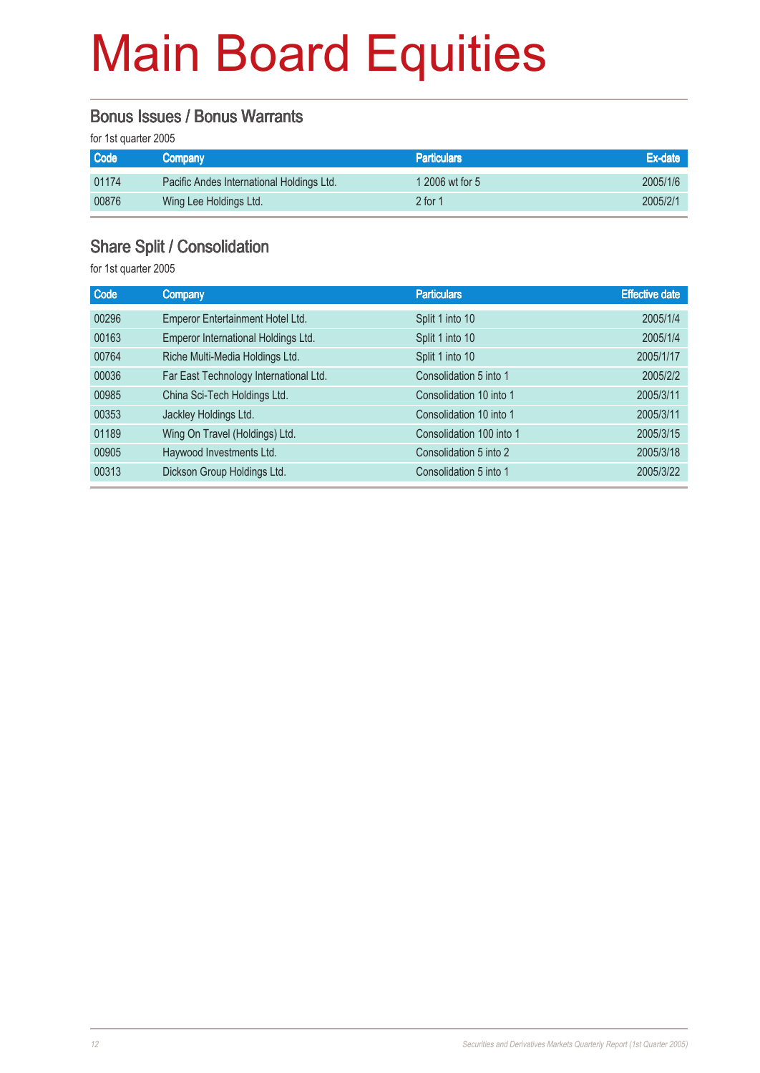#### Bonus Issues / Bonus Warrants

for 1st quarter 2005

| <b>Code</b> | Company                                   | <b>Particulars</b> | Ex-date  |
|-------------|-------------------------------------------|--------------------|----------|
| 01174       | Pacific Andes International Holdings Ltd. | 1 2006 wt for 5    | 2005/1/6 |
| 00876       | Wing Lee Holdings Ltd.                    | $2$ for 1          | 2005/2/1 |

### Share Split / Consolidation

| <b>Code</b> | <b>Company</b>                         | <b>Particulars</b>       | <b>Effective date</b> |
|-------------|----------------------------------------|--------------------------|-----------------------|
| 00296       | Emperor Entertainment Hotel Ltd.       | Split 1 into 10          | 2005/1/4              |
| 00163       | Emperor International Holdings Ltd.    | Split 1 into 10          | 2005/1/4              |
| 00764       | Riche Multi-Media Holdings Ltd.        | Split 1 into 10          | 2005/1/17             |
| 00036       | Far East Technology International Ltd. | Consolidation 5 into 1   | 2005/2/2              |
| 00985       | China Sci-Tech Holdings Ltd.           | Consolidation 10 into 1  | 2005/3/11             |
| 00353       | Jackley Holdings Ltd.                  | Consolidation 10 into 1  | 2005/3/11             |
| 01189       | Wing On Travel (Holdings) Ltd.         | Consolidation 100 into 1 | 2005/3/15             |
| 00905       | Haywood Investments Ltd.               | Consolidation 5 into 2   | 2005/3/18             |
| 00313       | Dickson Group Holdings Ltd.            | Consolidation 5 into 1   | 2005/3/22             |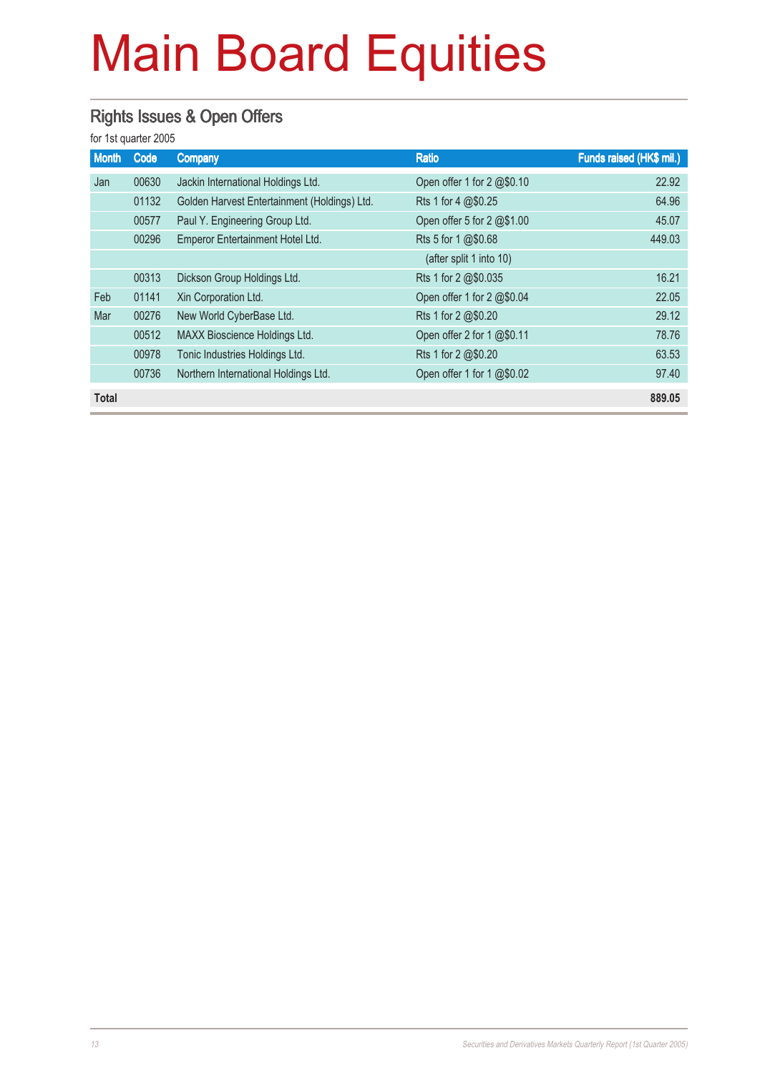### Rights Issues & Open Offers

| <b>Month</b> | Code  | Company                                      | <b>Ratio</b>               | Funds raised (HK\$ mil.) |
|--------------|-------|----------------------------------------------|----------------------------|--------------------------|
| Jan          | 00630 | Jackin International Holdings Ltd.           | Open offer 1 for 2 @\$0.10 | 22.92                    |
|              | 01132 | Golden Harvest Entertainment (Holdings) Ltd. | Rts 1 for 4 @\$0.25        | 64.96                    |
|              | 00577 | Paul Y. Engineering Group Ltd.               | Open offer 5 for 2 @\$1.00 | 45.07                    |
|              | 00296 | Emperor Entertainment Hotel Ltd.             | Rts 5 for 1 @\$0.68        | 449.03                   |
|              |       |                                              | (after split 1 into 10)    |                          |
|              | 00313 | Dickson Group Holdings Ltd.                  | Rts 1 for 2 @\$0.035       | 16.21                    |
| Feb          | 01141 | Xin Corporation Ltd.                         | Open offer 1 for 2 @\$0.04 | 22.05                    |
| Mar          | 00276 | New World CyberBase Ltd.                     | Rts 1 for 2 @\$0.20        | 29.12                    |
|              | 00512 | MAXX Bioscience Holdings Ltd.                | Open offer 2 for 1 @\$0.11 | 78.76                    |
|              | 00978 | Tonic Industries Holdings Ltd.               | Rts 1 for 2 @\$0.20        | 63.53                    |
|              | 00736 | Northern International Holdings Ltd.         | Open offer 1 for 1 @\$0.02 | 97.40                    |
| <b>Total</b> |       |                                              |                            | 889.05                   |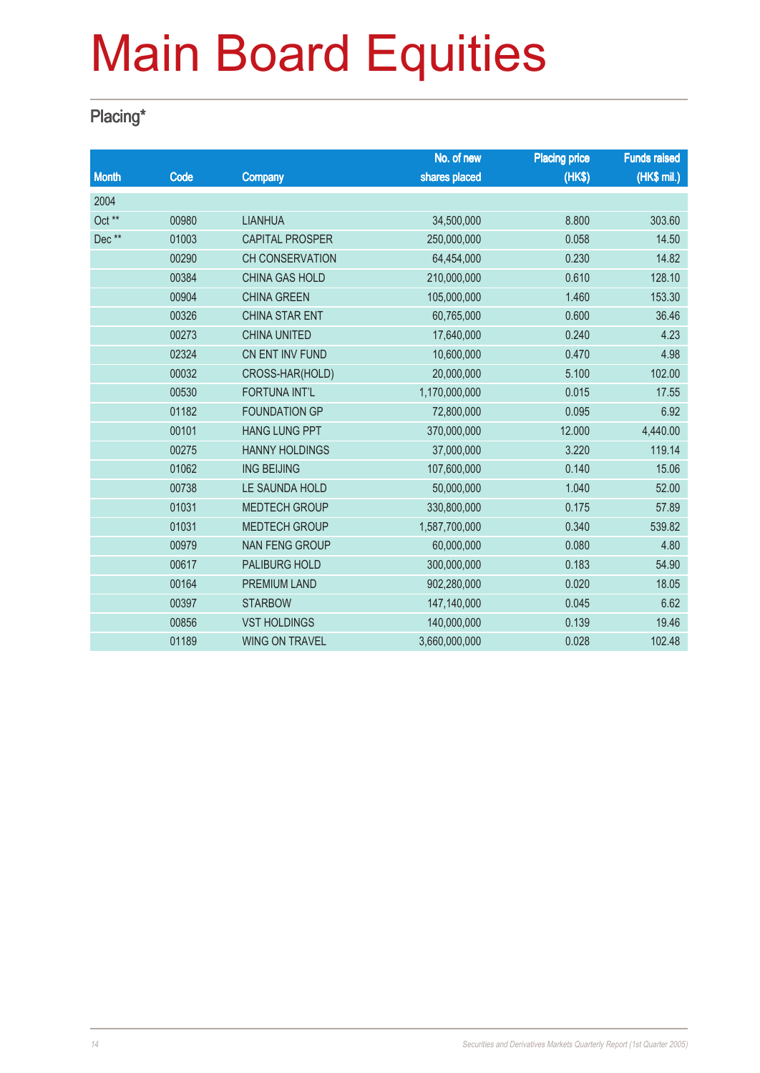### Placing\*

|              |       |                        | No. of new    | <b>Placing price</b> | <b>Funds raised</b> |
|--------------|-------|------------------------|---------------|----------------------|---------------------|
| <b>Month</b> | Code  | <b>Company</b>         | shares placed | (HK\$)               | (HK\$ mil.)         |
| 2004         |       |                        |               |                      |                     |
| Oct **       | 00980 | <b>LIANHUA</b>         | 34,500,000    | 8.800                | 303.60              |
| Dec**        | 01003 | <b>CAPITAL PROSPER</b> | 250,000,000   | 0.058                | 14.50               |
|              | 00290 | <b>CH CONSERVATION</b> | 64,454,000    | 0.230                | 14.82               |
|              | 00384 | <b>CHINA GAS HOLD</b>  | 210,000,000   | 0.610                | 128.10              |
|              | 00904 | <b>CHINA GREEN</b>     | 105,000,000   | 1.460                | 153.30              |
|              | 00326 | <b>CHINA STAR ENT</b>  | 60,765,000    | 0.600                | 36.46               |
|              | 00273 | <b>CHINA UNITED</b>    | 17,640,000    | 0.240                | 4.23                |
|              | 02324 | CN ENT INV FUND        | 10,600,000    | 0.470                | 4.98                |
|              | 00032 | CROSS-HAR(HOLD)        | 20,000,000    | 5.100                | 102.00              |
|              | 00530 | <b>FORTUNA INT'L</b>   | 1,170,000,000 | 0.015                | 17.55               |
|              | 01182 | <b>FOUNDATION GP</b>   | 72,800,000    | 0.095                | 6.92                |
|              | 00101 | <b>HANG LUNG PPT</b>   | 370,000,000   | 12.000               | 4,440.00            |
|              | 00275 | <b>HANNY HOLDINGS</b>  | 37,000,000    | 3.220                | 119.14              |
|              | 01062 | <b>ING BEIJING</b>     | 107,600,000   | 0.140                | 15.06               |
|              | 00738 | LE SAUNDA HOLD         | 50,000,000    | 1.040                | 52.00               |
|              | 01031 | <b>MEDTECH GROUP</b>   | 330,800,000   | 0.175                | 57.89               |
|              | 01031 | <b>MEDTECH GROUP</b>   | 1,587,700,000 | 0.340                | 539.82              |
|              | 00979 | <b>NAN FENG GROUP</b>  | 60,000,000    | 0.080                | 4.80                |
|              | 00617 | PALIBURG HOLD          | 300,000,000   | 0.183                | 54.90               |
|              | 00164 | <b>PREMIUM LAND</b>    | 902,280,000   | 0.020                | 18.05               |
|              | 00397 | <b>STARBOW</b>         | 147,140,000   | 0.045                | 6.62                |
|              | 00856 | <b>VST HOLDINGS</b>    | 140,000,000   | 0.139                | 19.46               |
|              | 01189 | <b>WING ON TRAVEL</b>  | 3,660,000,000 | 0.028                | 102.48              |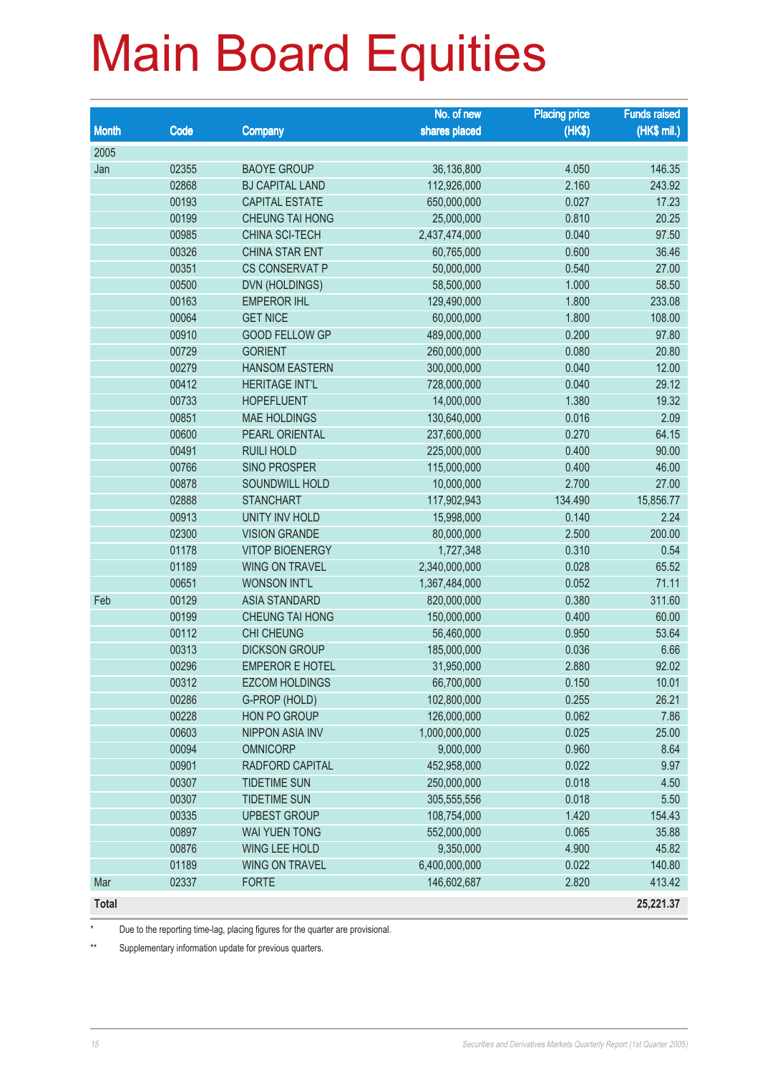|              |       |                        | No. of new    | <b>Placing price</b> | <b>Funds raised</b> |
|--------------|-------|------------------------|---------------|----------------------|---------------------|
| <b>Month</b> | Code  | <b>Company</b>         | shares placed | (HKS)                | (HK\$ mil.)         |
| 2005         |       |                        |               |                      |                     |
| Jan          | 02355 | <b>BAOYE GROUP</b>     | 36,136,800    | 4.050                | 146.35              |
|              | 02868 | <b>BJ CAPITAL LAND</b> | 112,926,000   | 2.160                | 243.92              |
|              | 00193 | <b>CAPITAL ESTATE</b>  | 650,000,000   | 0.027                | 17.23               |
|              | 00199 | <b>CHEUNG TAI HONG</b> | 25,000,000    | 0.810                | 20.25               |
|              | 00985 | CHINA SCI-TECH         | 2,437,474,000 | 0.040                | 97.50               |
|              | 00326 | <b>CHINA STAR ENT</b>  | 60,765,000    | 0.600                | 36.46               |
|              | 00351 | <b>CS CONSERVAT P</b>  | 50,000,000    | 0.540                | 27.00               |
|              | 00500 | DVN (HOLDINGS)         | 58,500,000    | 1.000                | 58.50               |
|              | 00163 | <b>EMPEROR IHL</b>     | 129,490,000   | 1.800                | 233.08              |
|              | 00064 | <b>GET NICE</b>        | 60,000,000    | 1.800                | 108.00              |
|              | 00910 | <b>GOOD FELLOW GP</b>  | 489,000,000   | 0.200                | 97.80               |
|              | 00729 | <b>GORIENT</b>         | 260,000,000   | 0.080                | 20.80               |
|              | 00279 | <b>HANSOM EASTERN</b>  | 300,000,000   | 0.040                | 12.00               |
|              | 00412 | <b>HERITAGE INT'L</b>  | 728,000,000   | 0.040                | 29.12               |
|              | 00733 | <b>HOPEFLUENT</b>      | 14,000,000    | 1.380                | 19.32               |
|              | 00851 | <b>MAE HOLDINGS</b>    | 130,640,000   | 0.016                | 2.09                |
|              | 00600 | PEARL ORIENTAL         | 237,600,000   | 0.270                | 64.15               |
|              | 00491 | <b>RUILI HOLD</b>      | 225,000,000   | 0.400                | 90.00               |
|              | 00766 | <b>SINO PROSPER</b>    | 115,000,000   | 0.400                | 46.00               |
|              | 00878 | SOUNDWILL HOLD         | 10,000,000    | 2.700                | 27.00               |
|              | 02888 | <b>STANCHART</b>       | 117,902,943   | 134.490              | 15,856.77           |
|              | 00913 | <b>UNITY INV HOLD</b>  | 15,998,000    | 0.140                | 2.24                |
|              | 02300 | <b>VISION GRANDE</b>   | 80,000,000    | 2.500                | 200.00              |
|              | 01178 | <b>VITOP BIOENERGY</b> | 1,727,348     | 0.310                | 0.54                |
|              | 01189 | <b>WING ON TRAVEL</b>  | 2,340,000,000 | 0.028                | 65.52               |
|              | 00651 | <b>WONSON INT'L</b>    | 1,367,484,000 | 0.052                | 71.11               |
| Feb          | 00129 | <b>ASIA STANDARD</b>   | 820,000,000   | 0.380                | 311.60              |
|              | 00199 | CHEUNG TAI HONG        | 150,000,000   | 0.400                | 60.00               |
|              | 00112 | <b>CHI CHEUNG</b>      | 56,460,000    | 0.950                | 53.64               |
|              | 00313 | <b>DICKSON GROUP</b>   | 185,000,000   | 0.036                | 6.66                |
|              | 00296 | <b>EMPEROR E HOTEL</b> | 31,950,000    | 2.880                | 92.02               |
|              | 00312 | <b>EZCOM HOLDINGS</b>  | 66,700,000    | 0.150                | 10.01               |
|              | 00286 | G-PROP (HOLD)          | 102,800,000   | 0.255                | 26.21               |
|              | 00228 | HON PO GROUP           | 126,000,000   | 0.062                | 7.86                |
|              | 00603 | <b>NIPPON ASIA INV</b> | 1,000,000,000 | 0.025                | 25.00               |
|              | 00094 | <b>OMNICORP</b>        | 9,000,000     | 0.960                | 8.64                |
|              | 00901 | RADFORD CAPITAL        | 452,958,000   | 0.022                | 9.97                |
|              | 00307 | <b>TIDETIME SUN</b>    | 250,000,000   | 0.018                | 4.50                |
|              | 00307 | <b>TIDETIME SUN</b>    | 305,555,556   | 0.018                | 5.50                |
|              | 00335 | <b>UPBEST GROUP</b>    | 108,754,000   | 1.420                | 154.43              |
|              | 00897 | <b>WAI YUEN TONG</b>   | 552,000,000   | 0.065                | 35.88               |
|              | 00876 | <b>WING LEE HOLD</b>   | 9,350,000     | 4.900                | 45.82               |
|              | 01189 | <b>WING ON TRAVEL</b>  | 6,400,000,000 | 0.022                | 140.80              |
| Mar          | 02337 | <b>FORTE</b>           | 146,602,687   | 2.820                | 413.42              |
| Total        |       |                        |               |                      | 25,221.37           |

\* Due to the reporting time-lag, placing figures for the quarter are provisional.

\*\* Supplementary information update for previous quarters.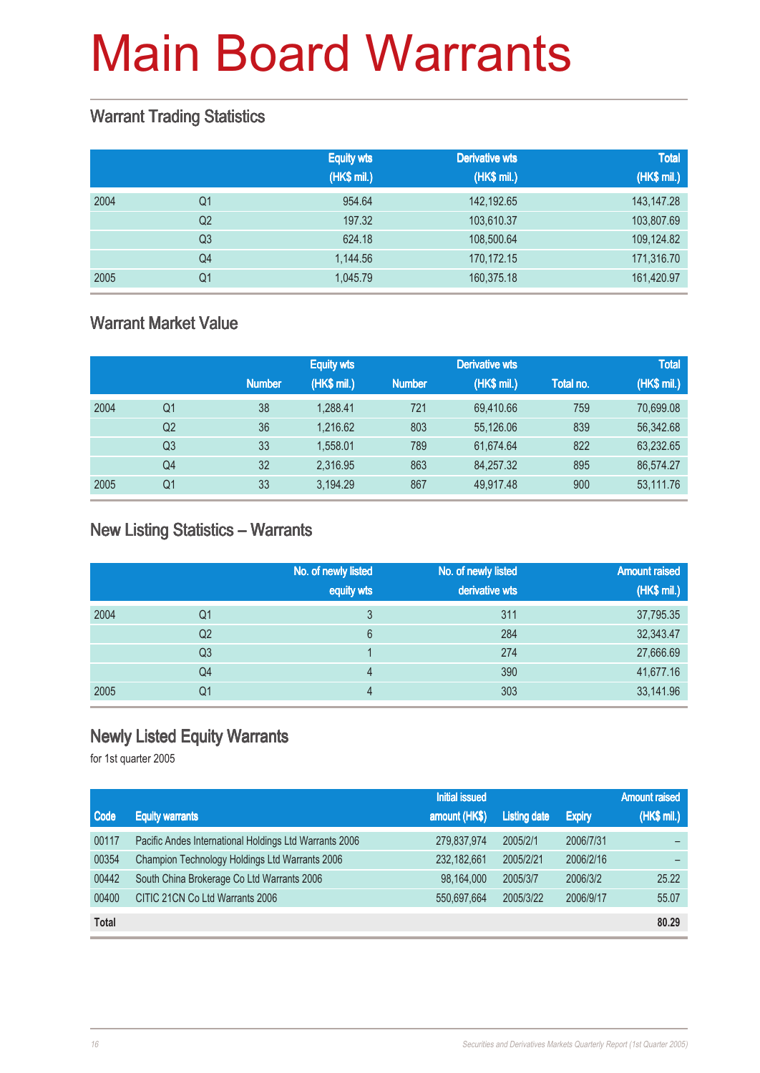#### Warrant Trading Statistics

|      |                | <b>Equity wts</b><br>(HK\$ mil.) | <b>Derivative wts</b><br>(HK\$ mil.) | <b>Total</b><br>(HK\$ mil.) |
|------|----------------|----------------------------------|--------------------------------------|-----------------------------|
| 2004 | Q1             | 954.64                           | 142,192.65                           | 143, 147. 28                |
|      | Q <sub>2</sub> | 197.32                           | 103,610.37                           | 103,807.69                  |
|      | Q <sub>3</sub> | 624.18                           | 108,500.64                           | 109,124.82                  |
|      | Q <sub>4</sub> | 1.144.56                         | 170,172.15                           | 171,316.70                  |
| 2005 | Q <sub>1</sub> | 1,045.79                         | 160,375.18                           | 161,420.97                  |

### Warrant Market Value

|      |                |               | <b>Equity wts</b> |               | <b>Derivative wts</b> |           | <b>Total</b> |
|------|----------------|---------------|-------------------|---------------|-----------------------|-----------|--------------|
|      |                | <b>Number</b> | (HK\$ mil.)       | <b>Number</b> | (HK\$ mil.)           | Total no. | (HK\$ mil.)  |
| 2004 | Q1             | 38            | 1.288.41          | 721           | 69.410.66             | 759       | 70,699.08    |
|      | Q <sub>2</sub> | 36            | 1.216.62          | 803           | 55.126.06             | 839       | 56,342.68    |
|      | Q3             | 33            | 1.558.01          | 789           | 61.674.64             | 822       | 63,232.65    |
|      | Q4             | 32            | 2.316.95          | 863           | 84.257.32             | 895       | 86,574.27    |
| 2005 | Q1             | 33            | 3.194.29          | 867           | 49.917.48             | 900       | 53,111.76    |

#### New Listing Statistics – Warrants

|      |                | No. of newly listed<br>equity wts | No. of newly listed<br>derivative wts | <b>Amount raised</b><br>(HK\$ mil.) |
|------|----------------|-----------------------------------|---------------------------------------|-------------------------------------|
| 2004 | Q1             | 3                                 | 311                                   | 37,795.35                           |
|      | Q <sub>2</sub> | 6                                 | 284                                   | 32,343.47                           |
|      | Q <sub>3</sub> |                                   | 274                                   | 27,666.69                           |
|      | Q <sub>4</sub> | 4                                 | 390                                   | 41,677.16                           |
| 2005 | Q1             | 4                                 | 303                                   | 33,141.96                           |

## Newly Listed Equity Warrants

|              |                                                        | <b>Initial issued</b> |                     |               | <b>Amount raised</b> |
|--------------|--------------------------------------------------------|-----------------------|---------------------|---------------|----------------------|
| Code         | <b>Equity warrants</b>                                 | amount (HK\$)         | <b>Listing date</b> | <b>Expiry</b> | (HK\$ mil.)          |
| 00117        | Pacific Andes International Holdings Ltd Warrants 2006 | 279,837,974           | 2005/2/1            | 2006/7/31     |                      |
| 00354        | Champion Technology Holdings Ltd Warrants 2006         | 232, 182, 661         | 2005/2/21           | 2006/2/16     |                      |
| 00442        | South China Brokerage Co Ltd Warrants 2006             | 98,164,000            | 2005/3/7            | 2006/3/2      | 25.22                |
| 00400        | CITIC 21CN Co Ltd Warrants 2006                        | 550,697,664           | 2005/3/22           | 2006/9/17     | 55.07                |
| <b>Total</b> |                                                        |                       |                     |               | 80.29                |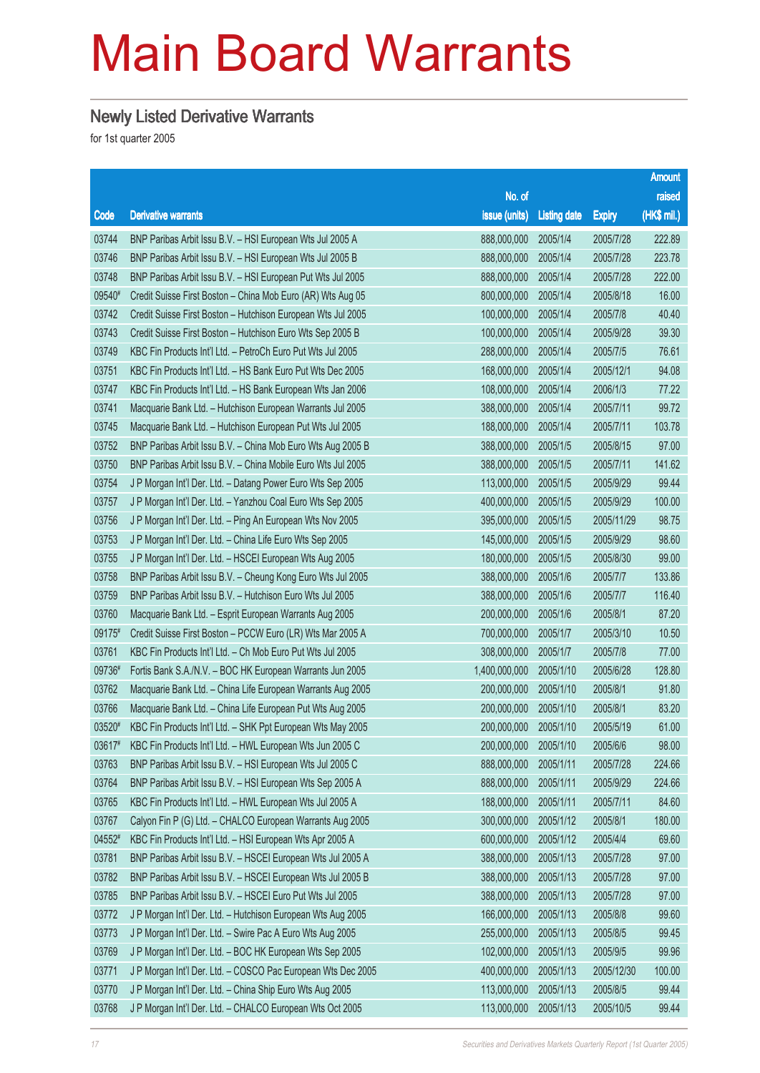### Newly Listed Derivative Warrants

|        |                                                              |                       |                     |               | <b>Amount</b> |
|--------|--------------------------------------------------------------|-----------------------|---------------------|---------------|---------------|
|        |                                                              | No. of                |                     |               | raised        |
| Code   | <b>Derivative warrants</b>                                   | issue (units)         | <b>Listing date</b> | <b>Expiry</b> | $(HK$$ mil.)  |
| 03744  | BNP Paribas Arbit Issu B.V. - HSI European Wts Jul 2005 A    | 888,000,000           | 2005/1/4            | 2005/7/28     | 222.89        |
| 03746  | BNP Paribas Arbit Issu B.V. - HSI European Wts Jul 2005 B    | 888,000,000           | 2005/1/4            | 2005/7/28     | 223.78        |
| 03748  | BNP Paribas Arbit Issu B.V. - HSI European Put Wts Jul 2005  | 888,000,000           | 2005/1/4            | 2005/7/28     | 222.00        |
| 09540# | Credit Suisse First Boston - China Mob Euro (AR) Wts Aug 05  | 800,000,000           | 2005/1/4            | 2005/8/18     | 16.00         |
| 03742  | Credit Suisse First Boston - Hutchison European Wts Jul 2005 | 100,000,000           | 2005/1/4            | 2005/7/8      | 40.40         |
| 03743  | Credit Suisse First Boston - Hutchison Euro Wts Sep 2005 B   | 100,000,000           | 2005/1/4            | 2005/9/28     | 39.30         |
| 03749  | KBC Fin Products Int'l Ltd. - PetroCh Euro Put Wts Jul 2005  | 288,000,000           | 2005/1/4            | 2005/7/5      | 76.61         |
| 03751  | KBC Fin Products Int'l Ltd. - HS Bank Euro Put Wts Dec 2005  | 168,000,000           | 2005/1/4            | 2005/12/1     | 94.08         |
| 03747  | KBC Fin Products Int'l Ltd. - HS Bank European Wts Jan 2006  | 108,000,000           | 2005/1/4            | 2006/1/3      | 77.22         |
| 03741  | Macquarie Bank Ltd. - Hutchison European Warrants Jul 2005   | 388,000,000           | 2005/1/4            | 2005/7/11     | 99.72         |
| 03745  | Macquarie Bank Ltd. - Hutchison European Put Wts Jul 2005    | 188,000,000           | 2005/1/4            | 2005/7/11     | 103.78        |
| 03752  | BNP Paribas Arbit Issu B.V. - China Mob Euro Wts Aug 2005 B  | 388,000,000           | 2005/1/5            | 2005/8/15     | 97.00         |
| 03750  | BNP Paribas Arbit Issu B.V. - China Mobile Euro Wts Jul 2005 | 388,000,000           | 2005/1/5            | 2005/7/11     | 141.62        |
| 03754  | J P Morgan Int'l Der. Ltd. - Datang Power Euro Wts Sep 2005  | 113,000,000           | 2005/1/5            | 2005/9/29     | 99.44         |
| 03757  | J P Morgan Int'l Der. Ltd. - Yanzhou Coal Euro Wts Sep 2005  | 400,000,000           | 2005/1/5            | 2005/9/29     | 100.00        |
| 03756  | J P Morgan Int'l Der. Ltd. - Ping An European Wts Nov 2005   | 395,000,000           | 2005/1/5            | 2005/11/29    | 98.75         |
| 03753  | J P Morgan Int'l Der. Ltd. - China Life Euro Wts Sep 2005    | 145,000,000           | 2005/1/5            | 2005/9/29     | 98.60         |
| 03755  | J P Morgan Int'l Der. Ltd. - HSCEI European Wts Aug 2005     | 180,000,000           | 2005/1/5            | 2005/8/30     | 99.00         |
| 03758  | BNP Paribas Arbit Issu B.V. - Cheung Kong Euro Wts Jul 2005  | 388,000,000           | 2005/1/6            | 2005/7/7      | 133.86        |
| 03759  | BNP Paribas Arbit Issu B.V. - Hutchison Euro Wts Jul 2005    | 388,000,000           | 2005/1/6            | 2005/7/7      | 116.40        |
| 03760  | Macquarie Bank Ltd. - Esprit European Warrants Aug 2005      | 200,000,000           | 2005/1/6            | 2005/8/1      | 87.20         |
| 09175# | Credit Suisse First Boston - PCCW Euro (LR) Wts Mar 2005 A   | 700,000,000           | 2005/1/7            | 2005/3/10     | 10.50         |
| 03761  | KBC Fin Products Int'l Ltd. - Ch Mob Euro Put Wts Jul 2005   | 308,000,000           | 2005/1/7            | 2005/7/8      | 77.00         |
| 09736# | Fortis Bank S.A./N.V. - BOC HK European Warrants Jun 2005    | 1,400,000,000         | 2005/1/10           | 2005/6/28     | 128.80        |
| 03762  | Macquarie Bank Ltd. - China Life European Warrants Aug 2005  | 200,000,000           | 2005/1/10           | 2005/8/1      | 91.80         |
| 03766  | Macquarie Bank Ltd. - China Life European Put Wts Aug 2005   | 200,000,000           | 2005/1/10           | 2005/8/1      | 83.20         |
| 03520# | KBC Fin Products Int'l Ltd. - SHK Ppt European Wts May 2005  | 200,000,000           | 2005/1/10           | 2005/5/19     | 61.00         |
| 03617# | KBC Fin Products Int'l Ltd. - HWL European Wts Jun 2005 C    | 200,000,000 2005/1/10 |                     | 2005/6/6      | 98.00         |
| 03763  | BNP Paribas Arbit Issu B.V. - HSI European Wts Jul 2005 C    | 888,000,000           | 2005/1/11           | 2005/7/28     | 224.66        |
| 03764  | BNP Paribas Arbit Issu B.V. - HSI European Wts Sep 2005 A    | 888,000,000           | 2005/1/11           | 2005/9/29     | 224.66        |
| 03765  | KBC Fin Products Int'l Ltd. - HWL European Wts Jul 2005 A    | 188,000,000           | 2005/1/11           | 2005/7/11     | 84.60         |
| 03767  | Calyon Fin P (G) Ltd. - CHALCO European Warrants Aug 2005    | 300,000,000           | 2005/1/12           | 2005/8/1      | 180.00        |
| 04552# | KBC Fin Products Int'l Ltd. - HSI European Wts Apr 2005 A    | 600,000,000           | 2005/1/12           | 2005/4/4      | 69.60         |
| 03781  | BNP Paribas Arbit Issu B.V. - HSCEI European Wts Jul 2005 A  | 388,000,000           | 2005/1/13           | 2005/7/28     | 97.00         |
| 03782  | BNP Paribas Arbit Issu B.V. - HSCEI European Wts Jul 2005 B  | 388,000,000           | 2005/1/13           | 2005/7/28     | 97.00         |
| 03785  | BNP Paribas Arbit Issu B.V. - HSCEI Euro Put Wts Jul 2005    | 388,000,000           | 2005/1/13           | 2005/7/28     | 97.00         |
| 03772  | J P Morgan Int'l Der. Ltd. - Hutchison European Wts Aug 2005 | 166,000,000           | 2005/1/13           | 2005/8/8      | 99.60         |
| 03773  | J P Morgan Int'l Der. Ltd. - Swire Pac A Euro Wts Aug 2005   | 255,000,000           | 2005/1/13           | 2005/8/5      | 99.45         |
| 03769  | J P Morgan Int'l Der. Ltd. - BOC HK European Wts Sep 2005    | 102,000,000           | 2005/1/13           | 2005/9/5      | 99.96         |
| 03771  | J P Morgan Int'l Der. Ltd. - COSCO Pac European Wts Dec 2005 | 400,000,000           | 2005/1/13           | 2005/12/30    | 100.00        |
| 03770  | J P Morgan Int'l Der. Ltd. - China Ship Euro Wts Aug 2005    | 113,000,000           | 2005/1/13           | 2005/8/5      | 99.44         |
| 03768  | J P Morgan Int'l Der. Ltd. - CHALCO European Wts Oct 2005    | 113,000,000           | 2005/1/13           | 2005/10/5     | 99.44         |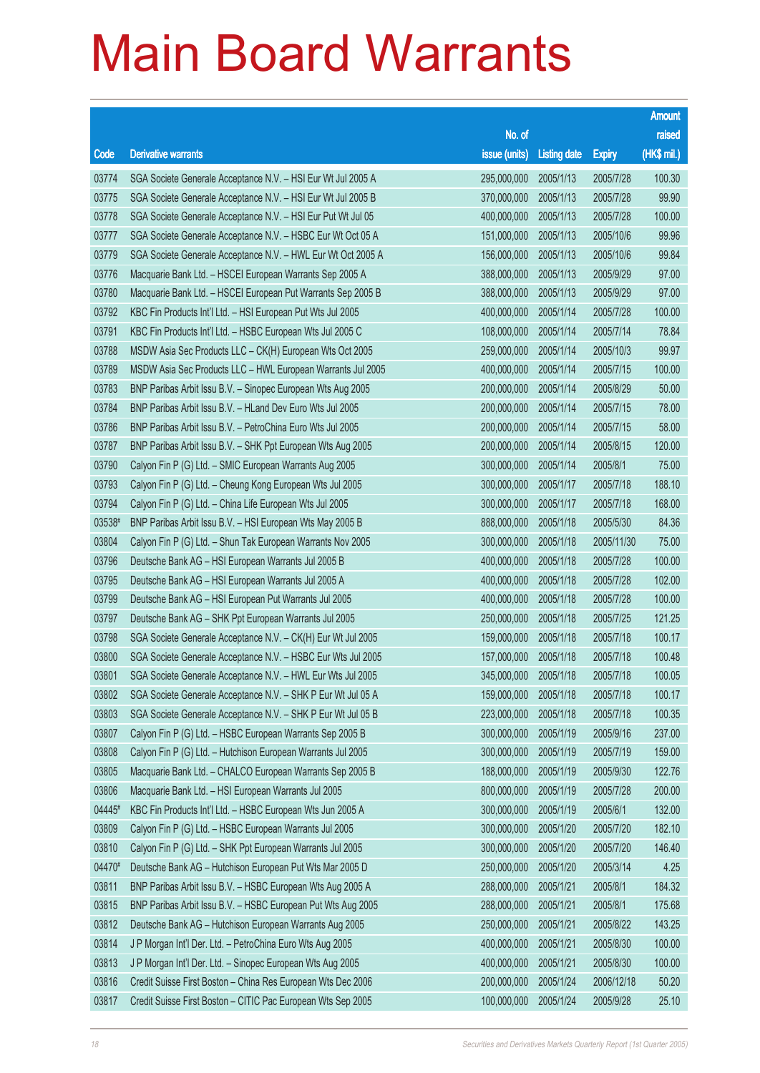|        |                                                              |               |                     |               | <b>Amount</b> |
|--------|--------------------------------------------------------------|---------------|---------------------|---------------|---------------|
|        |                                                              | No. of        |                     |               | raised        |
| Code   | <b>Derivative warrants</b>                                   | issue (units) | <b>Listing date</b> | <b>Expiry</b> | (HK\$ mil.)   |
| 03774  | SGA Societe Generale Acceptance N.V. - HSI Eur Wt Jul 2005 A | 295,000,000   | 2005/1/13           | 2005/7/28     | 100.30        |
| 03775  | SGA Societe Generale Acceptance N.V. - HSI Eur Wt Jul 2005 B | 370,000,000   | 2005/1/13           | 2005/7/28     | 99.90         |
| 03778  | SGA Societe Generale Acceptance N.V. - HSI Eur Put Wt Jul 05 | 400,000,000   | 2005/1/13           | 2005/7/28     | 100.00        |
| 03777  | SGA Societe Generale Acceptance N.V. - HSBC Eur Wt Oct 05 A  | 151,000,000   | 2005/1/13           | 2005/10/6     | 99.96         |
| 03779  | SGA Societe Generale Acceptance N.V. - HWL Eur Wt Oct 2005 A | 156,000,000   | 2005/1/13           | 2005/10/6     | 99.84         |
| 03776  | Macquarie Bank Ltd. - HSCEI European Warrants Sep 2005 A     | 388,000,000   | 2005/1/13           | 2005/9/29     | 97.00         |
| 03780  | Macquarie Bank Ltd. - HSCEI European Put Warrants Sep 2005 B | 388,000,000   | 2005/1/13           | 2005/9/29     | 97.00         |
| 03792  | KBC Fin Products Int'l Ltd. - HSI European Put Wts Jul 2005  | 400,000,000   | 2005/1/14           | 2005/7/28     | 100.00        |
| 03791  | KBC Fin Products Int'l Ltd. - HSBC European Wts Jul 2005 C   | 108,000,000   | 2005/1/14           | 2005/7/14     | 78.84         |
| 03788  | MSDW Asia Sec Products LLC - CK(H) European Wts Oct 2005     | 259,000,000   | 2005/1/14           | 2005/10/3     | 99.97         |
| 03789  | MSDW Asia Sec Products LLC - HWL European Warrants Jul 2005  | 400,000,000   | 2005/1/14           | 2005/7/15     | 100.00        |
| 03783  | BNP Paribas Arbit Issu B.V. - Sinopec European Wts Aug 2005  | 200,000,000   | 2005/1/14           | 2005/8/29     | 50.00         |
| 03784  | BNP Paribas Arbit Issu B.V. - HLand Dev Euro Wts Jul 2005    | 200,000,000   | 2005/1/14           | 2005/7/15     | 78.00         |
| 03786  | BNP Paribas Arbit Issu B.V. - PetroChina Euro Wts Jul 2005   | 200,000,000   | 2005/1/14           | 2005/7/15     | 58.00         |
| 03787  | BNP Paribas Arbit Issu B.V. - SHK Ppt European Wts Aug 2005  | 200,000,000   | 2005/1/14           | 2005/8/15     | 120.00        |
| 03790  | Calyon Fin P (G) Ltd. - SMIC European Warrants Aug 2005      | 300,000,000   | 2005/1/14           | 2005/8/1      | 75.00         |
| 03793  | Calyon Fin P (G) Ltd. - Cheung Kong European Wts Jul 2005    | 300,000,000   | 2005/1/17           | 2005/7/18     | 188.10        |
| 03794  | Calyon Fin P (G) Ltd. - China Life European Wts Jul 2005     | 300,000,000   | 2005/1/17           | 2005/7/18     | 168.00        |
| 03538# | BNP Paribas Arbit Issu B.V. - HSI European Wts May 2005 B    | 888,000,000   | 2005/1/18           | 2005/5/30     | 84.36         |
| 03804  | Calyon Fin P (G) Ltd. - Shun Tak European Warrants Nov 2005  | 300,000,000   | 2005/1/18           | 2005/11/30    | 75.00         |
| 03796  | Deutsche Bank AG - HSI European Warrants Jul 2005 B          | 400,000,000   | 2005/1/18           | 2005/7/28     | 100.00        |
| 03795  | Deutsche Bank AG - HSI European Warrants Jul 2005 A          | 400,000,000   | 2005/1/18           | 2005/7/28     | 102.00        |
| 03799  | Deutsche Bank AG - HSI European Put Warrants Jul 2005        | 400,000,000   | 2005/1/18           | 2005/7/28     | 100.00        |
| 03797  | Deutsche Bank AG - SHK Ppt European Warrants Jul 2005        | 250,000,000   | 2005/1/18           | 2005/7/25     | 121.25        |
| 03798  | SGA Societe Generale Acceptance N.V. - CK(H) Eur Wt Jul 2005 | 159,000,000   | 2005/1/18           | 2005/7/18     | 100.17        |
| 03800  | SGA Societe Generale Acceptance N.V. - HSBC Eur Wts Jul 2005 | 157,000,000   | 2005/1/18           | 2005/7/18     | 100.48        |
| 03801  | SGA Societe Generale Acceptance N.V. - HWL Eur Wts Jul 2005  | 345,000,000   | 2005/1/18           | 2005/7/18     | 100.05        |
| 03802  | SGA Societe Generale Acceptance N.V. - SHK P Eur Wt Jul 05 A | 159,000,000   | 2005/1/18           | 2005/7/18     | 100.17        |
| 03803  | SGA Societe Generale Acceptance N.V. - SHK P Eur Wt Jul 05 B | 223,000,000   | 2005/1/18           | 2005/7/18     | 100.35        |
| 03807  | Calyon Fin P (G) Ltd. - HSBC European Warrants Sep 2005 B    | 300,000,000   | 2005/1/19           | 2005/9/16     | 237.00        |
| 03808  | Calyon Fin P (G) Ltd. - Hutchison European Warrants Jul 2005 | 300,000,000   | 2005/1/19           | 2005/7/19     | 159.00        |
| 03805  | Macquarie Bank Ltd. - CHALCO European Warrants Sep 2005 B    | 188,000,000   | 2005/1/19           | 2005/9/30     | 122.76        |
| 03806  | Macquarie Bank Ltd. - HSI European Warrants Jul 2005         | 800,000,000   | 2005/1/19           | 2005/7/28     | 200.00        |
| 04445# | KBC Fin Products Int'l Ltd. - HSBC European Wts Jun 2005 A   | 300,000,000   | 2005/1/19           | 2005/6/1      | 132.00        |
| 03809  | Calyon Fin P (G) Ltd. - HSBC European Warrants Jul 2005      | 300,000,000   | 2005/1/20           | 2005/7/20     | 182.10        |
| 03810  | Calyon Fin P (G) Ltd. - SHK Ppt European Warrants Jul 2005   | 300,000,000   | 2005/1/20           | 2005/7/20     | 146.40        |
| 04470# | Deutsche Bank AG - Hutchison European Put Wts Mar 2005 D     | 250,000,000   | 2005/1/20           | 2005/3/14     | 4.25          |
| 03811  | BNP Paribas Arbit Issu B.V. - HSBC European Wts Aug 2005 A   | 288,000,000   | 2005/1/21           | 2005/8/1      | 184.32        |
| 03815  | BNP Paribas Arbit Issu B.V. - HSBC European Put Wts Aug 2005 | 288,000,000   | 2005/1/21           | 2005/8/1      | 175.68        |
| 03812  | Deutsche Bank AG - Hutchison European Warrants Aug 2005      | 250,000,000   | 2005/1/21           | 2005/8/22     | 143.25        |
| 03814  | J P Morgan Int'l Der. Ltd. - PetroChina Euro Wts Aug 2005    | 400,000,000   | 2005/1/21           | 2005/8/30     | 100.00        |
| 03813  | J P Morgan Int'l Der. Ltd. - Sinopec European Wts Aug 2005   | 400,000,000   | 2005/1/21           | 2005/8/30     | 100.00        |
| 03816  | Credit Suisse First Boston - China Res European Wts Dec 2006 | 200,000,000   | 2005/1/24           | 2006/12/18    | 50.20         |
| 03817  | Credit Suisse First Boston - CITIC Pac European Wts Sep 2005 | 100,000,000   | 2005/1/24           | 2005/9/28     | 25.10         |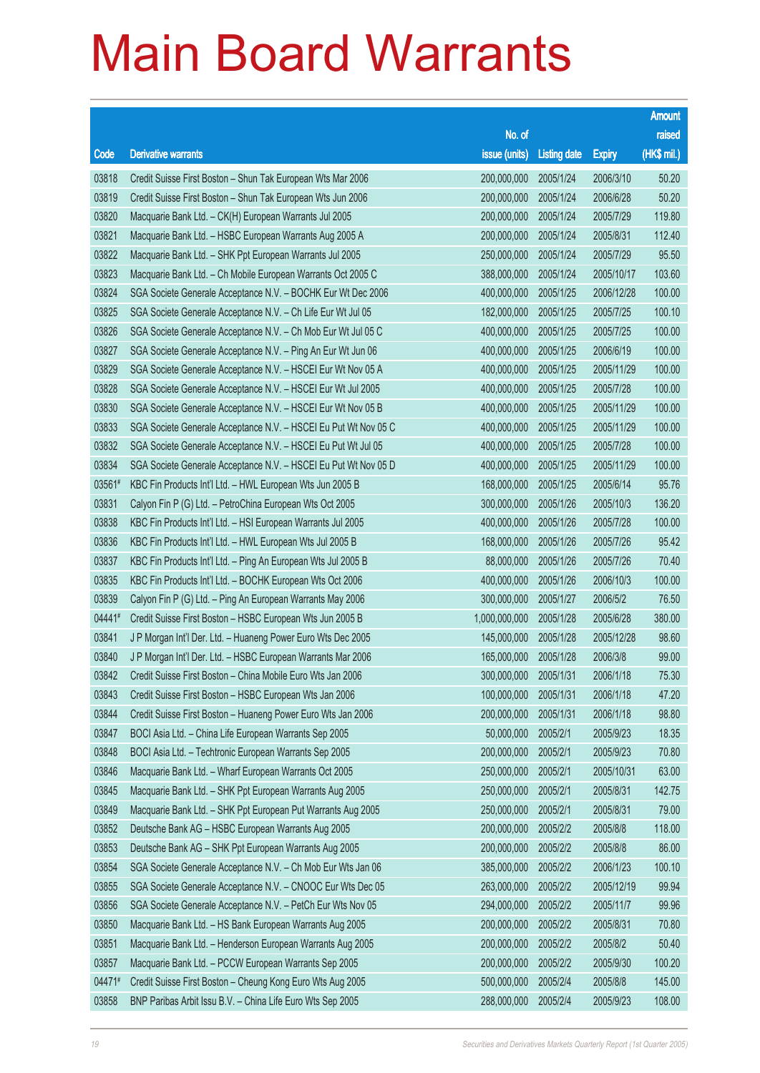|        |                                                                 |                       |                     |               | <b>Amount</b> |
|--------|-----------------------------------------------------------------|-----------------------|---------------------|---------------|---------------|
|        |                                                                 | No. of                |                     |               | raised        |
| Code   | <b>Derivative warrants</b>                                      | issue (units)         | <b>Listing date</b> | <b>Expiry</b> | (HK\$ mil.)   |
| 03818  | Credit Suisse First Boston - Shun Tak European Wts Mar 2006     | 200,000,000           | 2005/1/24           | 2006/3/10     | 50.20         |
| 03819  | Credit Suisse First Boston - Shun Tak European Wts Jun 2006     | 200,000,000           | 2005/1/24           | 2006/6/28     | 50.20         |
| 03820  | Macquarie Bank Ltd. - CK(H) European Warrants Jul 2005          | 200,000,000           | 2005/1/24           | 2005/7/29     | 119.80        |
| 03821  | Macquarie Bank Ltd. - HSBC European Warrants Aug 2005 A         | 200,000,000           | 2005/1/24           | 2005/8/31     | 112.40        |
| 03822  | Macquarie Bank Ltd. - SHK Ppt European Warrants Jul 2005        | 250,000,000           | 2005/1/24           | 2005/7/29     | 95.50         |
| 03823  | Macquarie Bank Ltd. - Ch Mobile European Warrants Oct 2005 C    | 388,000,000           | 2005/1/24           | 2005/10/17    | 103.60        |
| 03824  | SGA Societe Generale Acceptance N.V. - BOCHK Eur Wt Dec 2006    | 400,000,000           | 2005/1/25           | 2006/12/28    | 100.00        |
| 03825  | SGA Societe Generale Acceptance N.V. - Ch Life Eur Wt Jul 05    | 182,000,000           | 2005/1/25           | 2005/7/25     | 100.10        |
| 03826  | SGA Societe Generale Acceptance N.V. - Ch Mob Eur Wt Jul 05 C   | 400,000,000           | 2005/1/25           | 2005/7/25     | 100.00        |
| 03827  | SGA Societe Generale Acceptance N.V. - Ping An Eur Wt Jun 06    | 400,000,000           | 2005/1/25           | 2006/6/19     | 100.00        |
| 03829  | SGA Societe Generale Acceptance N.V. - HSCEI Eur Wt Nov 05 A    | 400,000,000           | 2005/1/25           | 2005/11/29    | 100.00        |
| 03828  | SGA Societe Generale Acceptance N.V. - HSCEI Eur Wt Jul 2005    | 400,000,000           | 2005/1/25           | 2005/7/28     | 100.00        |
| 03830  | SGA Societe Generale Acceptance N.V. - HSCEI Eur Wt Nov 05 B    | 400,000,000           | 2005/1/25           | 2005/11/29    | 100.00        |
| 03833  | SGA Societe Generale Acceptance N.V. - HSCEI Eu Put Wt Nov 05 C | 400,000,000           | 2005/1/25           | 2005/11/29    | 100.00        |
| 03832  | SGA Societe Generale Acceptance N.V. - HSCEI Eu Put Wt Jul 05   | 400,000,000           | 2005/1/25           | 2005/7/28     | 100.00        |
| 03834  | SGA Societe Generale Acceptance N.V. - HSCEI Eu Put Wt Nov 05 D | 400,000,000           | 2005/1/25           | 2005/11/29    | 100.00        |
| 03561# | KBC Fin Products Int'l Ltd. - HWL European Wts Jun 2005 B       | 168,000,000           | 2005/1/25           | 2005/6/14     | 95.76         |
| 03831  | Calyon Fin P (G) Ltd. - PetroChina European Wts Oct 2005        | 300,000,000           | 2005/1/26           | 2005/10/3     | 136.20        |
| 03838  | KBC Fin Products Int'l Ltd. - HSI European Warrants Jul 2005    | 400,000,000           | 2005/1/26           | 2005/7/28     | 100.00        |
| 03836  | KBC Fin Products Int'l Ltd. - HWL European Wts Jul 2005 B       | 168,000,000           | 2005/1/26           | 2005/7/26     | 95.42         |
| 03837  | KBC Fin Products Int'l Ltd. - Ping An European Wts Jul 2005 B   | 88,000,000            | 2005/1/26           | 2005/7/26     | 70.40         |
| 03835  | KBC Fin Products Int'l Ltd. - BOCHK European Wts Oct 2006       | 400,000,000           | 2005/1/26           | 2006/10/3     | 100.00        |
| 03839  | Calyon Fin P (G) Ltd. - Ping An European Warrants May 2006      | 300,000,000           | 2005/1/27           | 2006/5/2      | 76.50         |
| 04441# | Credit Suisse First Boston - HSBC European Wts Jun 2005 B       | 1,000,000,000         | 2005/1/28           | 2005/6/28     | 380.00        |
| 03841  | J P Morgan Int'l Der. Ltd. - Huaneng Power Euro Wts Dec 2005    | 145,000,000           | 2005/1/28           | 2005/12/28    | 98.60         |
| 03840  | J P Morgan Int'l Der. Ltd. - HSBC European Warrants Mar 2006    | 165,000,000           | 2005/1/28           | 2006/3/8      | 99.00         |
| 03842  | Credit Suisse First Boston - China Mobile Euro Wts Jan 2006     | 300,000,000 2005/1/31 |                     | 2006/1/18     | 75.30         |
| 03843  | Credit Suisse First Boston - HSBC European Wts Jan 2006         | 100,000,000           | 2005/1/31           | 2006/1/18     | 47.20         |
| 03844  | Credit Suisse First Boston - Huaneng Power Euro Wts Jan 2006    | 200,000,000           | 2005/1/31           | 2006/1/18     | 98.80         |
| 03847  | BOCI Asia Ltd. - China Life European Warrants Sep 2005          | 50,000,000            | 2005/2/1            | 2005/9/23     | 18.35         |
| 03848  | BOCI Asia Ltd. - Techtronic European Warrants Sep 2005          | 200,000,000           | 2005/2/1            | 2005/9/23     | 70.80         |
| 03846  | Macquarie Bank Ltd. - Wharf European Warrants Oct 2005          | 250,000,000           | 2005/2/1            | 2005/10/31    | 63.00         |
| 03845  | Macquarie Bank Ltd. - SHK Ppt European Warrants Aug 2005        | 250,000,000           | 2005/2/1            | 2005/8/31     | 142.75        |
| 03849  | Macquarie Bank Ltd. - SHK Ppt European Put Warrants Aug 2005    | 250,000,000           | 2005/2/1            | 2005/8/31     | 79.00         |
| 03852  | Deutsche Bank AG - HSBC European Warrants Aug 2005              | 200,000,000           | 2005/2/2            | 2005/8/8      | 118.00        |
| 03853  | Deutsche Bank AG - SHK Ppt European Warrants Aug 2005           | 200,000,000           | 2005/2/2            | 2005/8/8      | 86.00         |
| 03854  | SGA Societe Generale Acceptance N.V. - Ch Mob Eur Wts Jan 06    | 385,000,000           | 2005/2/2            | 2006/1/23     | 100.10        |
| 03855  | SGA Societe Generale Acceptance N.V. - CNOOC Eur Wts Dec 05     | 263,000,000           | 2005/2/2            | 2005/12/19    | 99.94         |
| 03856  | SGA Societe Generale Acceptance N.V. - PetCh Eur Wts Nov 05     | 294,000,000           | 2005/2/2            | 2005/11/7     | 99.96         |
| 03850  | Macquarie Bank Ltd. - HS Bank European Warrants Aug 2005        | 200,000,000           | 2005/2/2            | 2005/8/31     | 70.80         |
| 03851  | Macquarie Bank Ltd. - Henderson European Warrants Aug 2005      | 200,000,000           | 2005/2/2            | 2005/8/2      | 50.40         |
| 03857  | Macquarie Bank Ltd. - PCCW European Warrants Sep 2005           | 200,000,000           | 2005/2/2            | 2005/9/30     | 100.20        |
| 04471# | Credit Suisse First Boston - Cheung Kong Euro Wts Aug 2005      | 500,000,000           | 2005/2/4            | 2005/8/8      | 145.00        |
| 03858  | BNP Paribas Arbit Issu B.V. - China Life Euro Wts Sep 2005      | 288,000,000           | 2005/2/4            | 2005/9/23     | 108.00        |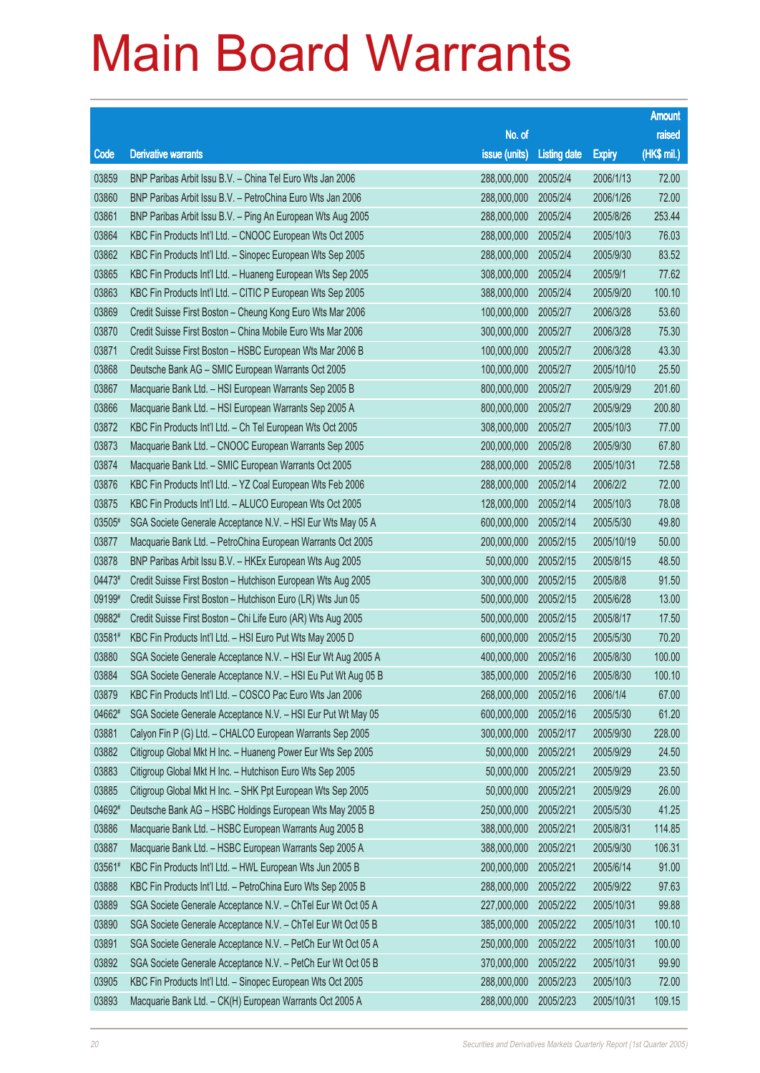|        |                                                               |                       |                     |               | <b>Amount</b> |
|--------|---------------------------------------------------------------|-----------------------|---------------------|---------------|---------------|
|        |                                                               | No. of                |                     |               | raised        |
| Code   | <b>Derivative warrants</b>                                    | issue (units)         | <b>Listing date</b> | <b>Expiry</b> | (HK\$ mil.)   |
| 03859  | BNP Paribas Arbit Issu B.V. - China Tel Euro Wts Jan 2006     | 288,000,000           | 2005/2/4            | 2006/1/13     | 72.00         |
| 03860  | BNP Paribas Arbit Issu B.V. - PetroChina Euro Wts Jan 2006    | 288,000,000           | 2005/2/4            | 2006/1/26     | 72.00         |
| 03861  | BNP Paribas Arbit Issu B.V. - Ping An European Wts Aug 2005   | 288,000,000           | 2005/2/4            | 2005/8/26     | 253.44        |
| 03864  | KBC Fin Products Int'l Ltd. - CNOOC European Wts Oct 2005     | 288,000,000           | 2005/2/4            | 2005/10/3     | 76.03         |
| 03862  | KBC Fin Products Int'l Ltd. - Sinopec European Wts Sep 2005   | 288,000,000           | 2005/2/4            | 2005/9/30     | 83.52         |
| 03865  | KBC Fin Products Int'l Ltd. - Huaneng European Wts Sep 2005   | 308,000,000           | 2005/2/4            | 2005/9/1      | 77.62         |
| 03863  | KBC Fin Products Int'l Ltd. - CITIC P European Wts Sep 2005   | 388,000,000           | 2005/2/4            | 2005/9/20     | 100.10        |
| 03869  | Credit Suisse First Boston - Cheung Kong Euro Wts Mar 2006    | 100,000,000           | 2005/2/7            | 2006/3/28     | 53.60         |
| 03870  | Credit Suisse First Boston - China Mobile Euro Wts Mar 2006   | 300,000,000           | 2005/2/7            | 2006/3/28     | 75.30         |
| 03871  | Credit Suisse First Boston - HSBC European Wts Mar 2006 B     | 100,000,000           | 2005/2/7            | 2006/3/28     | 43.30         |
| 03868  | Deutsche Bank AG - SMIC European Warrants Oct 2005            | 100,000,000           | 2005/2/7            | 2005/10/10    | 25.50         |
| 03867  | Macquarie Bank Ltd. - HSI European Warrants Sep 2005 B        | 800,000,000           | 2005/2/7            | 2005/9/29     | 201.60        |
| 03866  | Macquarie Bank Ltd. - HSI European Warrants Sep 2005 A        | 800,000,000           | 2005/2/7            | 2005/9/29     | 200.80        |
| 03872  | KBC Fin Products Int'l Ltd. - Ch Tel European Wts Oct 2005    | 308,000,000           | 2005/2/7            | 2005/10/3     | 77.00         |
| 03873  | Macquarie Bank Ltd. - CNOOC European Warrants Sep 2005        | 200,000,000           | 2005/2/8            | 2005/9/30     | 67.80         |
| 03874  | Macquarie Bank Ltd. - SMIC European Warrants Oct 2005         | 288,000,000           | 2005/2/8            | 2005/10/31    | 72.58         |
| 03876  | KBC Fin Products Int'l Ltd. - YZ Coal European Wts Feb 2006   | 288,000,000           | 2005/2/14           | 2006/2/2      | 72.00         |
| 03875  | KBC Fin Products Int'l Ltd. - ALUCO European Wts Oct 2005     | 128,000,000           | 2005/2/14           | 2005/10/3     | 78.08         |
| 03505# | SGA Societe Generale Acceptance N.V. - HSI Eur Wts May 05 A   | 600,000,000           | 2005/2/14           | 2005/5/30     | 49.80         |
| 03877  | Macquarie Bank Ltd. - PetroChina European Warrants Oct 2005   | 200,000,000           | 2005/2/15           | 2005/10/19    | 50.00         |
| 03878  | BNP Paribas Arbit Issu B.V. - HKEx European Wts Aug 2005      | 50,000,000            | 2005/2/15           | 2005/8/15     | 48.50         |
| 04473# | Credit Suisse First Boston - Hutchison European Wts Aug 2005  | 300,000,000           | 2005/2/15           | 2005/8/8      | 91.50         |
| 09199# | Credit Suisse First Boston - Hutchison Euro (LR) Wts Jun 05   | 500,000,000           | 2005/2/15           | 2005/6/28     | 13.00         |
| 09882# | Credit Suisse First Boston - Chi Life Euro (AR) Wts Aug 2005  | 500,000,000           | 2005/2/15           | 2005/8/17     | 17.50         |
| 03581# | KBC Fin Products Int'l Ltd. - HSI Euro Put Wts May 2005 D     | 600,000,000           | 2005/2/15           | 2005/5/30     | 70.20         |
| 03880  | SGA Societe Generale Acceptance N.V. - HSI Eur Wt Aug 2005 A  | 400,000,000           | 2005/2/16           | 2005/8/30     | 100.00        |
| 03884  | SGA Societe Generale Acceptance N.V. - HSI Eu Put Wt Aug 05 B | 385,000,000 2005/2/16 |                     | 2005/8/30     | 100.10        |
| 03879  | KBC Fin Products Int'l Ltd. - COSCO Pac Euro Wts Jan 2006     | 268,000,000           | 2005/2/16           | 2006/1/4      | 67.00         |
| 04662# | SGA Societe Generale Acceptance N.V. - HSI Eur Put Wt May 05  | 600,000,000           | 2005/2/16           | 2005/5/30     | 61.20         |
| 03881  | Calyon Fin P (G) Ltd. - CHALCO European Warrants Sep 2005     | 300,000,000           | 2005/2/17           | 2005/9/30     | 228.00        |
| 03882  | Citigroup Global Mkt H Inc. - Huaneng Power Eur Wts Sep 2005  | 50,000,000            | 2005/2/21           | 2005/9/29     | 24.50         |
| 03883  | Citigroup Global Mkt H Inc. - Hutchison Euro Wts Sep 2005     | 50,000,000            | 2005/2/21           | 2005/9/29     | 23.50         |
| 03885  | Citigroup Global Mkt H Inc. - SHK Ppt European Wts Sep 2005   | 50,000,000            | 2005/2/21           | 2005/9/29     | 26.00         |
| 04692# | Deutsche Bank AG - HSBC Holdings European Wts May 2005 B      | 250,000,000           | 2005/2/21           | 2005/5/30     | 41.25         |
| 03886  | Macquarie Bank Ltd. - HSBC European Warrants Aug 2005 B       | 388,000,000           | 2005/2/21           | 2005/8/31     | 114.85        |
| 03887  | Macquarie Bank Ltd. - HSBC European Warrants Sep 2005 A       | 388,000,000           | 2005/2/21           | 2005/9/30     | 106.31        |
| 03561# | KBC Fin Products Int'l Ltd. - HWL European Wts Jun 2005 B     | 200,000,000           | 2005/2/21           | 2005/6/14     | 91.00         |
| 03888  | KBC Fin Products Int'l Ltd. - PetroChina Euro Wts Sep 2005 B  | 288,000,000           | 2005/2/22           | 2005/9/22     | 97.63         |
| 03889  | SGA Societe Generale Acceptance N.V. - ChTel Eur Wt Oct 05 A  | 227,000,000           | 2005/2/22           | 2005/10/31    | 99.88         |
| 03890  | SGA Societe Generale Acceptance N.V. - ChTel Eur Wt Oct 05 B  | 385,000,000           | 2005/2/22           | 2005/10/31    | 100.10        |
| 03891  | SGA Societe Generale Acceptance N.V. - PetCh Eur Wt Oct 05 A  | 250,000,000           | 2005/2/22           | 2005/10/31    | 100.00        |
| 03892  | SGA Societe Generale Acceptance N.V. - PetCh Eur Wt Oct 05 B  | 370,000,000           | 2005/2/22           | 2005/10/31    | 99.90         |
| 03905  | KBC Fin Products Int'l Ltd. - Sinopec European Wts Oct 2005   | 288,000,000           | 2005/2/23           | 2005/10/3     | 72.00         |
| 03893  | Macquarie Bank Ltd. - CK(H) European Warrants Oct 2005 A      | 288,000,000           | 2005/2/23           | 2005/10/31    | 109.15        |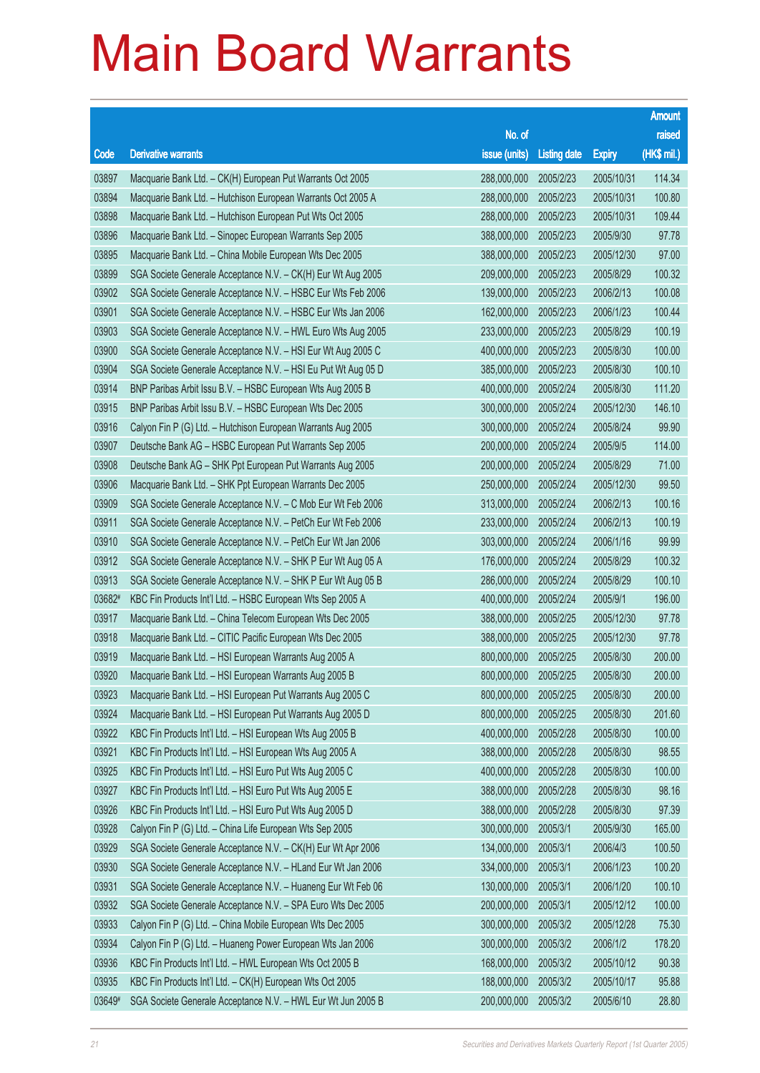|        |                                                               |                       |                     |               | <b>Amount</b> |
|--------|---------------------------------------------------------------|-----------------------|---------------------|---------------|---------------|
|        |                                                               | No. of                |                     |               | raised        |
| Code   | <b>Derivative warrants</b>                                    | issue (units)         | <b>Listing date</b> | <b>Expiry</b> | (HK\$ mil.)   |
| 03897  | Macquarie Bank Ltd. - CK(H) European Put Warrants Oct 2005    | 288,000,000           | 2005/2/23           | 2005/10/31    | 114.34        |
| 03894  | Macquarie Bank Ltd. - Hutchison European Warrants Oct 2005 A  | 288,000,000           | 2005/2/23           | 2005/10/31    | 100.80        |
| 03898  | Macquarie Bank Ltd. - Hutchison European Put Wts Oct 2005     | 288,000,000           | 2005/2/23           | 2005/10/31    | 109.44        |
| 03896  | Macquarie Bank Ltd. - Sinopec European Warrants Sep 2005      | 388,000,000           | 2005/2/23           | 2005/9/30     | 97.78         |
| 03895  | Macquarie Bank Ltd. - China Mobile European Wts Dec 2005      | 388,000,000           | 2005/2/23           | 2005/12/30    | 97.00         |
| 03899  | SGA Societe Generale Acceptance N.V. - CK(H) Eur Wt Aug 2005  | 209,000,000           | 2005/2/23           | 2005/8/29     | 100.32        |
| 03902  | SGA Societe Generale Acceptance N.V. - HSBC Eur Wts Feb 2006  | 139,000,000           | 2005/2/23           | 2006/2/13     | 100.08        |
| 03901  | SGA Societe Generale Acceptance N.V. - HSBC Eur Wts Jan 2006  | 162,000,000           | 2005/2/23           | 2006/1/23     | 100.44        |
| 03903  | SGA Societe Generale Acceptance N.V. - HWL Euro Wts Aug 2005  | 233,000,000           | 2005/2/23           | 2005/8/29     | 100.19        |
| 03900  | SGA Societe Generale Acceptance N.V. - HSI Eur Wt Aug 2005 C  | 400,000,000           | 2005/2/23           | 2005/8/30     | 100.00        |
| 03904  | SGA Societe Generale Acceptance N.V. - HSI Eu Put Wt Aug 05 D | 385,000,000           | 2005/2/23           | 2005/8/30     | 100.10        |
| 03914  | BNP Paribas Arbit Issu B.V. - HSBC European Wts Aug 2005 B    | 400,000,000           | 2005/2/24           | 2005/8/30     | 111.20        |
| 03915  | BNP Paribas Arbit Issu B.V. - HSBC European Wts Dec 2005      | 300,000,000           | 2005/2/24           | 2005/12/30    | 146.10        |
| 03916  | Calyon Fin P (G) Ltd. - Hutchison European Warrants Aug 2005  | 300,000,000           | 2005/2/24           | 2005/8/24     | 99.90         |
| 03907  | Deutsche Bank AG - HSBC European Put Warrants Sep 2005        | 200,000,000           | 2005/2/24           | 2005/9/5      | 114.00        |
| 03908  | Deutsche Bank AG - SHK Ppt European Put Warrants Aug 2005     | 200,000,000           | 2005/2/24           | 2005/8/29     | 71.00         |
| 03906  | Macquarie Bank Ltd. - SHK Ppt European Warrants Dec 2005      | 250,000,000           | 2005/2/24           | 2005/12/30    | 99.50         |
| 03909  | SGA Societe Generale Acceptance N.V. - C Mob Eur Wt Feb 2006  | 313,000,000           | 2005/2/24           | 2006/2/13     | 100.16        |
| 03911  | SGA Societe Generale Acceptance N.V. - PetCh Eur Wt Feb 2006  | 233,000,000           | 2005/2/24           | 2006/2/13     | 100.19        |
| 03910  | SGA Societe Generale Acceptance N.V. - PetCh Eur Wt Jan 2006  | 303,000,000           | 2005/2/24           | 2006/1/16     | 99.99         |
| 03912  | SGA Societe Generale Acceptance N.V. - SHK P Eur Wt Aug 05 A  | 176,000,000           | 2005/2/24           | 2005/8/29     | 100.32        |
| 03913  | SGA Societe Generale Acceptance N.V. - SHK P Eur Wt Aug 05 B  | 286,000,000           | 2005/2/24           | 2005/8/29     | 100.10        |
| 03682# | KBC Fin Products Int'l Ltd. - HSBC European Wts Sep 2005 A    | 400,000,000           | 2005/2/24           | 2005/9/1      | 196.00        |
| 03917  | Macquarie Bank Ltd. - China Telecom European Wts Dec 2005     | 388,000,000           | 2005/2/25           | 2005/12/30    | 97.78         |
| 03918  | Macquarie Bank Ltd. - CITIC Pacific European Wts Dec 2005     | 388,000,000           | 2005/2/25           | 2005/12/30    | 97.78         |
| 03919  | Macquarie Bank Ltd. - HSI European Warrants Aug 2005 A        | 800,000,000           | 2005/2/25           | 2005/8/30     | 200.00        |
| 03920  | Macquarie Bank Ltd. - HSI European Warrants Aug 2005 B        | 800,000,000 2005/2/25 |                     | 2005/8/30     | 200.00        |
| 03923  | Macquarie Bank Ltd. - HSI European Put Warrants Aug 2005 C    | 800,000,000           | 2005/2/25           | 2005/8/30     | 200,00        |
| 03924  | Macquarie Bank Ltd. - HSI European Put Warrants Aug 2005 D    | 800,000,000           | 2005/2/25           | 2005/8/30     | 201.60        |
| 03922  | KBC Fin Products Int'l Ltd. - HSI European Wts Aug 2005 B     | 400,000,000           | 2005/2/28           | 2005/8/30     | 100.00        |
| 03921  | KBC Fin Products Int'l Ltd. - HSI European Wts Aug 2005 A     | 388,000,000           | 2005/2/28           | 2005/8/30     | 98.55         |
| 03925  | KBC Fin Products Int'l Ltd. - HSI Euro Put Wts Aug 2005 C     | 400,000,000           | 2005/2/28           | 2005/8/30     | 100.00        |
| 03927  | KBC Fin Products Int'l Ltd. - HSI Euro Put Wts Aug 2005 E     | 388,000,000           | 2005/2/28           | 2005/8/30     | 98.16         |
| 03926  | KBC Fin Products Int'l Ltd. - HSI Euro Put Wts Aug 2005 D     | 388,000,000           | 2005/2/28           | 2005/8/30     | 97.39         |
| 03928  | Calyon Fin P (G) Ltd. - China Life European Wts Sep 2005      | 300,000,000           | 2005/3/1            | 2005/9/30     | 165.00        |
| 03929  | SGA Societe Generale Acceptance N.V. - CK(H) Eur Wt Apr 2006  | 134,000,000           | 2005/3/1            | 2006/4/3      | 100.50        |
| 03930  | SGA Societe Generale Acceptance N.V. - HLand Eur Wt Jan 2006  | 334,000,000           | 2005/3/1            | 2006/1/23     | 100.20        |
| 03931  | SGA Societe Generale Acceptance N.V. - Huaneng Eur Wt Feb 06  | 130,000,000           | 2005/3/1            | 2006/1/20     | 100.10        |
| 03932  | SGA Societe Generale Acceptance N.V. - SPA Euro Wts Dec 2005  | 200,000,000           | 2005/3/1            | 2005/12/12    | 100.00        |
| 03933  | Calyon Fin P (G) Ltd. - China Mobile European Wts Dec 2005    | 300,000,000           | 2005/3/2            | 2005/12/28    | 75.30         |
| 03934  | Calyon Fin P (G) Ltd. - Huaneng Power European Wts Jan 2006   | 300,000,000           | 2005/3/2            | 2006/1/2      | 178.20        |
| 03936  | KBC Fin Products Int'l Ltd. - HWL European Wts Oct 2005 B     | 168,000,000           | 2005/3/2            | 2005/10/12    | 90.38         |
| 03935  | KBC Fin Products Int'l Ltd. - CK(H) European Wts Oct 2005     | 188,000,000           | 2005/3/2            | 2005/10/17    | 95.88         |
| 03649# | SGA Societe Generale Acceptance N.V. - HWL Eur Wt Jun 2005 B  | 200,000,000           | 2005/3/2            | 2005/6/10     | 28.80         |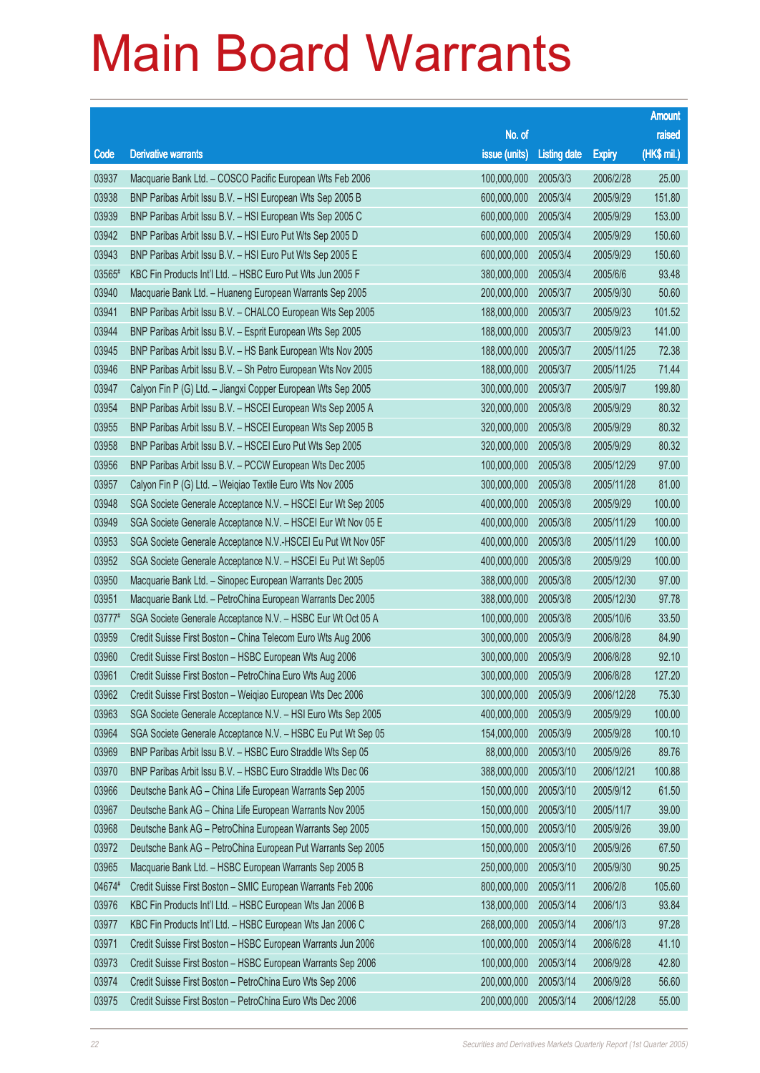|        |                                                              |                      |                     |               | <b>Amount</b> |
|--------|--------------------------------------------------------------|----------------------|---------------------|---------------|---------------|
|        |                                                              | No. of               |                     |               | raised        |
| Code   | <b>Derivative warrants</b>                                   | issue (units)        | <b>Listing date</b> | <b>Expiry</b> | (HK\$ mil.)   |
| 03937  | Macquarie Bank Ltd. - COSCO Pacific European Wts Feb 2006    | 100,000,000          | 2005/3/3            | 2006/2/28     | 25.00         |
| 03938  | BNP Paribas Arbit Issu B.V. - HSI European Wts Sep 2005 B    | 600,000,000          | 2005/3/4            | 2005/9/29     | 151.80        |
| 03939  | BNP Paribas Arbit Issu B.V. - HSI European Wts Sep 2005 C    | 600,000,000          | 2005/3/4            | 2005/9/29     | 153.00        |
| 03942  | BNP Paribas Arbit Issu B.V. - HSI Euro Put Wts Sep 2005 D    | 600,000,000          | 2005/3/4            | 2005/9/29     | 150.60        |
| 03943  | BNP Paribas Arbit Issu B.V. - HSI Euro Put Wts Sep 2005 E    | 600,000,000          | 2005/3/4            | 2005/9/29     | 150.60        |
| 03565# | KBC Fin Products Int'l Ltd. - HSBC Euro Put Wts Jun 2005 F   | 380,000,000          | 2005/3/4            | 2005/6/6      | 93.48         |
| 03940  | Macquarie Bank Ltd. - Huaneng European Warrants Sep 2005     | 200,000,000          | 2005/3/7            | 2005/9/30     | 50.60         |
| 03941  | BNP Paribas Arbit Issu B.V. - CHALCO European Wts Sep 2005   | 188,000,000          | 2005/3/7            | 2005/9/23     | 101.52        |
| 03944  | BNP Paribas Arbit Issu B.V. - Esprit European Wts Sep 2005   | 188,000,000          | 2005/3/7            | 2005/9/23     | 141.00        |
| 03945  | BNP Paribas Arbit Issu B.V. - HS Bank European Wts Nov 2005  | 188,000,000          | 2005/3/7            | 2005/11/25    | 72.38         |
| 03946  | BNP Paribas Arbit Issu B.V. - Sh Petro European Wts Nov 2005 | 188,000,000          | 2005/3/7            | 2005/11/25    | 71.44         |
| 03947  | Calyon Fin P (G) Ltd. - Jiangxi Copper European Wts Sep 2005 | 300,000,000          | 2005/3/7            | 2005/9/7      | 199.80        |
| 03954  | BNP Paribas Arbit Issu B.V. - HSCEI European Wts Sep 2005 A  | 320,000,000          | 2005/3/8            | 2005/9/29     | 80.32         |
| 03955  | BNP Paribas Arbit Issu B.V. - HSCEI European Wts Sep 2005 B  | 320,000,000          | 2005/3/8            | 2005/9/29     | 80.32         |
| 03958  | BNP Paribas Arbit Issu B.V. - HSCEI Euro Put Wts Sep 2005    | 320,000,000          | 2005/3/8            | 2005/9/29     | 80.32         |
| 03956  | BNP Paribas Arbit Issu B.V. - PCCW European Wts Dec 2005     | 100,000,000          | 2005/3/8            | 2005/12/29    | 97.00         |
| 03957  | Calyon Fin P (G) Ltd. - Weiqiao Textile Euro Wts Nov 2005    | 300,000,000          | 2005/3/8            | 2005/11/28    | 81.00         |
| 03948  | SGA Societe Generale Acceptance N.V. - HSCEI Eur Wt Sep 2005 | 400,000,000          | 2005/3/8            | 2005/9/29     | 100.00        |
| 03949  | SGA Societe Generale Acceptance N.V. - HSCEI Eur Wt Nov 05 E | 400,000,000          | 2005/3/8            | 2005/11/29    | 100.00        |
| 03953  | SGA Societe Generale Acceptance N.V.-HSCEI Eu Put Wt Nov 05F | 400,000,000          | 2005/3/8            | 2005/11/29    | 100.00        |
| 03952  | SGA Societe Generale Acceptance N.V. - HSCEI Eu Put Wt Sep05 | 400,000,000          | 2005/3/8            | 2005/9/29     | 100.00        |
| 03950  | Macquarie Bank Ltd. - Sinopec European Warrants Dec 2005     | 388,000,000          | 2005/3/8            | 2005/12/30    | 97.00         |
| 03951  | Macquarie Bank Ltd. - PetroChina European Warrants Dec 2005  | 388,000,000          | 2005/3/8            | 2005/12/30    | 97.78         |
| 03777# | SGA Societe Generale Acceptance N.V. - HSBC Eur Wt Oct 05 A  | 100,000,000          | 2005/3/8            | 2005/10/6     | 33.50         |
| 03959  | Credit Suisse First Boston - China Telecom Euro Wts Aug 2006 | 300,000,000          | 2005/3/9            | 2006/8/28     | 84.90         |
| 03960  | Credit Suisse First Boston - HSBC European Wts Aug 2006      | 300,000,000          | 2005/3/9            | 2006/8/28     | 92.10         |
| 03961  | Credit Suisse First Boston - PetroChina Euro Wts Aug 2006    | 300,000,000 2005/3/9 |                     | 2006/8/28     | 127.20        |
| 03962  | Credit Suisse First Boston - Weigiao European Wts Dec 2006   | 300,000,000          | 2005/3/9            | 2006/12/28    | 75.30         |
| 03963  | SGA Societe Generale Acceptance N.V. - HSI Euro Wts Sep 2005 | 400,000,000          | 2005/3/9            | 2005/9/29     | 100.00        |
| 03964  | SGA Societe Generale Acceptance N.V. - HSBC Eu Put Wt Sep 05 | 154,000,000          | 2005/3/9            | 2005/9/28     | 100.10        |
| 03969  | BNP Paribas Arbit Issu B.V. - HSBC Euro Straddle Wts Sep 05  | 88,000,000           | 2005/3/10           | 2005/9/26     | 89.76         |
| 03970  | BNP Paribas Arbit Issu B.V. - HSBC Euro Straddle Wts Dec 06  | 388,000,000          | 2005/3/10           | 2006/12/21    | 100.88        |
| 03966  | Deutsche Bank AG - China Life European Warrants Sep 2005     | 150,000,000          | 2005/3/10           | 2005/9/12     | 61.50         |
| 03967  | Deutsche Bank AG - China Life European Warrants Nov 2005     | 150,000,000          | 2005/3/10           | 2005/11/7     | 39.00         |
| 03968  | Deutsche Bank AG - PetroChina European Warrants Sep 2005     | 150,000,000          | 2005/3/10           | 2005/9/26     | 39.00         |
| 03972  | Deutsche Bank AG - PetroChina European Put Warrants Sep 2005 | 150,000,000          | 2005/3/10           | 2005/9/26     | 67.50         |
| 03965  | Macquarie Bank Ltd. - HSBC European Warrants Sep 2005 B      | 250,000,000          | 2005/3/10           | 2005/9/30     | 90.25         |
| 04674# | Credit Suisse First Boston - SMIC European Warrants Feb 2006 | 800,000,000          | 2005/3/11           | 2006/2/8      | 105.60        |
| 03976  | KBC Fin Products Int'l Ltd. - HSBC European Wts Jan 2006 B   | 138,000,000          | 2005/3/14           | 2006/1/3      | 93.84         |
| 03977  | KBC Fin Products Int'l Ltd. - HSBC European Wts Jan 2006 C   | 268,000,000          | 2005/3/14           | 2006/1/3      | 97.28         |
| 03971  | Credit Suisse First Boston - HSBC European Warrants Jun 2006 | 100,000,000          | 2005/3/14           | 2006/6/28     | 41.10         |
| 03973  | Credit Suisse First Boston - HSBC European Warrants Sep 2006 | 100,000,000          | 2005/3/14           | 2006/9/28     | 42.80         |
| 03974  | Credit Suisse First Boston - PetroChina Euro Wts Sep 2006    | 200,000,000          | 2005/3/14           | 2006/9/28     | 56.60         |
| 03975  | Credit Suisse First Boston - PetroChina Euro Wts Dec 2006    | 200,000,000          | 2005/3/14           | 2006/12/28    | 55.00         |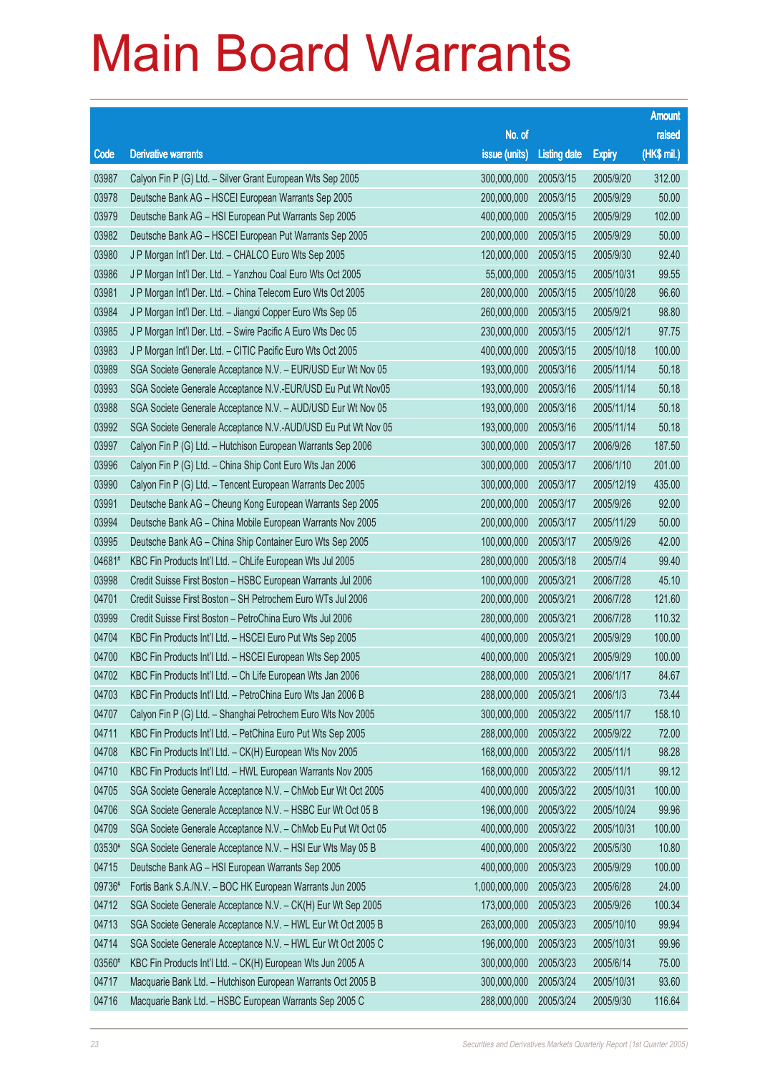|        |                                                               |                       |                     |               | <b>Amount</b> |
|--------|---------------------------------------------------------------|-----------------------|---------------------|---------------|---------------|
|        |                                                               | No. of                |                     |               | raised        |
| Code   | <b>Derivative warrants</b>                                    | issue (units)         | <b>Listing date</b> | <b>Expiry</b> | (HK\$ mil.)   |
| 03987  | Calyon Fin P (G) Ltd. - Silver Grant European Wts Sep 2005    | 300,000,000           | 2005/3/15           | 2005/9/20     | 312.00        |
| 03978  | Deutsche Bank AG - HSCEI European Warrants Sep 2005           | 200,000,000           | 2005/3/15           | 2005/9/29     | 50.00         |
| 03979  | Deutsche Bank AG - HSI European Put Warrants Sep 2005         | 400,000,000           | 2005/3/15           | 2005/9/29     | 102.00        |
| 03982  | Deutsche Bank AG - HSCEI European Put Warrants Sep 2005       | 200,000,000           | 2005/3/15           | 2005/9/29     | 50.00         |
| 03980  | J P Morgan Int'l Der. Ltd. - CHALCO Euro Wts Sep 2005         | 120,000,000           | 2005/3/15           | 2005/9/30     | 92.40         |
| 03986  | J P Morgan Int'l Der. Ltd. - Yanzhou Coal Euro Wts Oct 2005   | 55,000,000            | 2005/3/15           | 2005/10/31    | 99.55         |
| 03981  | J P Morgan Int'l Der. Ltd. - China Telecom Euro Wts Oct 2005  | 280,000,000           | 2005/3/15           | 2005/10/28    | 96.60         |
| 03984  | J P Morgan Int'l Der. Ltd. - Jiangxi Copper Euro Wts Sep 05   | 260,000,000           | 2005/3/15           | 2005/9/21     | 98.80         |
| 03985  | J P Morgan Int'l Der. Ltd. - Swire Pacific A Euro Wts Dec 05  | 230,000,000           | 2005/3/15           | 2005/12/1     | 97.75         |
| 03983  | J P Morgan Int'l Der. Ltd. - CITIC Pacific Euro Wts Oct 2005  | 400,000,000           | 2005/3/15           | 2005/10/18    | 100.00        |
| 03989  | SGA Societe Generale Acceptance N.V. - EUR/USD Eur Wt Nov 05  | 193,000,000           | 2005/3/16           | 2005/11/14    | 50.18         |
| 03993  | SGA Societe Generale Acceptance N.V.-EUR/USD Eu Put Wt Nov05  | 193,000,000           | 2005/3/16           | 2005/11/14    | 50.18         |
| 03988  | SGA Societe Generale Acceptance N.V. - AUD/USD Eur Wt Nov 05  | 193,000,000           | 2005/3/16           | 2005/11/14    | 50.18         |
| 03992  | SGA Societe Generale Acceptance N.V.-AUD/USD Eu Put Wt Nov 05 | 193,000,000           | 2005/3/16           | 2005/11/14    | 50.18         |
| 03997  | Calyon Fin P (G) Ltd. - Hutchison European Warrants Sep 2006  | 300,000,000           | 2005/3/17           | 2006/9/26     | 187.50        |
| 03996  | Calyon Fin P (G) Ltd. - China Ship Cont Euro Wts Jan 2006     | 300,000,000           | 2005/3/17           | 2006/1/10     | 201.00        |
| 03990  | Calyon Fin P (G) Ltd. - Tencent European Warrants Dec 2005    | 300,000,000           | 2005/3/17           | 2005/12/19    | 435.00        |
| 03991  | Deutsche Bank AG - Cheung Kong European Warrants Sep 2005     | 200,000,000           | 2005/3/17           | 2005/9/26     | 92.00         |
| 03994  | Deutsche Bank AG - China Mobile European Warrants Nov 2005    | 200,000,000           | 2005/3/17           | 2005/11/29    | 50.00         |
| 03995  | Deutsche Bank AG - China Ship Container Euro Wts Sep 2005     | 100,000,000           | 2005/3/17           | 2005/9/26     | 42.00         |
| 04681# | KBC Fin Products Int'l Ltd. - ChLife European Wts Jul 2005    | 280,000,000           | 2005/3/18           | 2005/7/4      | 99.40         |
| 03998  | Credit Suisse First Boston - HSBC European Warrants Jul 2006  | 100,000,000           | 2005/3/21           | 2006/7/28     | 45.10         |
| 04701  | Credit Suisse First Boston - SH Petrochem Euro WTs Jul 2006   | 200,000,000           | 2005/3/21           | 2006/7/28     | 121.60        |
| 03999  | Credit Suisse First Boston - PetroChina Euro Wts Jul 2006     | 280,000,000           | 2005/3/21           | 2006/7/28     | 110.32        |
| 04704  | KBC Fin Products Int'l Ltd. - HSCEI Euro Put Wts Sep 2005     | 400,000,000           | 2005/3/21           | 2005/9/29     | 100.00        |
| 04700  | KBC Fin Products Int'l Ltd. - HSCEI European Wts Sep 2005     | 400,000,000           | 2005/3/21           | 2005/9/29     | 100.00        |
| 04702  | KBC Fin Products Int'l Ltd. - Ch Life European Wts Jan 2006   | 288,000,000 2005/3/21 |                     | 2006/1/17     | 84.67         |
| 04703  | KBC Fin Products Int'l Ltd. - PetroChina Euro Wts Jan 2006 B  | 288,000,000           | 2005/3/21           | 2006/1/3      | 73.44         |
| 04707  | Calyon Fin P (G) Ltd. - Shanghai Petrochem Euro Wts Nov 2005  | 300,000,000           | 2005/3/22           | 2005/11/7     | 158.10        |
| 04711  | KBC Fin Products Int'l Ltd. - PetChina Euro Put Wts Sep 2005  | 288,000,000           | 2005/3/22           | 2005/9/22     | 72.00         |
| 04708  | KBC Fin Products Int'l Ltd. - CK(H) European Wts Nov 2005     | 168,000,000           | 2005/3/22           | 2005/11/1     | 98.28         |
| 04710  | KBC Fin Products Int'l Ltd. - HWL European Warrants Nov 2005  | 168,000,000           | 2005/3/22           | 2005/11/1     | 99.12         |
| 04705  | SGA Societe Generale Acceptance N.V. - ChMob Eur Wt Oct 2005  | 400,000,000           | 2005/3/22           | 2005/10/31    | 100.00        |
| 04706  | SGA Societe Generale Acceptance N.V. - HSBC Eur Wt Oct 05 B   | 196,000,000           | 2005/3/22           | 2005/10/24    | 99.96         |
| 04709  | SGA Societe Generale Acceptance N.V. - ChMob Eu Put Wt Oct 05 | 400,000,000           | 2005/3/22           | 2005/10/31    | 100.00        |
| 03530# | SGA Societe Generale Acceptance N.V. - HSI Eur Wts May 05 B   | 400,000,000           | 2005/3/22           | 2005/5/30     | 10.80         |
| 04715  | Deutsche Bank AG - HSI European Warrants Sep 2005             | 400,000,000           | 2005/3/23           | 2005/9/29     | 100.00        |
| 09736# | Fortis Bank S.A./N.V. - BOC HK European Warrants Jun 2005     | 1,000,000,000         | 2005/3/23           | 2005/6/28     | 24.00         |
| 04712  | SGA Societe Generale Acceptance N.V. - CK(H) Eur Wt Sep 2005  | 173,000,000           | 2005/3/23           | 2005/9/26     | 100.34        |
| 04713  | SGA Societe Generale Acceptance N.V. - HWL Eur Wt Oct 2005 B  | 263,000,000           | 2005/3/23           | 2005/10/10    | 99.94         |
| 04714  | SGA Societe Generale Acceptance N.V. - HWL Eur Wt Oct 2005 C  | 196,000,000           | 2005/3/23           | 2005/10/31    | 99.96         |
| 03560# | KBC Fin Products Int'l Ltd. - CK(H) European Wts Jun 2005 A   | 300,000,000           | 2005/3/23           | 2005/6/14     | 75.00         |
| 04717  | Macquarie Bank Ltd. - Hutchison European Warrants Oct 2005 B  | 300,000,000           | 2005/3/24           | 2005/10/31    | 93.60         |
| 04716  | Macquarie Bank Ltd. - HSBC European Warrants Sep 2005 C       | 288,000,000           | 2005/3/24           | 2005/9/30     | 116.64        |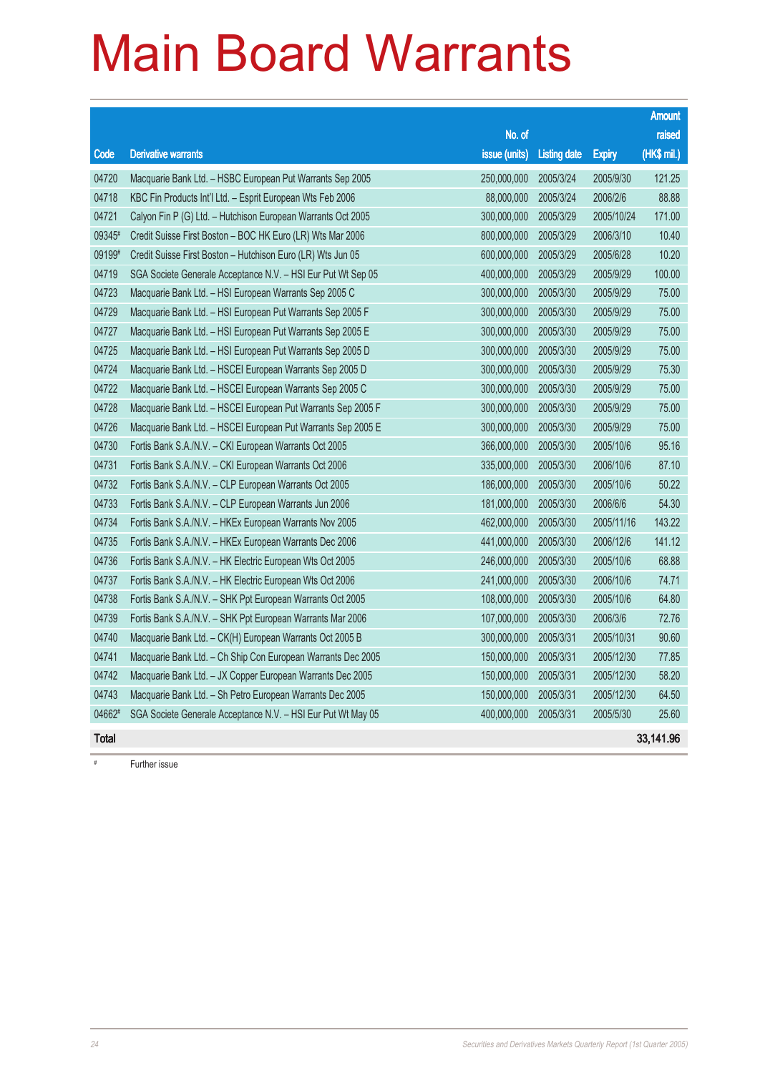|              |                                                              |               |                     |               | <b>Amount</b> |
|--------------|--------------------------------------------------------------|---------------|---------------------|---------------|---------------|
|              |                                                              | No. of        |                     |               | raised        |
| Code         | <b>Derivative warrants</b>                                   | issue (units) | <b>Listing date</b> | <b>Expiry</b> | (HK\$ mil.)   |
| 04720        | Macquarie Bank Ltd. - HSBC European Put Warrants Sep 2005    | 250,000,000   | 2005/3/24           | 2005/9/30     | 121.25        |
| 04718        | KBC Fin Products Int'l Ltd. - Esprit European Wts Feb 2006   | 88,000,000    | 2005/3/24           | 2006/2/6      | 88.88         |
| 04721        | Calyon Fin P (G) Ltd. - Hutchison European Warrants Oct 2005 | 300,000,000   | 2005/3/29           | 2005/10/24    | 171.00        |
| 09345#       | Credit Suisse First Boston - BOC HK Euro (LR) Wts Mar 2006   | 800,000,000   | 2005/3/29           | 2006/3/10     | 10.40         |
| 09199#       | Credit Suisse First Boston - Hutchison Euro (LR) Wts Jun 05  | 600,000,000   | 2005/3/29           | 2005/6/28     | 10.20         |
| 04719        | SGA Societe Generale Acceptance N.V. - HSI Eur Put Wt Sep 05 | 400,000,000   | 2005/3/29           | 2005/9/29     | 100.00        |
| 04723        | Macquarie Bank Ltd. - HSI European Warrants Sep 2005 C       | 300,000,000   | 2005/3/30           | 2005/9/29     | 75.00         |
| 04729        | Macquarie Bank Ltd. - HSI European Put Warrants Sep 2005 F   | 300,000,000   | 2005/3/30           | 2005/9/29     | 75.00         |
| 04727        | Macquarie Bank Ltd. - HSI European Put Warrants Sep 2005 E   | 300,000,000   | 2005/3/30           | 2005/9/29     | 75.00         |
| 04725        | Macquarie Bank Ltd. - HSI European Put Warrants Sep 2005 D   | 300,000,000   | 2005/3/30           | 2005/9/29     | 75.00         |
| 04724        | Macquarie Bank Ltd. - HSCEI European Warrants Sep 2005 D     | 300,000,000   | 2005/3/30           | 2005/9/29     | 75.30         |
| 04722        | Macquarie Bank Ltd. - HSCEI European Warrants Sep 2005 C     | 300,000,000   | 2005/3/30           | 2005/9/29     | 75.00         |
| 04728        | Macquarie Bank Ltd. - HSCEI European Put Warrants Sep 2005 F | 300,000,000   | 2005/3/30           | 2005/9/29     | 75.00         |
| 04726        | Macquarie Bank Ltd. - HSCEI European Put Warrants Sep 2005 E | 300,000,000   | 2005/3/30           | 2005/9/29     | 75.00         |
| 04730        | Fortis Bank S.A./N.V. – CKI European Warrants Oct 2005       | 366,000,000   | 2005/3/30           | 2005/10/6     | 95.16         |
| 04731        | Fortis Bank S.A./N.V. - CKI European Warrants Oct 2006       | 335,000,000   | 2005/3/30           | 2006/10/6     | 87.10         |
| 04732        | Fortis Bank S.A./N.V. - CLP European Warrants Oct 2005       | 186,000,000   | 2005/3/30           | 2005/10/6     | 50.22         |
| 04733        | Fortis Bank S.A./N.V. - CLP European Warrants Jun 2006       | 181,000,000   | 2005/3/30           | 2006/6/6      | 54.30         |
| 04734        | Fortis Bank S.A./N.V. - HKEx European Warrants Nov 2005      | 462,000,000   | 2005/3/30           | 2005/11/16    | 143.22        |
| 04735        | Fortis Bank S.A./N.V. - HKEx European Warrants Dec 2006      | 441,000,000   | 2005/3/30           | 2006/12/6     | 141.12        |
| 04736        | Fortis Bank S.A./N.V. - HK Electric European Wts Oct 2005    | 246,000,000   | 2005/3/30           | 2005/10/6     | 68.88         |
| 04737        | Fortis Bank S.A./N.V. – HK Electric European Wts Oct 2006    | 241,000,000   | 2005/3/30           | 2006/10/6     | 74.71         |
| 04738        | Fortis Bank S.A./N.V. - SHK Ppt European Warrants Oct 2005   | 108,000,000   | 2005/3/30           | 2005/10/6     | 64.80         |
| 04739        | Fortis Bank S.A./N.V. – SHK Ppt European Warrants Mar 2006   | 107,000,000   | 2005/3/30           | 2006/3/6      | 72.76         |
| 04740        | Macquarie Bank Ltd. - CK(H) European Warrants Oct 2005 B     | 300,000,000   | 2005/3/31           | 2005/10/31    | 90.60         |
| 04741        | Macquarie Bank Ltd. - Ch Ship Con European Warrants Dec 2005 | 150,000,000   | 2005/3/31           | 2005/12/30    | 77.85         |
| 04742        | Macquarie Bank Ltd. - JX Copper European Warrants Dec 2005   | 150,000,000   | 2005/3/31           | 2005/12/30    | 58.20         |
| 04743        | Macquarie Bank Ltd. - Sh Petro European Warrants Dec 2005    | 150,000,000   | 2005/3/31           | 2005/12/30    | 64.50         |
| 04662#       | SGA Societe Generale Acceptance N.V. - HSI Eur Put Wt May 05 | 400,000,000   | 2005/3/31           | 2005/5/30     | 25.60         |
| <b>Total</b> |                                                              |               |                     |               | 33,141.96     |

# Further issue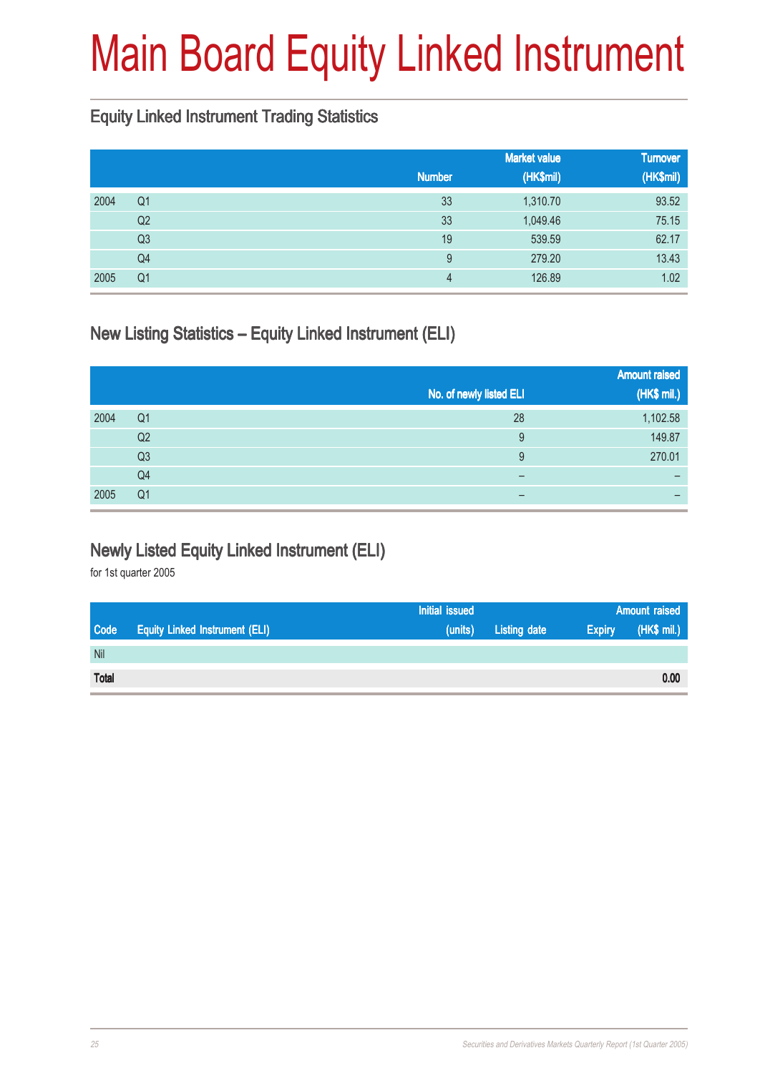# Main Board Equity Linked Instrument

#### Equity Linked Instrument Trading Statistics

|      |                |               | <b>Market value</b> | <b>Turnover</b> |
|------|----------------|---------------|---------------------|-----------------|
|      |                | <b>Number</b> | (HK\$mil)           | (HK\$mil)       |
| 2004 | Q <sub>1</sub> | 33            | 1,310.70            | 93.52           |
|      | Q2             | 33            | 1,049.46            | 75.15           |
|      | Q3             | 19            | 539.59              | 62.17           |
|      | Q4             | 9             | 279.20              | 13.43           |
| 2005 | Q <sub>1</sub> | 4             | 126.89              | 1.02            |

#### New Listing Statistics – Equity Linked Instrument (ELI)

|      |                |                         | <b>Amount raised</b> |
|------|----------------|-------------------------|----------------------|
|      |                | No. of newly listed ELI | (HK\$ mil.)          |
| 2004 | Q <sub>1</sub> | 28                      | 1,102.58             |
|      | Q2             | 9                       | 149.87               |
|      | Q <sub>3</sub> | 9                       | 270.01               |
|      | Q4             | -                       |                      |
| 2005 | Q <sub>1</sub> |                         |                      |

#### Newly Listed Equity Linked Instrument (ELI)

|              |                                       | Initial issued |                     | <b>Amount raised</b> |             |
|--------------|---------------------------------------|----------------|---------------------|----------------------|-------------|
| <b>Code</b>  | <b>Equity Linked Instrument (ELI)</b> | (units)        | <b>Listing date</b> | <b>Expiry</b>        | (HK\$ mil.) |
| Nil          |                                       |                |                     |                      |             |
| <b>Total</b> |                                       |                |                     |                      | 0.00        |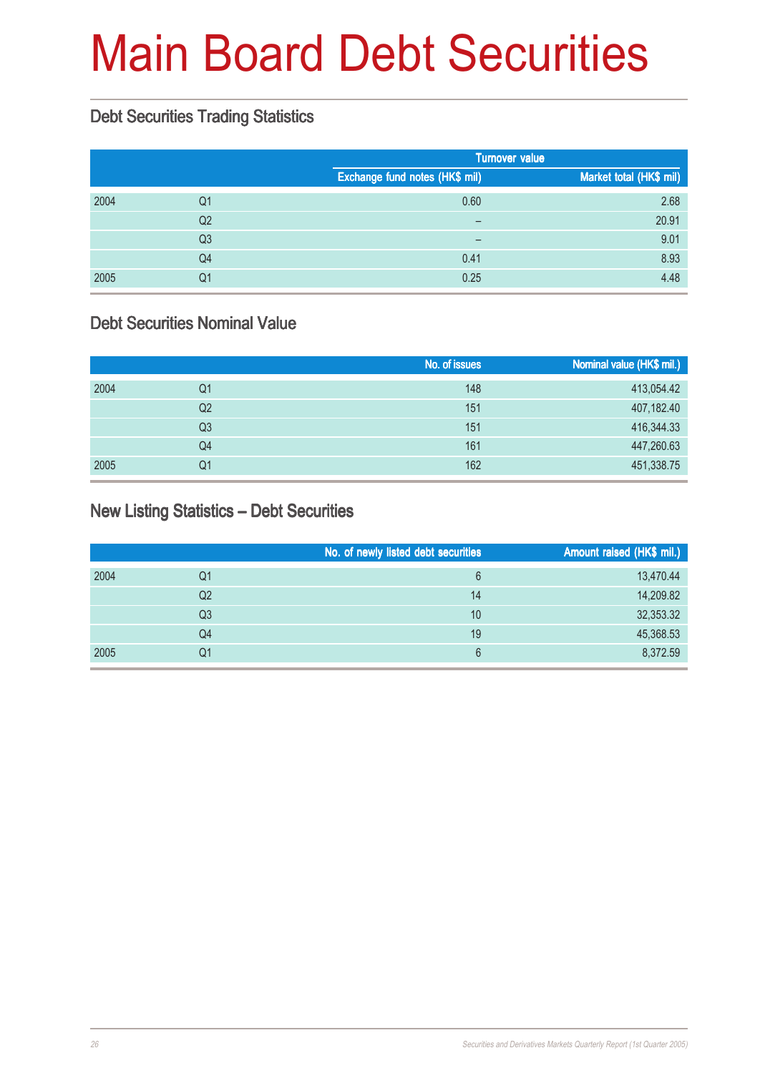# Main Board Debt Securities

#### Debt Securities Trading Statistics

|      |                |                                | <b>Turnover value</b>   |  |  |
|------|----------------|--------------------------------|-------------------------|--|--|
|      |                | Exchange fund notes (HK\$ mil) | Market total (HK\$ mil) |  |  |
| 2004 | Q1             | 0.60                           | 2.68                    |  |  |
|      | Q <sub>2</sub> | $\overline{\phantom{m}}$       | 20.91                   |  |  |
|      | Q <sub>3</sub> | $\overline{\phantom{m}}$       | 9.01                    |  |  |
|      | Q <sub>4</sub> | 0.41                           | 8.93                    |  |  |
| 2005 | Q1             | 0.25                           | 4.48                    |  |  |

### Debt Securities Nominal Value

|      |    | No. of issues | Nominal value (HK\$ mil.) |
|------|----|---------------|---------------------------|
| 2004 | Q1 | 148           | 413,054.42                |
|      | Q2 | 151           | 407,182.40                |
|      | Q3 | 151           | 416,344.33                |
|      | Q4 | 161           | 447,260.63                |
| 2005 | Q1 | 162           | 451,338.75                |

#### New Listing Statistics – Debt Securities

|      |    | No. of newly listed debt securities | Amount raised (HK\$ mil.) |
|------|----|-------------------------------------|---------------------------|
| 2004 | Q1 | 6                                   | 13,470.44                 |
|      | Q2 | 14                                  | 14,209.82                 |
|      | Q3 | 10                                  | 32,353.32                 |
|      | Q4 | 19                                  | 45,368.53                 |
| 2005 | Q1 | 6                                   | 8,372.59                  |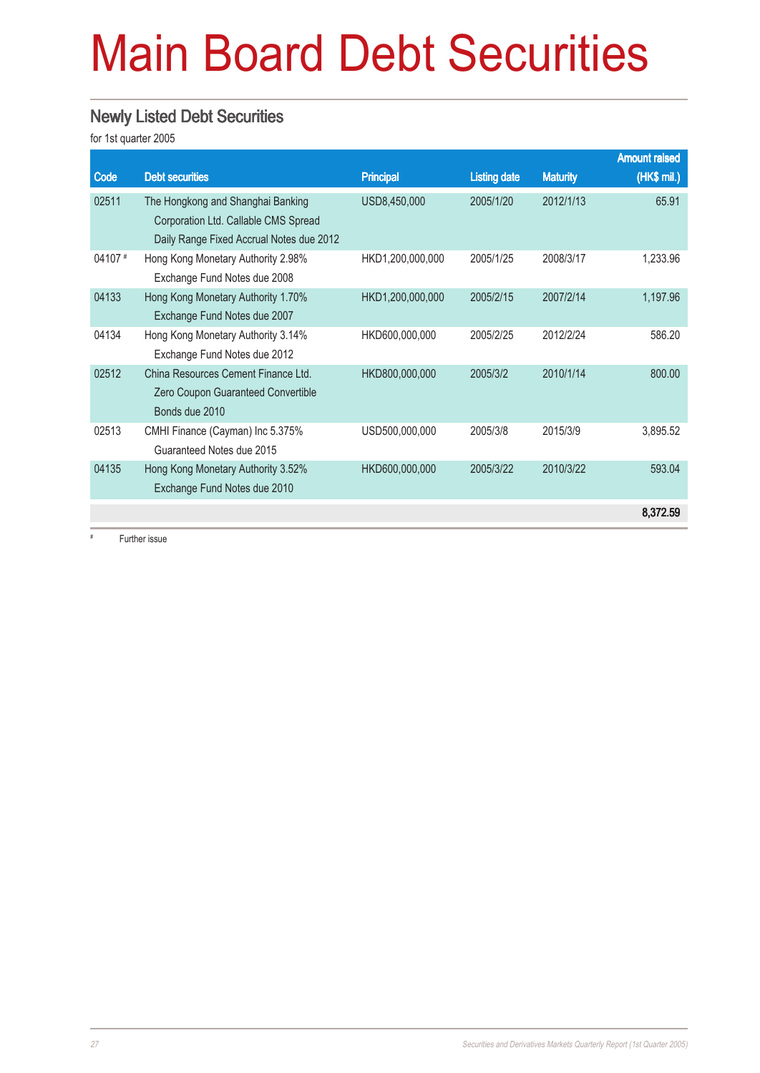# Main Board Debt Securities

#### Newly Listed Debt Securities

for 1st quarter 2005

|         |                                          |                  |                     |                 | <b>Amount raised</b> |
|---------|------------------------------------------|------------------|---------------------|-----------------|----------------------|
| Code    | <b>Debt securities</b>                   | <b>Principal</b> | <b>Listing date</b> | <b>Maturity</b> | (HK\$ mil.)          |
| 02511   | The Hongkong and Shanghai Banking        | USD8,450,000     | 2005/1/20           | 2012/1/13       | 65.91                |
|         | Corporation Ltd. Callable CMS Spread     |                  |                     |                 |                      |
|         | Daily Range Fixed Accrual Notes due 2012 |                  |                     |                 |                      |
| 04107 # | Hong Kong Monetary Authority 2.98%       | HKD1,200,000,000 | 2005/1/25           | 2008/3/17       | 1,233.96             |
|         | Exchange Fund Notes due 2008             |                  |                     |                 |                      |
| 04133   | Hong Kong Monetary Authority 1.70%       | HKD1,200,000,000 | 2005/2/15           | 2007/2/14       | 1,197.96             |
|         | Exchange Fund Notes due 2007             |                  |                     |                 |                      |
| 04134   | Hong Kong Monetary Authority 3.14%       | HKD600,000,000   | 2005/2/25           | 2012/2/24       | 586.20               |
|         | Exchange Fund Notes due 2012             |                  |                     |                 |                      |
| 02512   | China Resources Cement Finance Ltd.      | HKD800,000,000   | 2005/3/2            | 2010/1/14       | 800.00               |
|         | Zero Coupon Guaranteed Convertible       |                  |                     |                 |                      |
|         | Bonds due 2010                           |                  |                     |                 |                      |
| 02513   | CMHI Finance (Cayman) Inc 5.375%         | USD500,000,000   | 2005/3/8            | 2015/3/9        | 3,895.52             |
|         | Guaranteed Notes due 2015                |                  |                     |                 |                      |
| 04135   | Hong Kong Monetary Authority 3.52%       | HKD600,000,000   | 2005/3/22           | 2010/3/22       | 593.04               |
|         | Exchange Fund Notes due 2010             |                  |                     |                 |                      |
|         |                                          |                  |                     |                 | 8,372.59             |

Further issue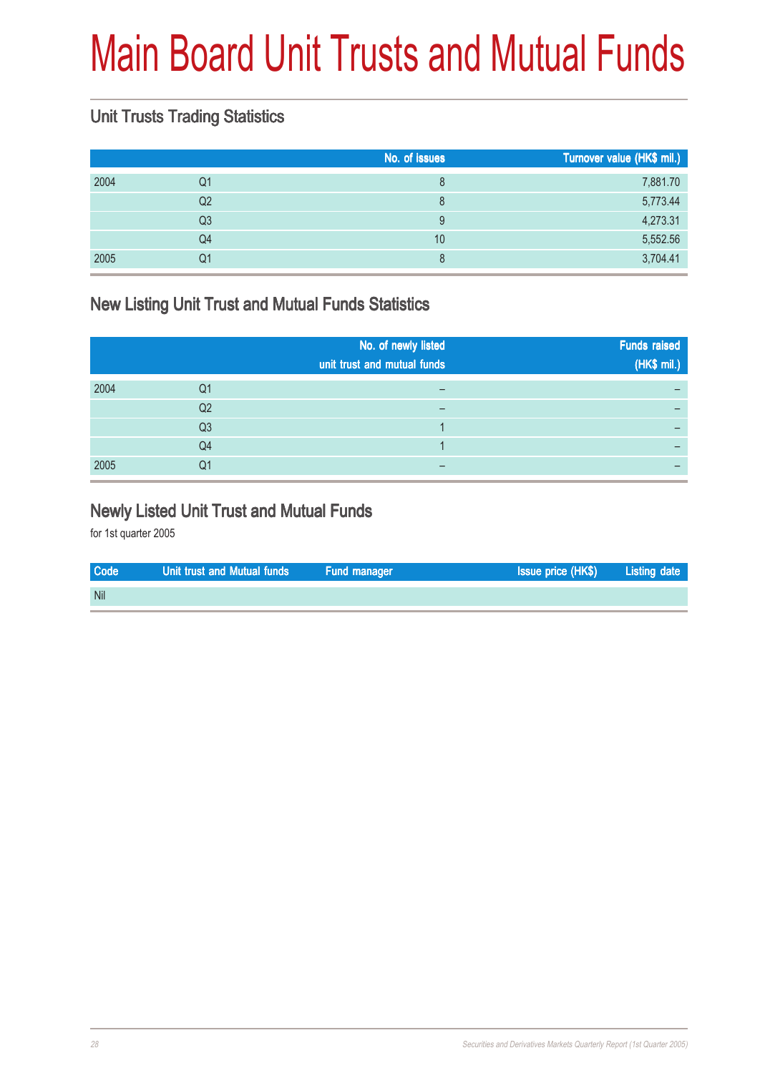# Main Board Unit Trusts and Mutual Funds

### Unit Trusts Trading Statistics

|    | No. of issues | Turnover value (HK\$ mil.) |
|----|---------------|----------------------------|
| Q1 | 8             | 7,881.70                   |
| Q2 | 8             | 5,773.44                   |
| Q3 | 9             | 4,273.31                   |
| Q4 | 10            | 5,552.56                   |
| Q1 | 8             | 3,704.41                   |
|    |               |                            |

### New Listing Unit Trust and Mutual Funds Statistics

|      |                | No. of newly listed<br>unit trust and mutual funds | <b>Funds raised</b><br>(HK\$ mil.) |
|------|----------------|----------------------------------------------------|------------------------------------|
| 2004 | Q1             |                                                    |                                    |
|      | Q <sub>2</sub> |                                                    |                                    |
|      | Q <sub>3</sub> |                                                    |                                    |
|      | Q4             |                                                    |                                    |
| 2005 | Q1             |                                                    |                                    |

#### Newly Listed Unit Trust and Mutual Funds

| <b>Code</b> | Unit trust and Mutual funds | Fund manager | Issue price (HK\$) | <b>Listing date</b> |
|-------------|-----------------------------|--------------|--------------------|---------------------|
| <b>Nil</b>  |                             |              |                    |                     |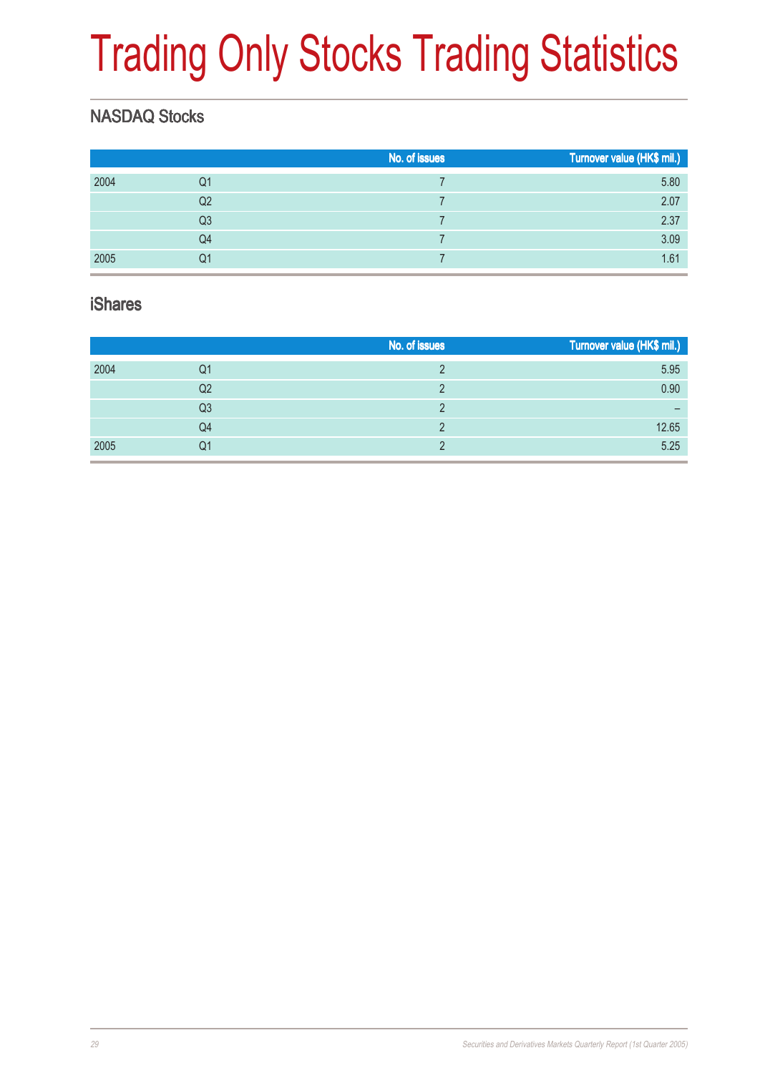# Trading Only Stocks Trading Statistics

### NASDAQ Stocks

|      |                | No. of issues | Turnover value (HK\$ mil.) |
|------|----------------|---------------|----------------------------|
| 2004 | Q1             |               | 5.80                       |
|      | Q <sub>2</sub> |               | 2.07                       |
|      | Q <sub>3</sub> |               | 2.37                       |
|      | Q4             |               | 3.09                       |
| 2005 | Q1             |               | 1.61                       |

#### iShares

|      |                | No. of issues | Turnover value (HK\$ mil.) |
|------|----------------|---------------|----------------------------|
| 2004 | Q1             |               | 5.95                       |
|      | Q2             |               | 0.90                       |
|      | Q <sub>3</sub> |               | -                          |
|      | Q4             |               | 12.65                      |
| 2005 | Q1             |               | 5.25                       |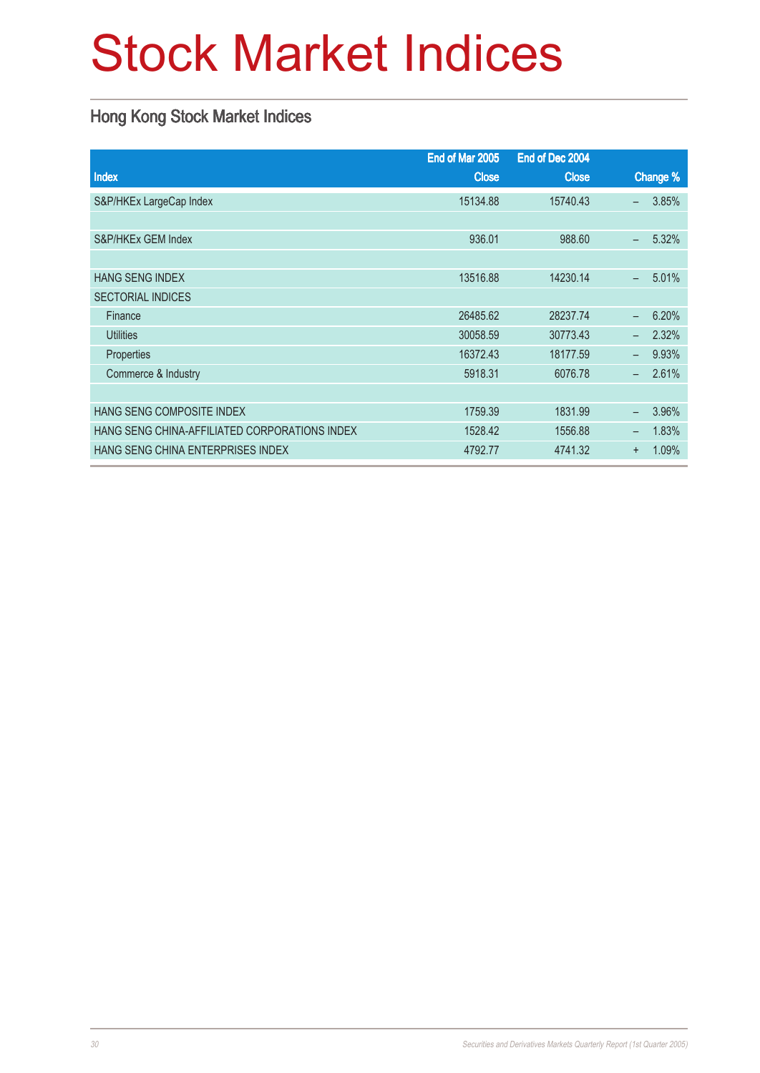# Stock Market Indices

### Hong Kong Stock Market Indices

|                                               | End of Mar 2005 | End of Dec 2004 |                                   |
|-----------------------------------------------|-----------------|-----------------|-----------------------------------|
| Index                                         | <b>Close</b>    | <b>Close</b>    | Change %                          |
| S&P/HKEx LargeCap Index                       | 15134.88        | 15740.43        | 3.85%<br>$\equiv$                 |
|                                               |                 |                 |                                   |
| S&P/HKEx GEM Index                            | 936.01          | 988.60          | 5.32%<br>$\overline{\phantom{0}}$ |
|                                               |                 |                 |                                   |
| <b>HANG SENG INDEX</b>                        | 13516.88        | 14230.14        | 5.01%<br>$\equiv$                 |
| <b>SECTORIAL INDICES</b>                      |                 |                 |                                   |
| Finance                                       | 26485.62        | 28237.74        | 6.20%<br>$\equiv$                 |
| <b>Utilities</b>                              | 30058.59        | 30773.43        | 2.32%<br>$\overline{\phantom{0}}$ |
| Properties                                    | 16372.43        | 18177.59        | 9.93%<br>$\overline{\phantom{0}}$ |
| Commerce & Industry                           | 5918.31         | 6076.78         | 2.61%<br>$\overline{\phantom{0}}$ |
|                                               |                 |                 |                                   |
| HANG SENG COMPOSITE INDEX                     | 1759.39         | 1831.99         | 3.96%<br>$\overline{\phantom{0}}$ |
| HANG SENG CHINA-AFFILIATED CORPORATIONS INDEX | 1528.42         | 1556.88         | 1.83%<br>$\overline{\phantom{0}}$ |
| HANG SENG CHINA ENTERPRISES INDEX             | 4792.77         | 4741.32         | 1.09%<br>$\ddot{}$                |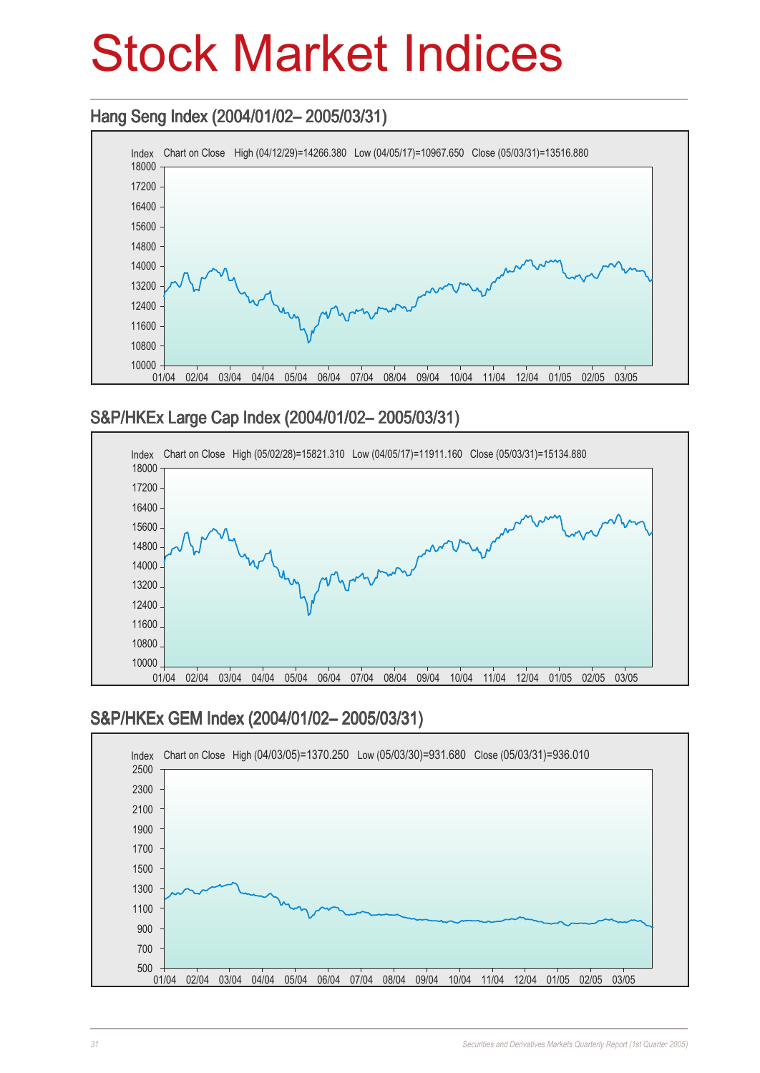## Stock Market Indices

### Hang Seng Index (2004/01/02– 2005/03/31) Hang Seng (2004/01/02– 2005/03/31)



#### S&P/HKEx Large Cap Index (2004/01/02– 2005/03/31) Large Cap Index (2004/01/02– 2005/03/31)



#### S&P/HKEx GEM Index (2004/01/02– 2005/03/31)

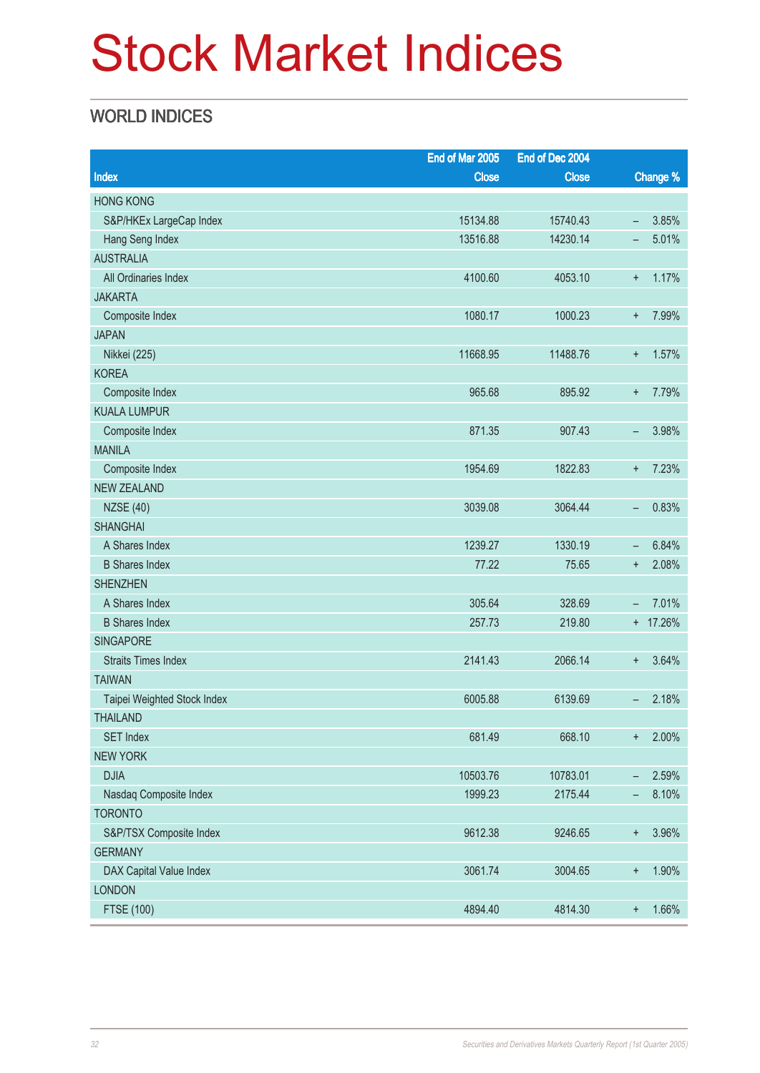# Stock Market Indices

### WORLD INDICES

|                             | End of Mar 2005 | End of Dec 2004 |                          |          |
|-----------------------------|-----------------|-----------------|--------------------------|----------|
| Index                       | <b>Close</b>    | <b>Close</b>    |                          | Change % |
| <b>HONG KONG</b>            |                 |                 |                          |          |
| S&P/HKEx LargeCap Index     | 15134.88        | 15740.43        | $\overline{\phantom{m}}$ | 3.85%    |
| Hang Seng Index             | 13516.88        | 14230.14        | -                        | 5.01%    |
| <b>AUSTRALIA</b>            |                 |                 |                          |          |
| All Ordinaries Index        | 4100.60         | 4053.10         | $\ddot{}$                | 1.17%    |
| <b>JAKARTA</b>              |                 |                 |                          |          |
| Composite Index             | 1080.17         | 1000.23         | $\ddot{}$                | 7.99%    |
| <b>JAPAN</b>                |                 |                 |                          |          |
| Nikkei (225)                | 11668.95        | 11488.76        | $\ddot{}$                | 1.57%    |
| <b>KOREA</b>                |                 |                 |                          |          |
| Composite Index             | 965.68          | 895.92          | $\ddot{}$                | 7.79%    |
| <b>KUALA LUMPUR</b>         |                 |                 |                          |          |
| Composite Index             | 871.35          | 907.43          | -                        | 3.98%    |
| <b>MANILA</b>               |                 |                 |                          |          |
| Composite Index             | 1954.69         | 1822.83         | $\ddot{}$                | 7.23%    |
| <b>NEW ZEALAND</b>          |                 |                 |                          |          |
| <b>NZSE (40)</b>            | 3039.08         | 3064.44         | $\qquad \qquad -$        | 0.83%    |
| <b>SHANGHAI</b>             |                 |                 |                          |          |
| A Shares Index              | 1239.27         | 1330.19         | $\qquad \qquad -$        | 6.84%    |
| <b>B Shares Index</b>       | 77.22           | 75.65           | $\ddot{}$                | 2.08%    |
| <b>SHENZHEN</b>             |                 |                 |                          |          |
| A Shares Index              | 305.64          | 328.69          | $\overline{\phantom{m}}$ | 7.01%    |
| <b>B</b> Shares Index       | 257.73          | 219.80          |                          | + 17.26% |
| <b>SINGAPORE</b>            |                 |                 |                          |          |
| <b>Straits Times Index</b>  | 2141.43         | 2066.14         | $\ddot{}$                | 3.64%    |
| <b>TAIWAN</b>               |                 |                 |                          |          |
| Taipei Weighted Stock Index | 6005.88         | 6139.69         | $\qquad \qquad -$        | 2.18%    |
| <b>THAILAND</b>             |                 |                 |                          |          |
| <b>SET Index</b>            | 681.49          | 668.10          | $\ddot{}$                | 2.00%    |
| <b>NEW YORK</b>             |                 |                 |                          |          |
| <b>DJIA</b>                 | 10503.76        | 10783.01        | -                        | 2.59%    |
| Nasdaq Composite Index      | 1999.23         | 2175.44         | -                        | 8.10%    |
| <b>TORONTO</b>              |                 |                 |                          |          |
| S&P/TSX Composite Index     | 9612.38         | 9246.65         | $\ddagger$               | 3.96%    |
| <b>GERMANY</b>              |                 |                 |                          |          |
| DAX Capital Value Index     | 3061.74         | 3004.65         | $\ddot{}$                | 1.90%    |
| <b>LONDON</b>               |                 |                 |                          |          |
| <b>FTSE (100)</b>           | 4894.40         | 4814.30         | $^{\mathrm{+}}$          | 1.66%    |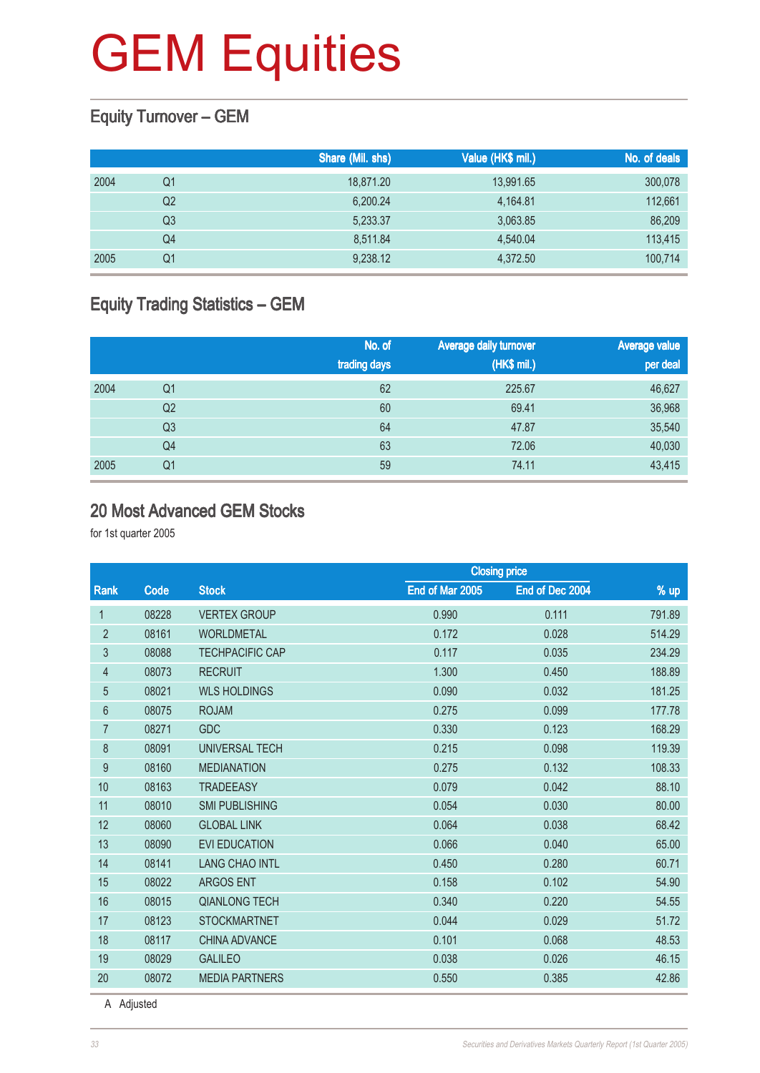### Equity Turnover – GEM

|      |    | Share (Mil. shs) | Value (HK\$ mil.) | No. of deals |
|------|----|------------------|-------------------|--------------|
| 2004 | Q1 | 18,871.20        | 13,991.65         | 300,078      |
|      | Q2 | 6,200.24         | 4,164.81          | 112,661      |
|      | Q3 | 5,233.37         | 3,063.85          | 86,209       |
|      | Q4 | 8,511.84         | 4,540.04          | 113,415      |
| 2005 | Q1 | 9,238.12         | 4,372.50          | 100,714      |

### Equity Trading Statistics – GEM

|      |                | No. of<br>trading days | Average daily turnover<br>(HK\$ mil.) | <b>Average value</b><br>per deal |
|------|----------------|------------------------|---------------------------------------|----------------------------------|
| 2004 | Q1             | 62                     | 225.67                                | 46,627                           |
|      | Q <sub>2</sub> | 60                     | 69.41                                 | 36,968                           |
|      | Q <sub>3</sub> | 64                     | 47.87                                 | 35,540                           |
|      | Q <sub>4</sub> | 63                     | 72.06                                 | 40,030                           |
| 2005 | Q <sub>1</sub> | 59                     | 74.11                                 | 43,415                           |

#### 20 Most Advanced GEM Stocks

for 1st quarter 2005

|                 |       |                        | <b>Closing price</b> |                 |        |  |
|-----------------|-------|------------------------|----------------------|-----------------|--------|--|
| Rank            | Code  | <b>Stock</b>           | End of Mar 2005      | End of Dec 2004 | $%$ up |  |
| $\mathbf{1}$    | 08228 | <b>VERTEX GROUP</b>    | 0.990                | 0.111           | 791.89 |  |
| $\overline{2}$  | 08161 | <b>WORLDMETAL</b>      | 0.172                | 0.028           | 514.29 |  |
| 3               | 08088 | <b>TECHPACIFIC CAP</b> | 0.117                | 0.035           | 234.29 |  |
| 4               | 08073 | <b>RECRUIT</b>         | 1.300                | 0.450           | 188.89 |  |
| 5               | 08021 | <b>WLS HOLDINGS</b>    | 0.090                | 0.032           | 181.25 |  |
| $6\phantom{.}6$ | 08075 | <b>ROJAM</b>           | 0.275                | 0.099           | 177.78 |  |
| $\overline{7}$  | 08271 | <b>GDC</b>             | 0.330                | 0.123           | 168.29 |  |
| 8               | 08091 | UNIVERSAL TECH         | 0.215                | 0.098           | 119.39 |  |
| 9               | 08160 | <b>MEDIANATION</b>     | 0.275                | 0.132           | 108.33 |  |
| 10              | 08163 | <b>TRADEEASY</b>       | 0.079                | 0.042           | 88.10  |  |
| 11              | 08010 | <b>SMI PUBLISHING</b>  | 0.054                | 0.030           | 80.00  |  |
| 12              | 08060 | <b>GLOBAL LINK</b>     | 0.064                | 0.038           | 68.42  |  |
| 13              | 08090 | <b>EVI EDUCATION</b>   | 0.066                | 0.040           | 65.00  |  |
| 14              | 08141 | <b>LANG CHAO INTL</b>  | 0.450                | 0.280           | 60.71  |  |
| 15              | 08022 | <b>ARGOS ENT</b>       | 0.158                | 0.102           | 54.90  |  |
| 16              | 08015 | <b>QIANLONG TECH</b>   | 0.340                | 0.220           | 54.55  |  |
| 17              | 08123 | <b>STOCKMARTNET</b>    | 0.044                | 0.029           | 51.72  |  |
| 18              | 08117 | CHINA ADVANCE          | 0.101                | 0.068           | 48.53  |  |
| 19              | 08029 | <b>GALILEO</b>         | 0.038                | 0.026           | 46.15  |  |
| 20              | 08072 | <b>MEDIA PARTNERS</b>  | 0.550                | 0.385           | 42.86  |  |
|                 |       |                        |                      |                 |        |  |

A Adjusted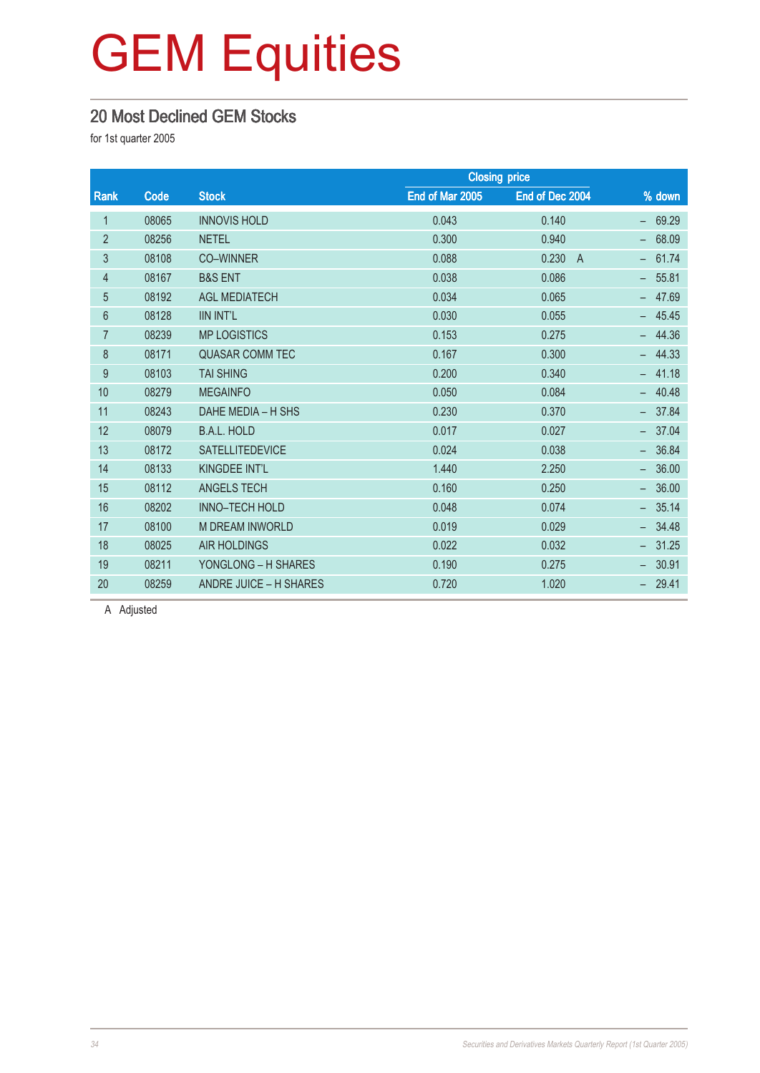#### 20 Most Declined GEM Stocks

for 1st quarter 2005

|       |                        |                 | <b>Closing price</b>    |          |
|-------|------------------------|-----------------|-------------------------|----------|
| Code  | <b>Stock</b>           | End of Mar 2005 | End of Dec 2004         | $%$ down |
| 08065 | <b>INNOVIS HOLD</b>    | 0.043           | 0.140                   | 69.29    |
| 08256 | <b>NETEL</b>           | 0.300           | 0.940                   | 68.09    |
| 08108 | <b>CO-WINNER</b>       | 0.088           | 0.230<br>$\overline{A}$ | 61.74    |
| 08167 | <b>B&amp;S ENT</b>     | 0.038           | 0.086                   | 55.81    |
| 08192 | <b>AGL MEDIATECH</b>   | 0.034           | 0.065                   | 47.69    |
| 08128 | <b>IIN INT'L</b>       | 0.030           | 0.055                   | $-45.45$ |
| 08239 | <b>MP LOGISTICS</b>    | 0.153           | 0.275                   | 44.36    |
| 08171 | <b>QUASAR COMM TEC</b> | 0.167           | 0.300                   | 44.33    |
| 08103 | <b>TAI SHING</b>       | 0.200           | 0.340                   | 41.18    |
| 08279 | <b>MEGAINFO</b>        | 0.050           | 0.084                   | 40.48    |
| 08243 | DAHE MEDIA - H SHS     | 0.230           | 0.370                   | 37.84    |
| 08079 | <b>B.A.L. HOLD</b>     | 0.017           | 0.027                   | 37.04    |
| 08172 | <b>SATELLITEDEVICE</b> | 0.024           | 0.038                   | 36.84    |
| 08133 | KINGDEE INT'L          | 1.440           | 2.250                   | 36.00    |
| 08112 | <b>ANGELS TECH</b>     | 0.160           | 0.250                   | 36.00    |
| 08202 | <b>INNO-TECH HOLD</b>  | 0.048           | 0.074                   | 35.14    |
| 08100 | <b>M DREAM INWORLD</b> | 0.019           | 0.029                   | 34.48    |
| 08025 | <b>AIR HOLDINGS</b>    | 0.022           | 0.032                   | 31.25    |
| 08211 | YONGLONG - H SHARES    | 0.190           | 0.275                   | 30.91    |
| 08259 | ANDRE JUICE - H SHARES | 0.720           | 1.020                   | 29.41    |
|       |                        |                 |                         |          |

A Adjusted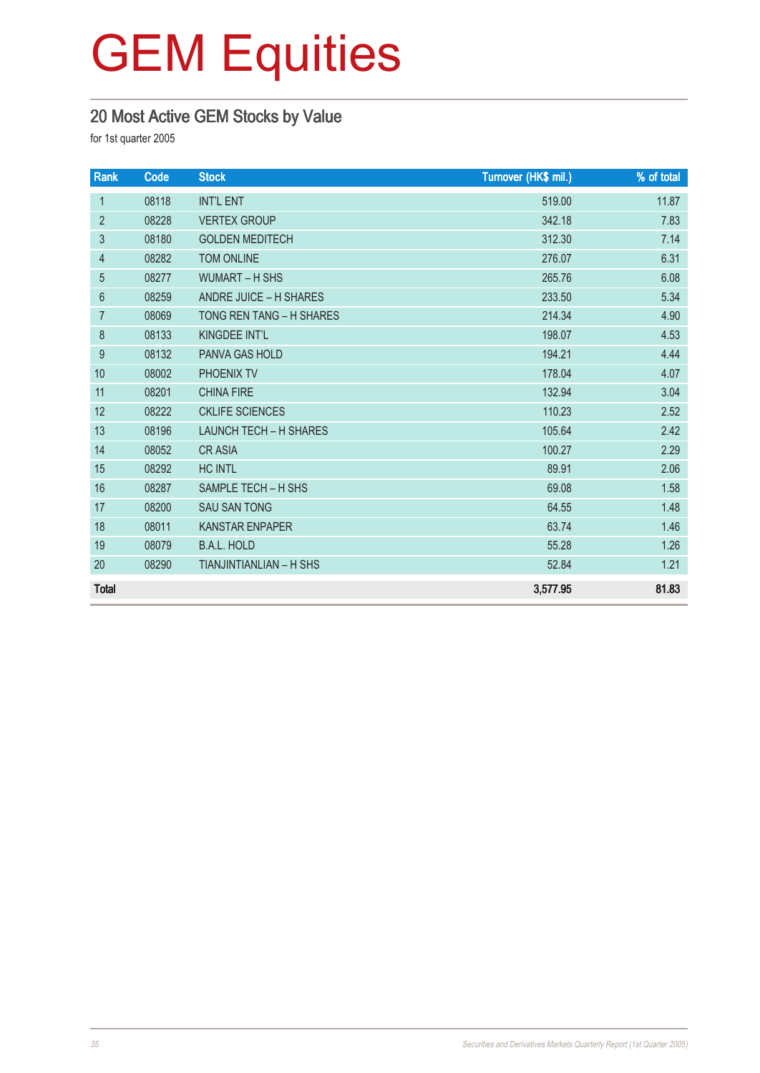### 20 Most Active GEM Stocks by Value

| Rank           | Code  | <b>Stock</b>                   | Turnover (HK\$ mil.) | % of total |
|----------------|-------|--------------------------------|----------------------|------------|
| $\mathbf{1}$   | 08118 | <b>INT'L ENT</b>               | 519.00               | 11.87      |
| $\overline{2}$ | 08228 | <b>VERTEX GROUP</b>            | 342.18               | 7.83       |
| 3              | 08180 | <b>GOLDEN MEDITECH</b>         | 312.30               | 7.14       |
| $\overline{4}$ | 08282 | <b>TOM ONLINE</b>              | 276.07               | 6.31       |
| 5              | 08277 | <b>WUMART - H SHS</b>          | 265.76               | 6.08       |
| $6\phantom{1}$ | 08259 | ANDRE JUICE - H SHARES         | 233.50               | 5.34       |
| $\overline{7}$ | 08069 | TONG REN TANG - H SHARES       | 214.34               | 4.90       |
| 8              | 08133 | KINGDEE INT'L                  | 198.07               | 4.53       |
| 9              | 08132 | PANVA GAS HOLD                 | 194.21               | 4.44       |
| 10             | 08002 | PHOENIX TV                     | 178.04               | 4.07       |
| 11             | 08201 | <b>CHINA FIRE</b>              | 132.94               | 3.04       |
| 12             | 08222 | <b>CKLIFE SCIENCES</b>         | 110.23               | 2.52       |
| 13             | 08196 | <b>LAUNCH TECH - H SHARES</b>  | 105.64               | 2.42       |
| 14             | 08052 | <b>CRASIA</b>                  | 100.27               | 2.29       |
| 15             | 08292 | <b>HC INTL</b>                 | 89.91                | 2.06       |
| 16             | 08287 | SAMPLE TECH - H SHS            | 69.08                | 1.58       |
| 17             | 08200 | <b>SAU SAN TONG</b>            | 64.55                | 1.48       |
| 18             | 08011 | <b>KANSTAR ENPAPER</b>         | 63.74                | 1.46       |
| 19             | 08079 | <b>B.A.L. HOLD</b>             | 55.28                | 1.26       |
| 20             | 08290 | <b>TIANJINTIANLIAN - H SHS</b> | 52.84                | 1.21       |
| <b>Total</b>   |       |                                | 3,577.95             | 81.83      |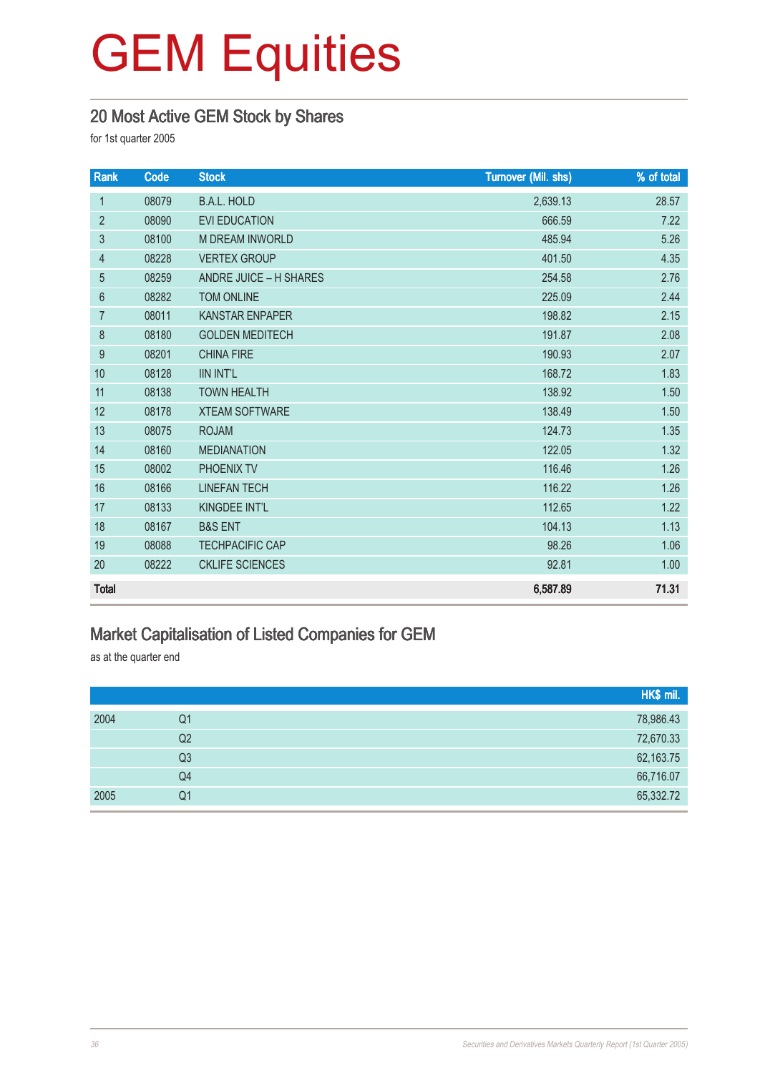### 20 Most Active GEM Stock by Shares

for 1st quarter 2005

| Rank           | Code  | <b>Stock</b>           | Turnover (Mil. shs) | % of total |
|----------------|-------|------------------------|---------------------|------------|
| $\mathbf{1}$   | 08079 | <b>B.A.L. HOLD</b>     | 2,639.13            | 28.57      |
| $\overline{2}$ | 08090 | <b>EVI EDUCATION</b>   | 666.59              | 7.22       |
| $\mathfrak{B}$ | 08100 | <b>M DREAM INWORLD</b> | 485.94              | 5.26       |
| $\overline{4}$ | 08228 | <b>VERTEX GROUP</b>    | 401.50              | 4.35       |
| 5              | 08259 | ANDRE JUICE - H SHARES | 254.58              | 2.76       |
| $6\phantom{1}$ | 08282 | TOM ONLINE             | 225.09              | 2.44       |
| $\overline{7}$ | 08011 | <b>KANSTAR ENPAPER</b> | 198.82              | 2.15       |
| 8              | 08180 | <b>GOLDEN MEDITECH</b> | 191.87              | 2.08       |
| 9              | 08201 | <b>CHINA FIRE</b>      | 190.93              | 2.07       |
| 10             | 08128 | <b>IIN INT'L</b>       | 168.72              | 1.83       |
| 11             | 08138 | <b>TOWN HEALTH</b>     | 138.92              | 1.50       |
| 12             | 08178 | <b>XTEAM SOFTWARE</b>  | 138.49              | 1.50       |
| 13             | 08075 | <b>ROJAM</b>           | 124.73              | 1.35       |
| 14             | 08160 | <b>MEDIANATION</b>     | 122.05              | 1.32       |
| 15             | 08002 | PHOENIX TV             | 116.46              | 1.26       |
| 16             | 08166 | <b>LINEFAN TECH</b>    | 116.22              | 1.26       |
| 17             | 08133 | KINGDEE INT'L          | 112.65              | 1.22       |
| 18             | 08167 | <b>B&amp;S ENT</b>     | 104.13              | 1.13       |
| 19             | 08088 | <b>TECHPACIFIC CAP</b> | 98.26               | 1.06       |
| 20             | 08222 | <b>CKLIFE SCIENCES</b> | 92.81               | 1.00       |
| <b>Total</b>   |       |                        | 6,587.89            | 71.31      |

### Market Capitalisation of Listed Companies for GEM

as at the quarter end

|      |                | HK\$ mil. |
|------|----------------|-----------|
| 2004 | Q1             | 78,986.43 |
|      | Q2             | 72,670.33 |
|      | Q <sub>3</sub> | 62,163.75 |
|      | Q4             | 66,716.07 |
| 2005 | Q <sub>1</sub> | 65,332.72 |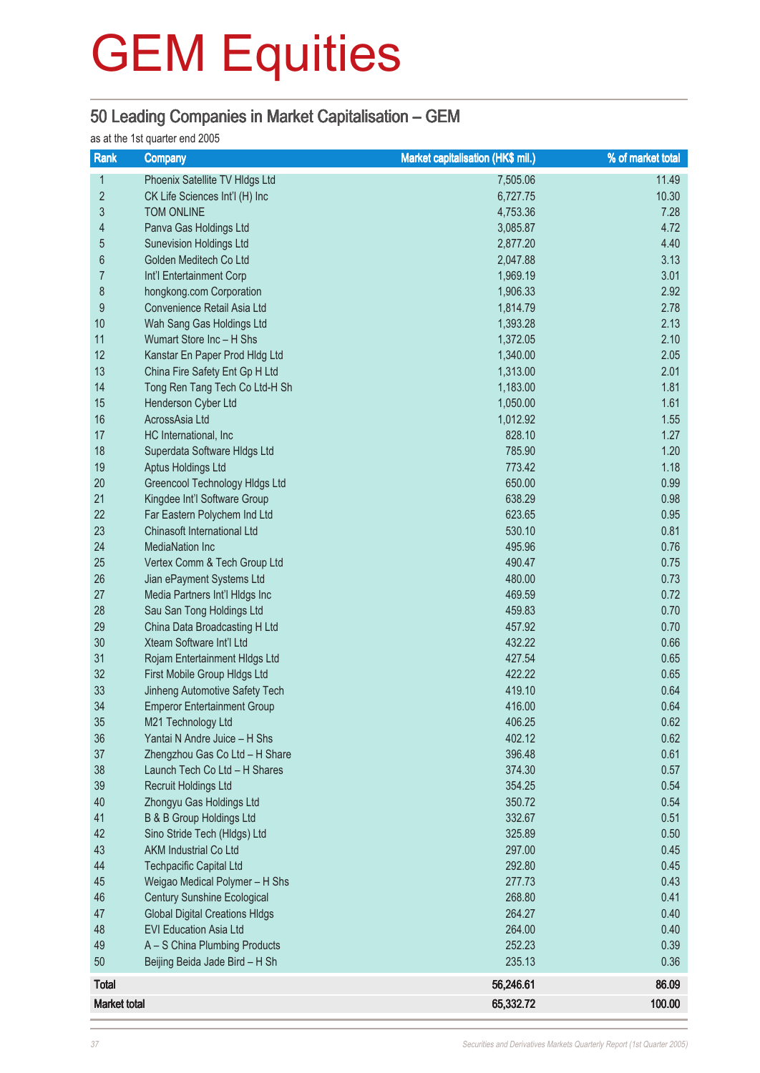### 50 Leading Companies in Market Capitalisation – GEM

#### as at the 1st quarter end 2005

| Rank                | <b>Company</b>                                               | Market capitalisation (HK\$ mil.) | % of market total |
|---------------------|--------------------------------------------------------------|-----------------------------------|-------------------|
| 1                   | Phoenix Satellite TV Hldgs Ltd                               | 7,505.06                          | 11.49             |
| $\overline{2}$      | CK Life Sciences Int'l (H) Inc                               | 6,727.75                          | 10.30             |
| $\mathfrak{S}$      | <b>TOM ONLINE</b>                                            | 4,753.36                          | 7.28              |
| 4                   | Panva Gas Holdings Ltd                                       | 3,085.87                          | 4.72              |
| $\overline{5}$      | <b>Sunevision Holdings Ltd</b>                               | 2,877.20                          | 4.40              |
| 6                   | Golden Meditech Co Ltd                                       | 2,047.88                          | 3.13              |
| $\overline{7}$      | Int'l Entertainment Corp                                     | 1,969.19                          | 3.01              |
| $\bf 8$             | hongkong.com Corporation                                     | 1,906.33                          | 2.92              |
| $\boldsymbol{9}$    | Convenience Retail Asia Ltd                                  | 1,814.79                          | 2.78              |
| 10                  | Wah Sang Gas Holdings Ltd                                    | 1,393.28                          | 2.13              |
| 11                  | Wumart Store Inc - H Shs                                     | 1,372.05                          | 2.10              |
| 12                  | Kanstar En Paper Prod Hldg Ltd                               | 1,340.00                          | 2.05              |
| 13                  | China Fire Safety Ent Gp H Ltd                               | 1,313.00                          | 2.01              |
| 14                  | Tong Ren Tang Tech Co Ltd-H Sh                               | 1,183.00                          | 1.81              |
| 15                  | Henderson Cyber Ltd                                          | 1,050.00                          | 1.61              |
| 16                  | AcrossAsia Ltd                                               | 1,012.92                          | 1.55              |
| 17                  | HC International, Inc                                        | 828.10                            | 1.27              |
| 18                  | Superdata Software HIdgs Ltd                                 | 785.90                            | 1.20              |
| 19                  | Aptus Holdings Ltd                                           | 773.42                            | 1.18              |
| 20                  | Greencool Technology HIdgs Ltd                               | 650.00                            | 0.99              |
| 21                  | Kingdee Int'l Software Group                                 | 638.29                            | 0.98              |
| 22                  | Far Eastern Polychem Ind Ltd                                 | 623.65                            | 0.95              |
| 23                  | Chinasoft International Ltd                                  | 530.10                            | 0.81              |
| 24                  | <b>MediaNation Inc</b>                                       | 495.96                            | 0.76              |
| 25                  | Vertex Comm & Tech Group Ltd                                 | 490.47                            | 0.75              |
| 26                  | Jian ePayment Systems Ltd                                    | 480.00                            | 0.73              |
| 27                  | Media Partners Int'l HIdgs Inc                               | 469.59                            | 0.72              |
| 28                  | Sau San Tong Holdings Ltd                                    | 459.83                            | 0.70              |
| 29                  | China Data Broadcasting H Ltd                                | 457.92                            | 0.70              |
| 30                  | Xteam Software Int'l Ltd                                     | 432.22                            | 0.66              |
| 31                  | Rojam Entertainment HIdgs Ltd                                | 427.54                            | 0.65              |
| 32                  | First Mobile Group HIdgs Ltd                                 | 422.22                            | 0.65              |
| 33                  | Jinheng Automotive Safety Tech                               | 419.10                            | 0.64              |
| 34                  | <b>Emperor Entertainment Group</b>                           | 416.00                            | 0.64              |
| 35                  | M21 Technology Ltd                                           | 406.25                            | 0.62              |
| 36                  | Yantai N Andre Juice - H Shs                                 | 402.12                            | 0.62              |
| 37                  | Zhengzhou Gas Co Ltd - H Share                               | 396.48                            | 0.61              |
| 38<br>39            | Launch Tech Co Ltd - H Shares<br><b>Recruit Holdings Ltd</b> | 374.30                            | 0.57              |
| 40                  |                                                              | 354.25<br>350.72                  | 0.54              |
|                     | Zhongyu Gas Holdings Ltd                                     | 332.67                            | 0.54<br>0.51      |
| 41<br>42            | B & B Group Holdings Ltd<br>Sino Stride Tech (Hldgs) Ltd     | 325.89                            | 0.50              |
| 43                  | <b>AKM Industrial Co Ltd</b>                                 | 297.00                            | 0.45              |
| 44                  | <b>Techpacific Capital Ltd</b>                               | 292.80                            | 0.45              |
| 45                  | Weigao Medical Polymer - H Shs                               | 277.73                            | 0.43              |
| 46                  | <b>Century Sunshine Ecological</b>                           | 268.80                            | 0.41              |
| 47                  | <b>Global Digital Creations HIdgs</b>                        | 264.27                            | 0.40              |
| 48                  | <b>EVI Education Asia Ltd</b>                                | 264.00                            | 0.40              |
| 49                  | A - S China Plumbing Products                                | 252.23                            | 0.39              |
| 50                  | Beijing Beida Jade Bird - H Sh                               | 235.13                            | 0.36              |
| <b>Total</b>        |                                                              | 56,246.61                         | 86.09             |
| <b>Market total</b> |                                                              | 65,332.72                         | 100.00            |
|                     |                                                              |                                   |                   |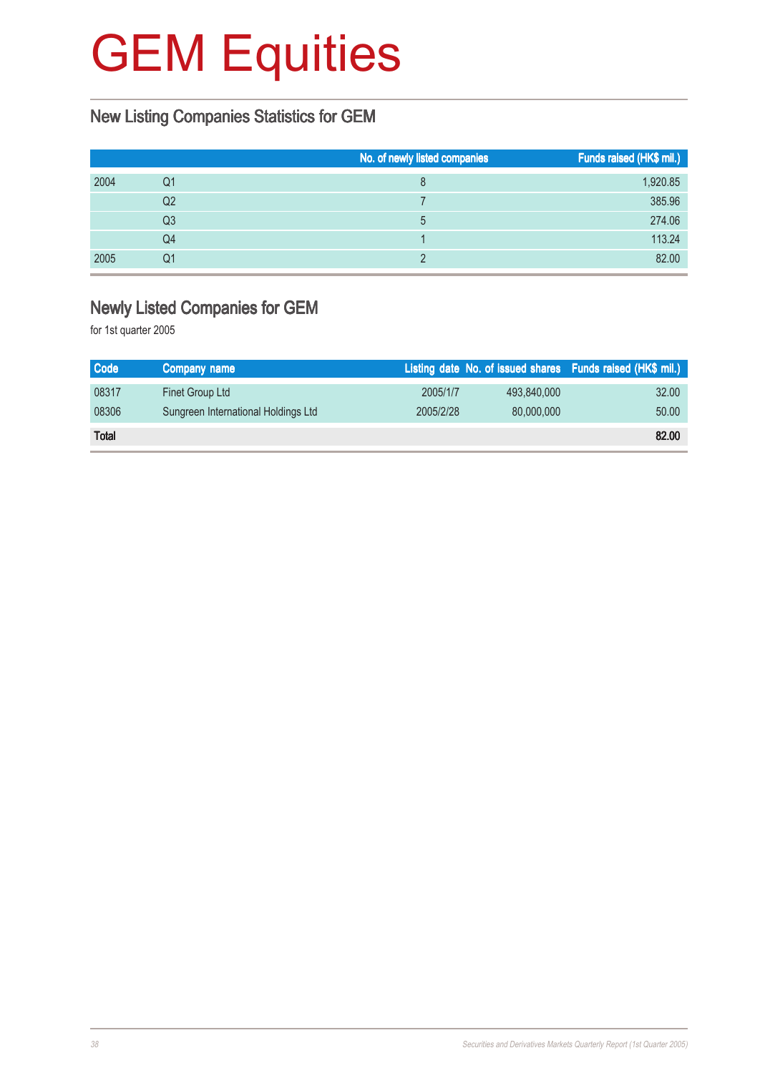### New Listing Companies Statistics for GEM

|      |    | No. of newly listed companies | Funds raised (HK\$ mil.) |
|------|----|-------------------------------|--------------------------|
| 2004 | Q1 | 8                             | 1,920.85                 |
|      | Q2 |                               | 385.96                   |
|      | Q3 | 5                             | 274.06                   |
|      | Q4 |                               | 113.24                   |
| 2005 | Q1 |                               | 82.00                    |

### Newly Listed Companies for GEM

| <b>Code</b>  | Company name                        |           |             | Listing date No. of issued shares Funds raised (HK\$ mil.) |
|--------------|-------------------------------------|-----------|-------------|------------------------------------------------------------|
| 08317        | Finet Group Ltd                     | 2005/1/7  | 493.840.000 | 32.00                                                      |
| 08306        | Sungreen International Holdings Ltd | 2005/2/28 | 80,000,000  | 50.00                                                      |
| <b>Total</b> |                                     |           |             | 82.00                                                      |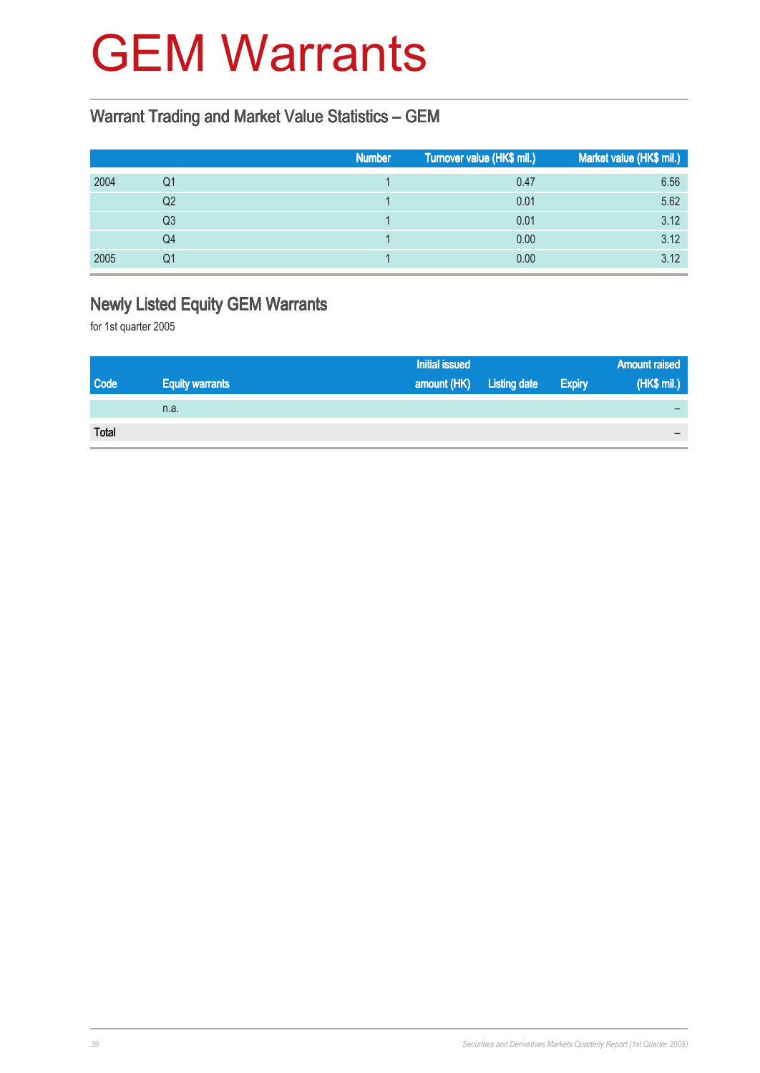## GEM Warrants

### Warrant Trading and Market Value Statistics – GEM

|      |    | <b>Number</b> | Turnover value (HK\$ mil.) | Market value (HK\$ mil.) |
|------|----|---------------|----------------------------|--------------------------|
| 2004 | Q1 |               | 0.47                       | 6.56                     |
|      | Q2 |               | 0.01                       | 5.62                     |
|      | Q3 |               | 0.01                       | 3.12                     |
|      | Q4 |               | 0.00                       | 3.12                     |
| 2005 | Q1 |               | 0.00                       | 3.12                     |

### Newly Listed Equity GEM Warrants

|              |                        | <b>Initial issued</b> |                     |               | <b>Amount raised</b> |
|--------------|------------------------|-----------------------|---------------------|---------------|----------------------|
| Code         | <b>Equity warrants</b> | amount (HK)           | <b>Listing date</b> | <b>Expiry</b> | (HK\$ mil.)          |
|              | n.a.                   |                       |                     |               |                      |
| <b>Total</b> |                        |                       |                     |               |                      |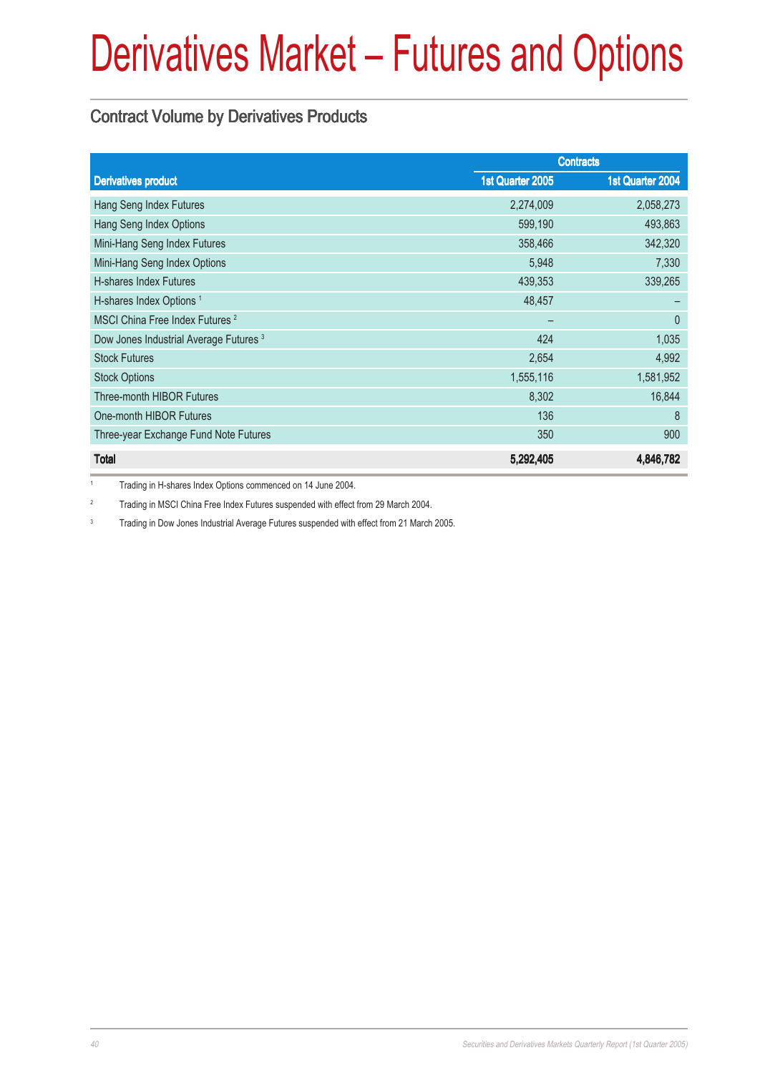### Contract Volume by Derivatives Products

|                                                   |                  | <b>Contracts</b> |
|---------------------------------------------------|------------------|------------------|
| <b>Derivatives product</b>                        | 1st Quarter 2005 | 1st Quarter 2004 |
| Hang Seng Index Futures                           | 2,274,009        | 2,058,273        |
| Hang Seng Index Options                           | 599,190          | 493,863          |
| Mini-Hang Seng Index Futures                      | 358,466          | 342,320          |
| Mini-Hang Seng Index Options                      | 5,948            | 7,330            |
| <b>H-shares Index Futures</b>                     | 439,353          | 339,265          |
| H-shares Index Options <sup>1</sup>               | 48,457           |                  |
| MSCI China Free Index Futures <sup>2</sup>        |                  | $\theta$         |
| Dow Jones Industrial Average Futures <sup>3</sup> | 424              | 1,035            |
| <b>Stock Futures</b>                              | 2,654            | 4,992            |
| <b>Stock Options</b>                              | 1,555,116        | 1,581,952        |
| <b>Three-month HIBOR Futures</b>                  | 8,302            | 16,844           |
| One-month HIBOR Futures                           | 136              | 8                |
| Three-year Exchange Fund Note Futures             | 350              | 900              |
| <b>Total</b>                                      | 5,292,405        | 4,846,782        |

<sup>1</sup> Trading in H-shares Index Options commenced on 14 June 2004.

<sup>2</sup> Trading in MSCI China Free Index Futures suspended with effect from 29 March 2004.

<sup>3</sup> Trading in Dow Jones Industrial Average Futures suspended with effect from 21 March 2005.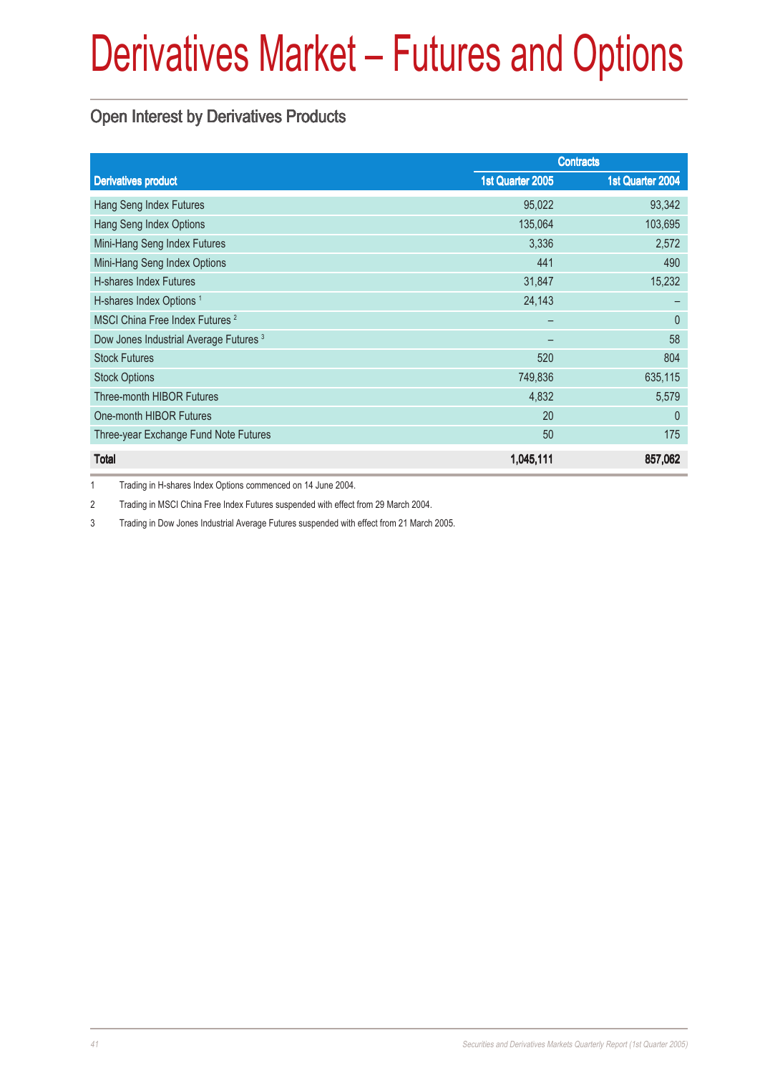### Open Interest by Derivatives Products

|                                                   | <b>Contracts</b> |                  |
|---------------------------------------------------|------------------|------------------|
| <b>Derivatives product</b>                        | 1st Quarter 2005 | 1st Quarter 2004 |
| Hang Seng Index Futures                           | 95,022           | 93,342           |
| Hang Seng Index Options                           | 135,064          | 103,695          |
| Mini-Hang Seng Index Futures                      | 3,336            | 2,572            |
| Mini-Hang Seng Index Options                      | 441              | 490              |
| H-shares Index Futures                            | 31,847           | 15,232           |
| H-shares Index Options <sup>1</sup>               | 24,143           |                  |
| MSCI China Free Index Futures <sup>2</sup>        |                  | $\theta$         |
| Dow Jones Industrial Average Futures <sup>3</sup> |                  | 58               |
| <b>Stock Futures</b>                              | 520              | 804              |
| <b>Stock Options</b>                              | 749,836          | 635,115          |
| Three-month HIBOR Futures                         | 4,832            | 5,579            |
| One-month HIBOR Futures                           | 20               | $\theta$         |
| Three-year Exchange Fund Note Futures             | 50               | 175              |
| <b>Total</b>                                      | 1,045,111        | 857,062          |

1 Trading in H-shares Index Options commenced on 14 June 2004.

2 Trading in MSCI China Free Index Futures suspended with effect from 29 March 2004.

3 Trading in Dow Jones Industrial Average Futures suspended with effect from 21 March 2005.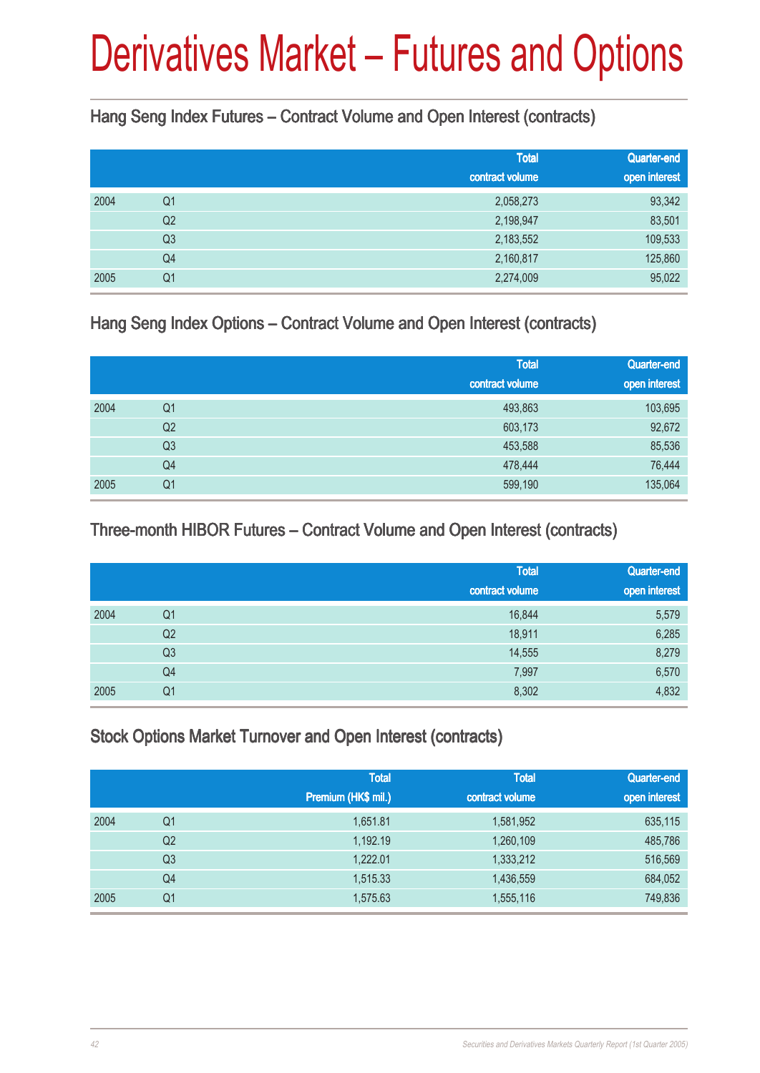Hang Seng Index Futures – Contract Volume and Open Interest (contracts)

|      |                | <b>Total</b><br>contract volume | <b>Quarter-end</b><br>open interest |
|------|----------------|---------------------------------|-------------------------------------|
| 2004 | Q <sub>1</sub> | 2,058,273                       | 93,342                              |
|      | Q <sub>2</sub> | 2,198,947                       | 83,501                              |
|      | Q <sub>3</sub> | 2,183,552                       | 109,533                             |
|      | Q4             | 2,160,817                       | 125,860                             |
| 2005 | Q1             | 2,274,009                       | 95,022                              |

Hang Seng Index Options – Contract Volume and Open Interest (contracts)

|      |                | <b>Total</b><br>contract volume | Quarter-end<br>open interest |
|------|----------------|---------------------------------|------------------------------|
| 2004 | Q <sub>1</sub> | 493,863                         | 103,695                      |
|      | Q <sub>2</sub> | 603,173                         | 92,672                       |
|      | Q <sub>3</sub> | 453,588                         | 85,536                       |
|      | Q4             | 478,444                         | 76,444                       |
| 2005 | Q <sub>1</sub> | 599,190                         | 135,064                      |

### Three-month HIBOR Futures – Contract Volume and Open Interest (contracts)

|      |                | <b>Total</b><br>contract volume | Quarter-end<br>open interest |
|------|----------------|---------------------------------|------------------------------|
|      |                |                                 |                              |
| 2004 | Q <sub>1</sub> | 16,844                          | 5,579                        |
|      | Q <sub>2</sub> | 18,911                          | 6,285                        |
|      | Q <sub>3</sub> | 14,555                          | 8,279                        |
|      | Q4             | 7,997                           | 6,570                        |
| 2005 | Q <sub>1</sub> | 8,302                           | 4,832                        |

### Stock Options Market Turnover and Open Interest (contracts)

|      |                | <b>Total</b><br>Premium (HK\$ mil.) | <b>Total</b><br>contract volume | Quarter-end<br>open interest |
|------|----------------|-------------------------------------|---------------------------------|------------------------------|
| 2004 | Q1             | 1,651.81                            | 1,581,952                       | 635,115                      |
|      | Q <sub>2</sub> | 1,192.19                            | 1,260,109                       | 485,786                      |
|      | Q3             | 1,222.01                            | 1,333,212                       | 516,569                      |
|      | Q4             | 1,515.33                            | 1,436,559                       | 684,052                      |
| 2005 | Q <sub>1</sub> | 1,575.63                            | 1,555,116                       | 749,836                      |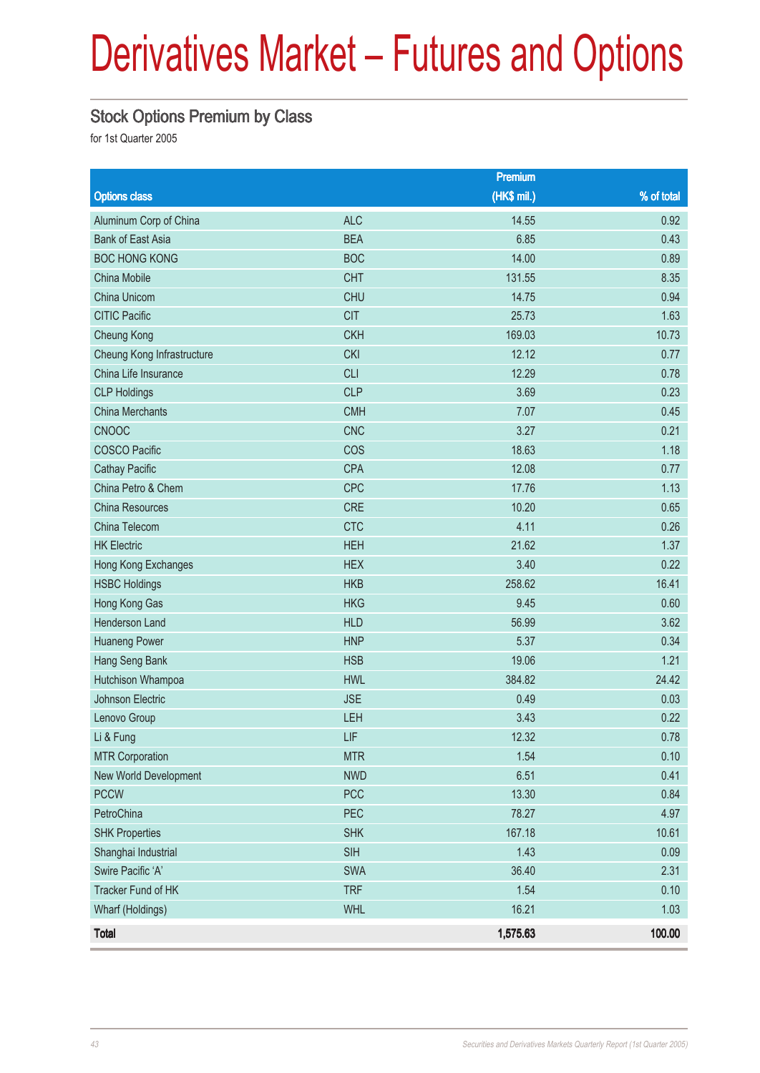### Stock Options Premium by Class

|                            |            | Premium     |              |
|----------------------------|------------|-------------|--------------|
| <b>Options class</b>       |            | (HK\$ mil.) | $%$ of total |
| Aluminum Corp of China     | <b>ALC</b> | 14.55       | 0.92         |
| <b>Bank of East Asia</b>   | <b>BEA</b> | 6.85        | 0.43         |
| <b>BOC HONG KONG</b>       | <b>BOC</b> | 14.00       | 0.89         |
| China Mobile               | <b>CHT</b> | 131.55      | 8.35         |
| China Unicom               | <b>CHU</b> | 14.75       | 0.94         |
| <b>CITIC Pacific</b>       | <b>CIT</b> | 25.73       | 1.63         |
| <b>Cheung Kong</b>         | <b>CKH</b> | 169.03      | 10.73        |
| Cheung Kong Infrastructure | <b>CKI</b> | 12.12       | 0.77         |
| China Life Insurance       | <b>CLI</b> | 12.29       | 0.78         |
| <b>CLP Holdings</b>        | <b>CLP</b> | 3.69        | 0.23         |
| <b>China Merchants</b>     | <b>CMH</b> | 7.07        | 0.45         |
| CNOOC                      | <b>CNC</b> | 3.27        | 0.21         |
| <b>COSCO Pacific</b>       | COS        | 18.63       | 1.18         |
| <b>Cathay Pacific</b>      | <b>CPA</b> | 12.08       | 0.77         |
| China Petro & Chem         | <b>CPC</b> | 17.76       | 1.13         |
| <b>China Resources</b>     | <b>CRE</b> | 10.20       | 0.65         |
| China Telecom              | <b>CTC</b> | 4.11        | 0.26         |
| <b>HK Electric</b>         | <b>HEH</b> | 21.62       | 1.37         |
| Hong Kong Exchanges        | <b>HEX</b> | 3.40        | 0.22         |
| <b>HSBC Holdings</b>       | <b>HKB</b> | 258.62      | 16.41        |
| Hong Kong Gas              | <b>HKG</b> | 9.45        | 0.60         |
| Henderson Land             | <b>HLD</b> | 56.99       | 3.62         |
| <b>Huaneng Power</b>       | <b>HNP</b> | 5.37        | 0.34         |
| Hang Seng Bank             | <b>HSB</b> | 19.06       | 1.21         |
| Hutchison Whampoa          | <b>HWL</b> | 384.82      | 24.42        |
| Johnson Electric           | <b>JSE</b> | 0.49        | 0.03         |
| Lenovo Group               | LEH        | 3.43        | 0.22         |
| Li & Fung                  | LIF        | 12.32       | 0.78         |
| <b>MTR Corporation</b>     | <b>MTR</b> | 1.54        | 0.10         |
| New World Development      | <b>NWD</b> | 6.51        | 0.41         |
| <b>PCCW</b>                | PCC        | 13.30       | 0.84         |
| PetroChina                 | PEC        | 78.27       | 4.97         |
| <b>SHK Properties</b>      | <b>SHK</b> | 167.18      | 10.61        |
| Shanghai Industrial        | <b>SIH</b> | 1.43        | 0.09         |
| Swire Pacific 'A'          | SWA        | 36.40       | 2.31         |
| Tracker Fund of HK         | <b>TRF</b> | 1.54        | 0.10         |
| Wharf (Holdings)           | <b>WHL</b> | 16.21       | 1.03         |
| <b>Total</b>               |            | 1,575.63    | 100.00       |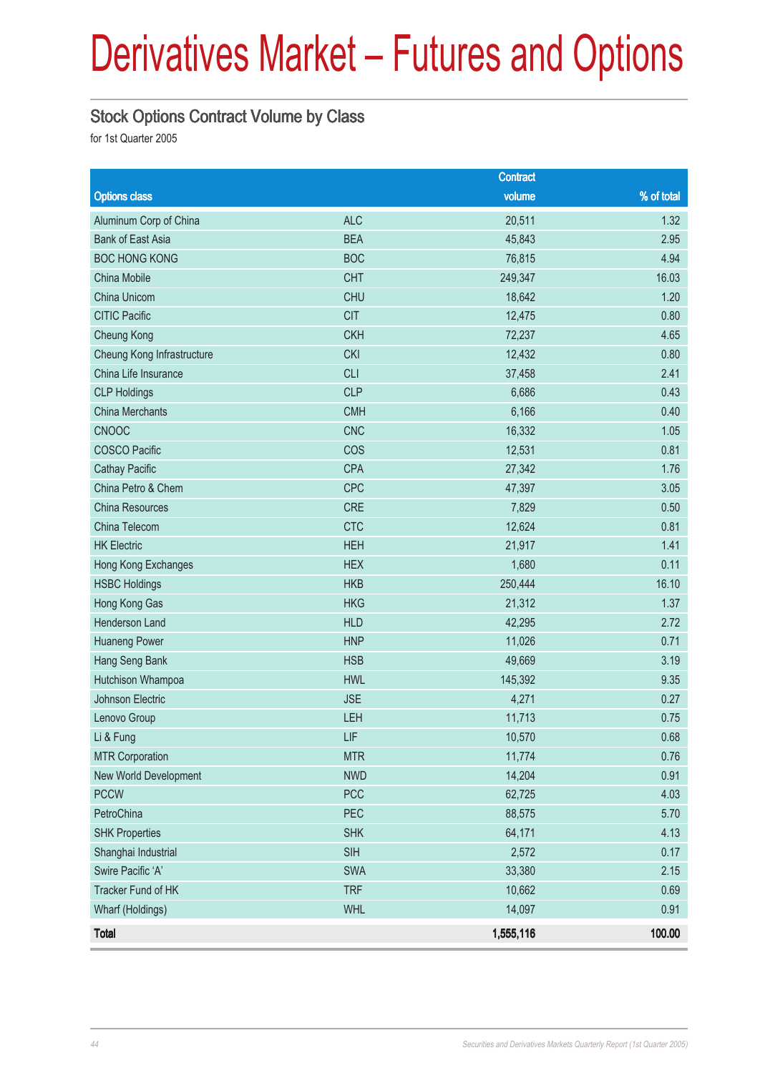#### Stock Options Contract Volume by Class

|                            |            | <b>Contract</b> |            |
|----------------------------|------------|-----------------|------------|
| <b>Options class</b>       |            | volume          | % of total |
| Aluminum Corp of China     | <b>ALC</b> | 20,511          | 1.32       |
| <b>Bank of East Asia</b>   | <b>BEA</b> | 45,843          | 2.95       |
| <b>BOC HONG KONG</b>       | <b>BOC</b> | 76,815          | 4.94       |
| China Mobile               | <b>CHT</b> | 249,347         | 16.03      |
| China Unicom               | <b>CHU</b> | 18,642          | 1.20       |
| <b>CITIC Pacific</b>       | <b>CIT</b> | 12,475          | 0.80       |
| Cheung Kong                | <b>CKH</b> | 72,237          | 4.65       |
| Cheung Kong Infrastructure | <b>CKI</b> | 12,432          | 0.80       |
| China Life Insurance       | <b>CLI</b> | 37,458          | 2.41       |
| <b>CLP Holdings</b>        | <b>CLP</b> | 6,686           | 0.43       |
| <b>China Merchants</b>     | <b>CMH</b> | 6,166           | 0.40       |
| <b>CNOOC</b>               | <b>CNC</b> | 16,332          | 1.05       |
| <b>COSCO Pacific</b>       | COS        | 12,531          | 0.81       |
| <b>Cathay Pacific</b>      | <b>CPA</b> | 27,342          | 1.76       |
| China Petro & Chem         | CPC        | 47,397          | 3.05       |
| China Resources            | <b>CRE</b> | 7,829           | 0.50       |
| China Telecom              | <b>CTC</b> | 12,624          | 0.81       |
| <b>HK Electric</b>         | <b>HEH</b> | 21,917          | 1.41       |
| Hong Kong Exchanges        | <b>HEX</b> | 1,680           | 0.11       |
| <b>HSBC Holdings</b>       | <b>HKB</b> | 250,444         | 16.10      |
| Hong Kong Gas              | <b>HKG</b> | 21,312          | 1.37       |
| Henderson Land             | <b>HLD</b> | 42,295          | 2.72       |
| <b>Huaneng Power</b>       | <b>HNP</b> | 11,026          | 0.71       |
| Hang Seng Bank             | <b>HSB</b> | 49,669          | 3.19       |
| Hutchison Whampoa          | <b>HWL</b> | 145,392         | 9.35       |
| Johnson Electric           | <b>JSE</b> | 4,271           | 0.27       |
| Lenovo Group               | LEH        | 11,713          | 0.75       |
| Li & Fung                  | LIF        | 10,570          | 0.68       |
| <b>MTR Corporation</b>     | <b>MTR</b> | 11,774          | 0.76       |
| New World Development      | <b>NWD</b> | 14,204          | 0.91       |
| <b>PCCW</b>                | <b>PCC</b> | 62,725          | 4.03       |
| PetroChina                 | PEC        | 88,575          | 5.70       |
| <b>SHK Properties</b>      | <b>SHK</b> | 64,171          | 4.13       |
| Shanghai Industrial        | <b>SIH</b> | 2,572           | 0.17       |
| Swire Pacific 'A'          | SWA        | 33,380          | 2.15       |
| Tracker Fund of HK         | <b>TRF</b> | 10,662          | 0.69       |
| Wharf (Holdings)           | <b>WHL</b> | 14,097          | 0.91       |
| <b>Total</b>               |            | 1,555,116       | 100.00     |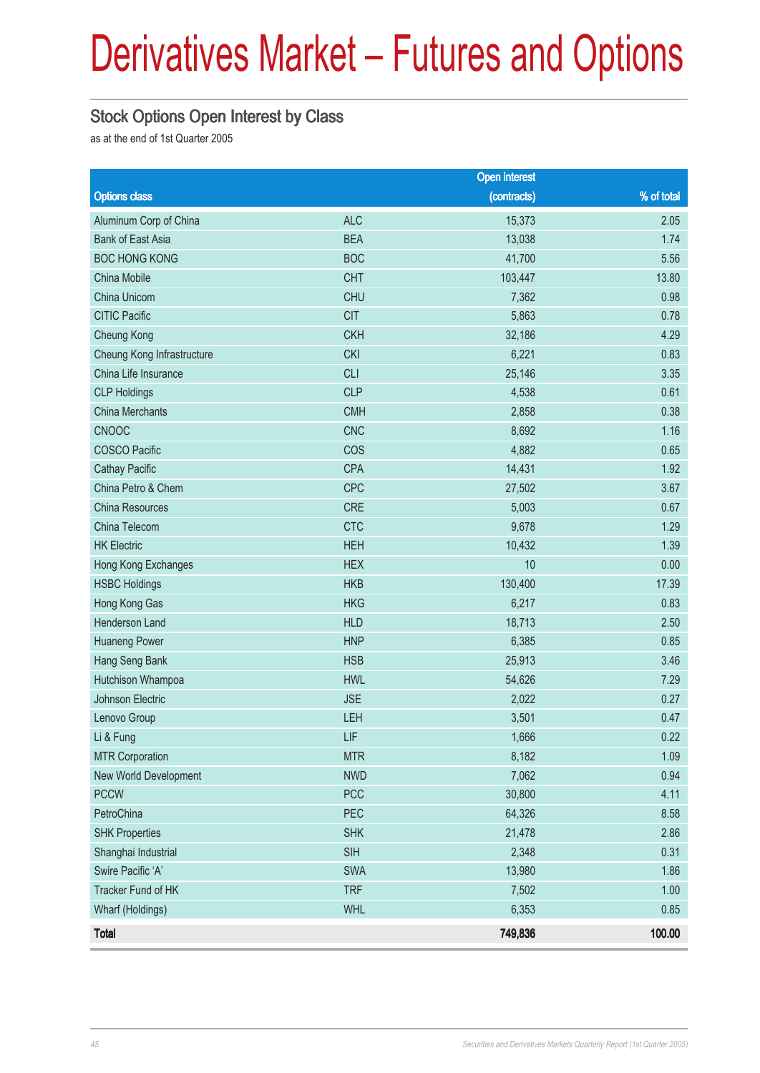### Stock Options Open Interest by Class

as at the end of 1st Quarter 2005

|                            |            | <b>Open interest</b> |            |
|----------------------------|------------|----------------------|------------|
| <b>Options class</b>       |            | (contracts)          | % of total |
| Aluminum Corp of China     | <b>ALC</b> | 15,373               | 2.05       |
| <b>Bank of East Asia</b>   | <b>BEA</b> | 13,038               | 1.74       |
| <b>BOC HONG KONG</b>       | <b>BOC</b> | 41,700               | 5.56       |
| China Mobile               | <b>CHT</b> | 103,447              | 13.80      |
| China Unicom               | <b>CHU</b> | 7,362                | 0.98       |
| <b>CITIC Pacific</b>       | <b>CIT</b> | 5,863                | 0.78       |
| <b>Cheung Kong</b>         | <b>CKH</b> | 32,186               | 4.29       |
| Cheung Kong Infrastructure | <b>CKI</b> | 6,221                | 0.83       |
| China Life Insurance       | <b>CLI</b> | 25,146               | 3.35       |
| <b>CLP Holdings</b>        | <b>CLP</b> | 4,538                | 0.61       |
| <b>China Merchants</b>     | <b>CMH</b> | 2,858                | 0.38       |
| CNOOC                      | <b>CNC</b> | 8,692                | 1.16       |
| <b>COSCO Pacific</b>       | COS        | 4,882                | 0.65       |
| <b>Cathay Pacific</b>      | <b>CPA</b> | 14,431               | 1.92       |
| China Petro & Chem         | <b>CPC</b> | 27,502               | 3.67       |
| China Resources            | <b>CRE</b> | 5,003                | 0.67       |
| China Telecom              | <b>CTC</b> | 9,678                | 1.29       |
| <b>HK Electric</b>         | <b>HEH</b> | 10,432               | 1.39       |
| Hong Kong Exchanges        | <b>HEX</b> | 10                   | 0.00       |
| <b>HSBC Holdings</b>       | <b>HKB</b> | 130,400              | 17.39      |
| Hong Kong Gas              | <b>HKG</b> | 6,217                | 0.83       |
| Henderson Land             | <b>HLD</b> | 18,713               | 2.50       |
| <b>Huaneng Power</b>       | <b>HNP</b> | 6,385                | 0.85       |
| Hang Seng Bank             | <b>HSB</b> | 25,913               | 3.46       |
| Hutchison Whampoa          | <b>HWL</b> | 54,626               | 7.29       |
| <b>Johnson Electric</b>    | <b>JSE</b> | 2,022                | 0.27       |
| Lenovo Group               | LEH        | 3,501                | 0.47       |
| Li & Fung                  | LIF        | 1,666                | 0.22       |
| <b>MTR Corporation</b>     | <b>MTR</b> | 8,182                | 1.09       |
| New World Development      | <b>NWD</b> | 7,062                | 0.94       |
| <b>PCCW</b>                | <b>PCC</b> | 30,800               | 4.11       |
| PetroChina                 | PEC        | 64,326               | 8.58       |
| <b>SHK Properties</b>      | <b>SHK</b> | 21,478               | 2.86       |
| Shanghai Industrial        | <b>SIH</b> | 2,348                | 0.31       |
| Swire Pacific 'A'          | <b>SWA</b> | 13,980               | 1.86       |
| Tracker Fund of HK         | <b>TRF</b> | 7,502                | 1.00       |
| Wharf (Holdings)           | <b>WHL</b> | 6,353                | 0.85       |
| <b>Total</b>               |            | 749,836              | 100.00     |